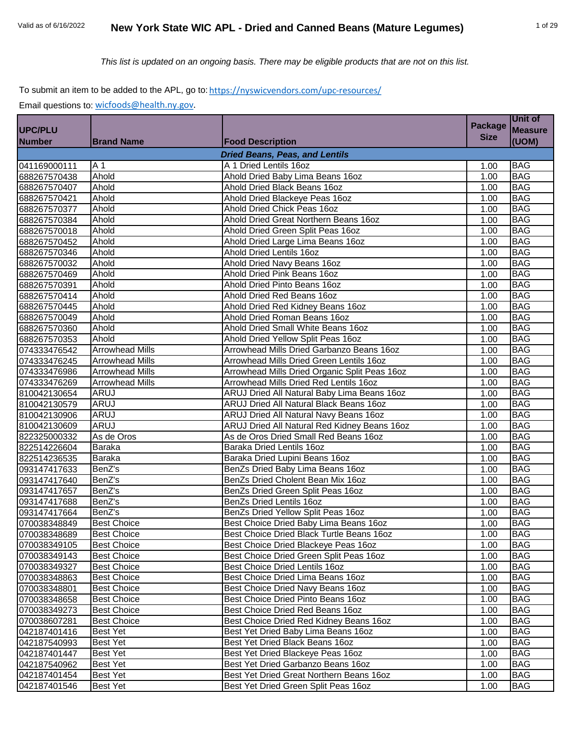*This list is updated on an ongoing basis. There may be eligible products that are not on this list.*

# To submit an item to be added to the APL, go to: https://nyswicvendors.com/upc-resources/

| <b>Size</b><br>(UOM)<br><b>Number</b><br><b>Brand Name</b><br><b>Food Description</b><br><b>Dried Beans, Peas, and Lentils</b><br>041169000111<br>A 1 Dried Lentils 16oz<br>A 1<br><b>BAG</b><br>1.00<br>688267570438<br>Ahold<br>Ahold Dried Baby Lima Beans 16oz<br><b>BAG</b><br>1.00<br>688267570407<br>Ahold<br>Ahold Dried Black Beans 16oz<br><b>BAG</b><br>1.00<br>688267570421<br><b>BAG</b><br>Ahold<br>Ahold Dried Blackeye Peas 16oz<br>1.00<br>688267570377<br><b>BAG</b><br>Ahold<br>Ahold Dried Chick Peas 16oz<br>1.00<br>688267570384<br><b>BAG</b><br>Ahold<br>Ahold Dried Great Northern Beans 16oz<br>1.00<br>Ahold<br>Ahold Dried Green Split Peas 16oz<br><b>BAG</b><br>1.00<br><b>BAG</b><br>Ahold<br>Ahold Dried Large Lima Beans 16oz<br>1.00<br><b>BAG</b><br>Ahold<br><b>Ahold Dried Lentils 16oz</b><br>1.00<br><b>BAG</b><br>Ahold<br>Ahold Dried Navy Beans 16oz<br>1.00<br><b>BAG</b><br>Ahold<br>Ahold Dried Pink Beans 16oz<br>1.00<br><b>BAG</b><br>Ahold<br>Ahold Dried Pinto Beans 16oz<br>1.00<br>688267570414<br>Ahold<br><b>BAG</b><br>Ahold Dried Red Beans 16oz<br>1.00<br>Ahold<br><b>BAG</b><br>Ahold Dried Red Kidney Beans 16oz<br>1.00<br>688267570049<br><b>BAG</b><br>Ahold<br>Ahold Dried Roman Beans 16oz<br>1.00<br>688267570360<br>Ahold Dried Small White Beans 16oz<br><b>BAG</b><br>Ahold<br>1.00<br>688267570353<br><b>BAG</b><br>Ahold<br>Ahold Dried Yellow Split Peas 16oz<br>1.00<br><b>Arrowhead Mills</b><br><b>BAG</b><br>Arrowhead Mills Dried Garbanzo Beans 16oz<br>1.00<br>074333476245<br><b>Arrowhead Mills</b><br><b>BAG</b><br>Arrowhead Mills Dried Green Lentils 16oz<br>1.00<br><b>BAG</b><br><b>Arrowhead Mills</b><br>Arrowhead Mills Dried Organic Split Peas 16oz<br>1.00<br><b>BAG</b><br><b>Arrowhead Mills</b><br>Arrowhead Mills Dried Red Lentils 16oz<br>1.00<br><b>BAG</b><br><b>ARUJ</b><br>ARUJ Dried All Natural Baby Lima Beans 16oz<br>1.00<br><b>ARUJ</b><br><b>BAG</b><br>ARUJ Dried All Natural Black Beans 16oz<br>1.00<br><b>ARUJ</b><br><b>BAG</b><br>ARUJ Dried All Natural Navy Beans 16oz<br>1.00<br><b>ARUJ</b><br><b>BAG</b><br>ARUJ Dried All Natural Red Kidney Beans 16oz<br>1.00<br><b>BAG</b><br>As de Oros<br>As de Oros Dried Small Red Beans 16oz<br>1.00<br>822514226604<br>Baraka Dried Lentils 16oz<br><b>BAG</b><br><b>Baraka</b><br>1.00<br><b>BAG</b><br>Baraka Dried Lupini Beans 16oz<br>1.00<br>Baraka<br>093147417633<br><b>BAG</b><br>BenZ's<br>BenZs Dried Baby Lima Beans 16oz<br>1.00<br>093147417640<br><b>BAG</b><br>BenZ's<br>BenZs Dried Cholent Bean Mix 16oz<br>1.00<br>093147417657<br><b>BAG</b><br>BenZ's<br>BenZs Dried Green Split Peas 16oz<br>1.00<br>093147417688<br><b>BAG</b><br>BenZ's<br>BenZs Dried Lentils 16oz<br>1.00<br>BenZ's<br>BenZs Dried Yellow Split Peas 16oz<br><b>BAG</b><br>1.00<br><b>Best Choice</b><br>Best Choice Dried Baby Lima Beans 16oz<br><b>BAG</b><br>1.00<br><b>BAG</b><br>Best Choice Dried Black Turtle Beans 16oz<br>1.00<br><b>Best Choice</b><br><b>BAG</b><br><b>Best Choice</b><br>Best Choice Dried Blackeye Peas 16oz<br>1.00<br><b>BAG</b><br>070038349143<br><b>Best Choice</b><br>Best Choice Dried Green Split Peas 16oz<br>1.00<br>Best Choice Dried Lentils 16oz<br><b>BAG</b><br><b>Best Choice</b><br>1.00<br>Best Choice Dried Lima Beans 16oz<br><b>Best Choice</b><br>1.00<br><b>BAG</b><br>070038348863<br>Best Choice Dried Navy Beans 16oz<br><b>BAG</b><br><b>Best Choice</b><br>1.00<br>Best Choice Dried Pinto Beans 16oz<br><b>BAG</b><br><b>Best Choice</b><br>1.00<br>070038349273<br>Best Choice Dried Red Beans 16oz<br><b>BAG</b><br><b>Best Choice</b><br>1.00<br>070038607281<br>Best Choice Dried Red Kidney Beans 16oz<br><b>BAG</b><br><b>Best Choice</b><br>1.00<br>042187401416<br>Best Yet Dried Baby Lima Beans 16oz<br><b>BAG</b><br>Best Yet<br>1.00<br>Best Yet Dried Black Beans 16oz<br><b>BAG</b><br>042187540993<br><b>Best Yet</b><br>1.00<br><b>Best Yet</b><br>Best Yet Dried Blackeye Peas 16oz<br><b>BAG</b><br>1.00<br>Best Yet Dried Garbanzo Beans 16oz<br><b>BAG</b><br><b>Best Yet</b><br>1.00<br>Best Yet Dried Great Northern Beans 16oz<br><b>BAG</b><br>Best Yet<br>1.00<br>Best Yet Dried Green Split Peas 16oz<br><b>BAG</b><br><b>Best Yet</b><br>1.00 |                |  | <b>Package</b> | Unit of        |
|--------------------------------------------------------------------------------------------------------------------------------------------------------------------------------------------------------------------------------------------------------------------------------------------------------------------------------------------------------------------------------------------------------------------------------------------------------------------------------------------------------------------------------------------------------------------------------------------------------------------------------------------------------------------------------------------------------------------------------------------------------------------------------------------------------------------------------------------------------------------------------------------------------------------------------------------------------------------------------------------------------------------------------------------------------------------------------------------------------------------------------------------------------------------------------------------------------------------------------------------------------------------------------------------------------------------------------------------------------------------------------------------------------------------------------------------------------------------------------------------------------------------------------------------------------------------------------------------------------------------------------------------------------------------------------------------------------------------------------------------------------------------------------------------------------------------------------------------------------------------------------------------------------------------------------------------------------------------------------------------------------------------------------------------------------------------------------------------------------------------------------------------------------------------------------------------------------------------------------------------------------------------------------------------------------------------------------------------------------------------------------------------------------------------------------------------------------------------------------------------------------------------------------------------------------------------------------------------------------------------------------------------------------------------------------------------------------------------------------------------------------------------------------------------------------------------------------------------------------------------------------------------------------------------------------------------------------------------------------------------------------------------------------------------------------------------------------------------------------------------------------------------------------------------------------------------------------------------------------------------------------------------------------------------------------------------------------------------------------------------------------------------------------------------------------------------------------------------------------------------------------------------------------------------------------------------------------------------------------------------------------------------------------------------------------------------------------------------------------------------------------------------------------------------------------------------------------------------------------------------------------------------------------------------------------------------------------------------------------------------------------------------------------------------------------------------------------------------------------------------------------------------------------------------------------------------------------------------------------------------------------------------------------------------------|----------------|--|----------------|----------------|
|                                                                                                                                                                                                                                                                                                                                                                                                                                                                                                                                                                                                                                                                                                                                                                                                                                                                                                                                                                                                                                                                                                                                                                                                                                                                                                                                                                                                                                                                                                                                                                                                                                                                                                                                                                                                                                                                                                                                                                                                                                                                                                                                                                                                                                                                                                                                                                                                                                                                                                                                                                                                                                                                                                                                                                                                                                                                                                                                                                                                                                                                                                                                                                                                                                                                                                                                                                                                                                                                                                                                                                                                                                                                                                                                                                                                                                                                                                                                                                                                                                                                                                                                                                                                                                                                                                  | <b>UPC/PLU</b> |  |                | <b>Measure</b> |
|                                                                                                                                                                                                                                                                                                                                                                                                                                                                                                                                                                                                                                                                                                                                                                                                                                                                                                                                                                                                                                                                                                                                                                                                                                                                                                                                                                                                                                                                                                                                                                                                                                                                                                                                                                                                                                                                                                                                                                                                                                                                                                                                                                                                                                                                                                                                                                                                                                                                                                                                                                                                                                                                                                                                                                                                                                                                                                                                                                                                                                                                                                                                                                                                                                                                                                                                                                                                                                                                                                                                                                                                                                                                                                                                                                                                                                                                                                                                                                                                                                                                                                                                                                                                                                                                                                  |                |  |                |                |
|                                                                                                                                                                                                                                                                                                                                                                                                                                                                                                                                                                                                                                                                                                                                                                                                                                                                                                                                                                                                                                                                                                                                                                                                                                                                                                                                                                                                                                                                                                                                                                                                                                                                                                                                                                                                                                                                                                                                                                                                                                                                                                                                                                                                                                                                                                                                                                                                                                                                                                                                                                                                                                                                                                                                                                                                                                                                                                                                                                                                                                                                                                                                                                                                                                                                                                                                                                                                                                                                                                                                                                                                                                                                                                                                                                                                                                                                                                                                                                                                                                                                                                                                                                                                                                                                                                  |                |  |                |                |
|                                                                                                                                                                                                                                                                                                                                                                                                                                                                                                                                                                                                                                                                                                                                                                                                                                                                                                                                                                                                                                                                                                                                                                                                                                                                                                                                                                                                                                                                                                                                                                                                                                                                                                                                                                                                                                                                                                                                                                                                                                                                                                                                                                                                                                                                                                                                                                                                                                                                                                                                                                                                                                                                                                                                                                                                                                                                                                                                                                                                                                                                                                                                                                                                                                                                                                                                                                                                                                                                                                                                                                                                                                                                                                                                                                                                                                                                                                                                                                                                                                                                                                                                                                                                                                                                                                  |                |  |                |                |
|                                                                                                                                                                                                                                                                                                                                                                                                                                                                                                                                                                                                                                                                                                                                                                                                                                                                                                                                                                                                                                                                                                                                                                                                                                                                                                                                                                                                                                                                                                                                                                                                                                                                                                                                                                                                                                                                                                                                                                                                                                                                                                                                                                                                                                                                                                                                                                                                                                                                                                                                                                                                                                                                                                                                                                                                                                                                                                                                                                                                                                                                                                                                                                                                                                                                                                                                                                                                                                                                                                                                                                                                                                                                                                                                                                                                                                                                                                                                                                                                                                                                                                                                                                                                                                                                                                  |                |  |                |                |
|                                                                                                                                                                                                                                                                                                                                                                                                                                                                                                                                                                                                                                                                                                                                                                                                                                                                                                                                                                                                                                                                                                                                                                                                                                                                                                                                                                                                                                                                                                                                                                                                                                                                                                                                                                                                                                                                                                                                                                                                                                                                                                                                                                                                                                                                                                                                                                                                                                                                                                                                                                                                                                                                                                                                                                                                                                                                                                                                                                                                                                                                                                                                                                                                                                                                                                                                                                                                                                                                                                                                                                                                                                                                                                                                                                                                                                                                                                                                                                                                                                                                                                                                                                                                                                                                                                  |                |  |                |                |
|                                                                                                                                                                                                                                                                                                                                                                                                                                                                                                                                                                                                                                                                                                                                                                                                                                                                                                                                                                                                                                                                                                                                                                                                                                                                                                                                                                                                                                                                                                                                                                                                                                                                                                                                                                                                                                                                                                                                                                                                                                                                                                                                                                                                                                                                                                                                                                                                                                                                                                                                                                                                                                                                                                                                                                                                                                                                                                                                                                                                                                                                                                                                                                                                                                                                                                                                                                                                                                                                                                                                                                                                                                                                                                                                                                                                                                                                                                                                                                                                                                                                                                                                                                                                                                                                                                  |                |  |                |                |
|                                                                                                                                                                                                                                                                                                                                                                                                                                                                                                                                                                                                                                                                                                                                                                                                                                                                                                                                                                                                                                                                                                                                                                                                                                                                                                                                                                                                                                                                                                                                                                                                                                                                                                                                                                                                                                                                                                                                                                                                                                                                                                                                                                                                                                                                                                                                                                                                                                                                                                                                                                                                                                                                                                                                                                                                                                                                                                                                                                                                                                                                                                                                                                                                                                                                                                                                                                                                                                                                                                                                                                                                                                                                                                                                                                                                                                                                                                                                                                                                                                                                                                                                                                                                                                                                                                  |                |  |                |                |
|                                                                                                                                                                                                                                                                                                                                                                                                                                                                                                                                                                                                                                                                                                                                                                                                                                                                                                                                                                                                                                                                                                                                                                                                                                                                                                                                                                                                                                                                                                                                                                                                                                                                                                                                                                                                                                                                                                                                                                                                                                                                                                                                                                                                                                                                                                                                                                                                                                                                                                                                                                                                                                                                                                                                                                                                                                                                                                                                                                                                                                                                                                                                                                                                                                                                                                                                                                                                                                                                                                                                                                                                                                                                                                                                                                                                                                                                                                                                                                                                                                                                                                                                                                                                                                                                                                  |                |  |                |                |
|                                                                                                                                                                                                                                                                                                                                                                                                                                                                                                                                                                                                                                                                                                                                                                                                                                                                                                                                                                                                                                                                                                                                                                                                                                                                                                                                                                                                                                                                                                                                                                                                                                                                                                                                                                                                                                                                                                                                                                                                                                                                                                                                                                                                                                                                                                                                                                                                                                                                                                                                                                                                                                                                                                                                                                                                                                                                                                                                                                                                                                                                                                                                                                                                                                                                                                                                                                                                                                                                                                                                                                                                                                                                                                                                                                                                                                                                                                                                                                                                                                                                                                                                                                                                                                                                                                  | 688267570018   |  |                |                |
|                                                                                                                                                                                                                                                                                                                                                                                                                                                                                                                                                                                                                                                                                                                                                                                                                                                                                                                                                                                                                                                                                                                                                                                                                                                                                                                                                                                                                                                                                                                                                                                                                                                                                                                                                                                                                                                                                                                                                                                                                                                                                                                                                                                                                                                                                                                                                                                                                                                                                                                                                                                                                                                                                                                                                                                                                                                                                                                                                                                                                                                                                                                                                                                                                                                                                                                                                                                                                                                                                                                                                                                                                                                                                                                                                                                                                                                                                                                                                                                                                                                                                                                                                                                                                                                                                                  | 688267570452   |  |                |                |
|                                                                                                                                                                                                                                                                                                                                                                                                                                                                                                                                                                                                                                                                                                                                                                                                                                                                                                                                                                                                                                                                                                                                                                                                                                                                                                                                                                                                                                                                                                                                                                                                                                                                                                                                                                                                                                                                                                                                                                                                                                                                                                                                                                                                                                                                                                                                                                                                                                                                                                                                                                                                                                                                                                                                                                                                                                                                                                                                                                                                                                                                                                                                                                                                                                                                                                                                                                                                                                                                                                                                                                                                                                                                                                                                                                                                                                                                                                                                                                                                                                                                                                                                                                                                                                                                                                  | 688267570346   |  |                |                |
|                                                                                                                                                                                                                                                                                                                                                                                                                                                                                                                                                                                                                                                                                                                                                                                                                                                                                                                                                                                                                                                                                                                                                                                                                                                                                                                                                                                                                                                                                                                                                                                                                                                                                                                                                                                                                                                                                                                                                                                                                                                                                                                                                                                                                                                                                                                                                                                                                                                                                                                                                                                                                                                                                                                                                                                                                                                                                                                                                                                                                                                                                                                                                                                                                                                                                                                                                                                                                                                                                                                                                                                                                                                                                                                                                                                                                                                                                                                                                                                                                                                                                                                                                                                                                                                                                                  | 688267570032   |  |                |                |
|                                                                                                                                                                                                                                                                                                                                                                                                                                                                                                                                                                                                                                                                                                                                                                                                                                                                                                                                                                                                                                                                                                                                                                                                                                                                                                                                                                                                                                                                                                                                                                                                                                                                                                                                                                                                                                                                                                                                                                                                                                                                                                                                                                                                                                                                                                                                                                                                                                                                                                                                                                                                                                                                                                                                                                                                                                                                                                                                                                                                                                                                                                                                                                                                                                                                                                                                                                                                                                                                                                                                                                                                                                                                                                                                                                                                                                                                                                                                                                                                                                                                                                                                                                                                                                                                                                  | 688267570469   |  |                |                |
|                                                                                                                                                                                                                                                                                                                                                                                                                                                                                                                                                                                                                                                                                                                                                                                                                                                                                                                                                                                                                                                                                                                                                                                                                                                                                                                                                                                                                                                                                                                                                                                                                                                                                                                                                                                                                                                                                                                                                                                                                                                                                                                                                                                                                                                                                                                                                                                                                                                                                                                                                                                                                                                                                                                                                                                                                                                                                                                                                                                                                                                                                                                                                                                                                                                                                                                                                                                                                                                                                                                                                                                                                                                                                                                                                                                                                                                                                                                                                                                                                                                                                                                                                                                                                                                                                                  | 688267570391   |  |                |                |
|                                                                                                                                                                                                                                                                                                                                                                                                                                                                                                                                                                                                                                                                                                                                                                                                                                                                                                                                                                                                                                                                                                                                                                                                                                                                                                                                                                                                                                                                                                                                                                                                                                                                                                                                                                                                                                                                                                                                                                                                                                                                                                                                                                                                                                                                                                                                                                                                                                                                                                                                                                                                                                                                                                                                                                                                                                                                                                                                                                                                                                                                                                                                                                                                                                                                                                                                                                                                                                                                                                                                                                                                                                                                                                                                                                                                                                                                                                                                                                                                                                                                                                                                                                                                                                                                                                  |                |  |                |                |
|                                                                                                                                                                                                                                                                                                                                                                                                                                                                                                                                                                                                                                                                                                                                                                                                                                                                                                                                                                                                                                                                                                                                                                                                                                                                                                                                                                                                                                                                                                                                                                                                                                                                                                                                                                                                                                                                                                                                                                                                                                                                                                                                                                                                                                                                                                                                                                                                                                                                                                                                                                                                                                                                                                                                                                                                                                                                                                                                                                                                                                                                                                                                                                                                                                                                                                                                                                                                                                                                                                                                                                                                                                                                                                                                                                                                                                                                                                                                                                                                                                                                                                                                                                                                                                                                                                  | 688267570445   |  |                |                |
|                                                                                                                                                                                                                                                                                                                                                                                                                                                                                                                                                                                                                                                                                                                                                                                                                                                                                                                                                                                                                                                                                                                                                                                                                                                                                                                                                                                                                                                                                                                                                                                                                                                                                                                                                                                                                                                                                                                                                                                                                                                                                                                                                                                                                                                                                                                                                                                                                                                                                                                                                                                                                                                                                                                                                                                                                                                                                                                                                                                                                                                                                                                                                                                                                                                                                                                                                                                                                                                                                                                                                                                                                                                                                                                                                                                                                                                                                                                                                                                                                                                                                                                                                                                                                                                                                                  |                |  |                |                |
|                                                                                                                                                                                                                                                                                                                                                                                                                                                                                                                                                                                                                                                                                                                                                                                                                                                                                                                                                                                                                                                                                                                                                                                                                                                                                                                                                                                                                                                                                                                                                                                                                                                                                                                                                                                                                                                                                                                                                                                                                                                                                                                                                                                                                                                                                                                                                                                                                                                                                                                                                                                                                                                                                                                                                                                                                                                                                                                                                                                                                                                                                                                                                                                                                                                                                                                                                                                                                                                                                                                                                                                                                                                                                                                                                                                                                                                                                                                                                                                                                                                                                                                                                                                                                                                                                                  |                |  |                |                |
|                                                                                                                                                                                                                                                                                                                                                                                                                                                                                                                                                                                                                                                                                                                                                                                                                                                                                                                                                                                                                                                                                                                                                                                                                                                                                                                                                                                                                                                                                                                                                                                                                                                                                                                                                                                                                                                                                                                                                                                                                                                                                                                                                                                                                                                                                                                                                                                                                                                                                                                                                                                                                                                                                                                                                                                                                                                                                                                                                                                                                                                                                                                                                                                                                                                                                                                                                                                                                                                                                                                                                                                                                                                                                                                                                                                                                                                                                                                                                                                                                                                                                                                                                                                                                                                                                                  |                |  |                |                |
|                                                                                                                                                                                                                                                                                                                                                                                                                                                                                                                                                                                                                                                                                                                                                                                                                                                                                                                                                                                                                                                                                                                                                                                                                                                                                                                                                                                                                                                                                                                                                                                                                                                                                                                                                                                                                                                                                                                                                                                                                                                                                                                                                                                                                                                                                                                                                                                                                                                                                                                                                                                                                                                                                                                                                                                                                                                                                                                                                                                                                                                                                                                                                                                                                                                                                                                                                                                                                                                                                                                                                                                                                                                                                                                                                                                                                                                                                                                                                                                                                                                                                                                                                                                                                                                                                                  | 074333476542   |  |                |                |
|                                                                                                                                                                                                                                                                                                                                                                                                                                                                                                                                                                                                                                                                                                                                                                                                                                                                                                                                                                                                                                                                                                                                                                                                                                                                                                                                                                                                                                                                                                                                                                                                                                                                                                                                                                                                                                                                                                                                                                                                                                                                                                                                                                                                                                                                                                                                                                                                                                                                                                                                                                                                                                                                                                                                                                                                                                                                                                                                                                                                                                                                                                                                                                                                                                                                                                                                                                                                                                                                                                                                                                                                                                                                                                                                                                                                                                                                                                                                                                                                                                                                                                                                                                                                                                                                                                  |                |  |                |                |
|                                                                                                                                                                                                                                                                                                                                                                                                                                                                                                                                                                                                                                                                                                                                                                                                                                                                                                                                                                                                                                                                                                                                                                                                                                                                                                                                                                                                                                                                                                                                                                                                                                                                                                                                                                                                                                                                                                                                                                                                                                                                                                                                                                                                                                                                                                                                                                                                                                                                                                                                                                                                                                                                                                                                                                                                                                                                                                                                                                                                                                                                                                                                                                                                                                                                                                                                                                                                                                                                                                                                                                                                                                                                                                                                                                                                                                                                                                                                                                                                                                                                                                                                                                                                                                                                                                  | 074333476986   |  |                |                |
|                                                                                                                                                                                                                                                                                                                                                                                                                                                                                                                                                                                                                                                                                                                                                                                                                                                                                                                                                                                                                                                                                                                                                                                                                                                                                                                                                                                                                                                                                                                                                                                                                                                                                                                                                                                                                                                                                                                                                                                                                                                                                                                                                                                                                                                                                                                                                                                                                                                                                                                                                                                                                                                                                                                                                                                                                                                                                                                                                                                                                                                                                                                                                                                                                                                                                                                                                                                                                                                                                                                                                                                                                                                                                                                                                                                                                                                                                                                                                                                                                                                                                                                                                                                                                                                                                                  | 074333476269   |  |                |                |
|                                                                                                                                                                                                                                                                                                                                                                                                                                                                                                                                                                                                                                                                                                                                                                                                                                                                                                                                                                                                                                                                                                                                                                                                                                                                                                                                                                                                                                                                                                                                                                                                                                                                                                                                                                                                                                                                                                                                                                                                                                                                                                                                                                                                                                                                                                                                                                                                                                                                                                                                                                                                                                                                                                                                                                                                                                                                                                                                                                                                                                                                                                                                                                                                                                                                                                                                                                                                                                                                                                                                                                                                                                                                                                                                                                                                                                                                                                                                                                                                                                                                                                                                                                                                                                                                                                  | 810042130654   |  |                |                |
|                                                                                                                                                                                                                                                                                                                                                                                                                                                                                                                                                                                                                                                                                                                                                                                                                                                                                                                                                                                                                                                                                                                                                                                                                                                                                                                                                                                                                                                                                                                                                                                                                                                                                                                                                                                                                                                                                                                                                                                                                                                                                                                                                                                                                                                                                                                                                                                                                                                                                                                                                                                                                                                                                                                                                                                                                                                                                                                                                                                                                                                                                                                                                                                                                                                                                                                                                                                                                                                                                                                                                                                                                                                                                                                                                                                                                                                                                                                                                                                                                                                                                                                                                                                                                                                                                                  | 810042130579   |  |                |                |
|                                                                                                                                                                                                                                                                                                                                                                                                                                                                                                                                                                                                                                                                                                                                                                                                                                                                                                                                                                                                                                                                                                                                                                                                                                                                                                                                                                                                                                                                                                                                                                                                                                                                                                                                                                                                                                                                                                                                                                                                                                                                                                                                                                                                                                                                                                                                                                                                                                                                                                                                                                                                                                                                                                                                                                                                                                                                                                                                                                                                                                                                                                                                                                                                                                                                                                                                                                                                                                                                                                                                                                                                                                                                                                                                                                                                                                                                                                                                                                                                                                                                                                                                                                                                                                                                                                  | 810042130906   |  |                |                |
|                                                                                                                                                                                                                                                                                                                                                                                                                                                                                                                                                                                                                                                                                                                                                                                                                                                                                                                                                                                                                                                                                                                                                                                                                                                                                                                                                                                                                                                                                                                                                                                                                                                                                                                                                                                                                                                                                                                                                                                                                                                                                                                                                                                                                                                                                                                                                                                                                                                                                                                                                                                                                                                                                                                                                                                                                                                                                                                                                                                                                                                                                                                                                                                                                                                                                                                                                                                                                                                                                                                                                                                                                                                                                                                                                                                                                                                                                                                                                                                                                                                                                                                                                                                                                                                                                                  | 810042130609   |  |                |                |
|                                                                                                                                                                                                                                                                                                                                                                                                                                                                                                                                                                                                                                                                                                                                                                                                                                                                                                                                                                                                                                                                                                                                                                                                                                                                                                                                                                                                                                                                                                                                                                                                                                                                                                                                                                                                                                                                                                                                                                                                                                                                                                                                                                                                                                                                                                                                                                                                                                                                                                                                                                                                                                                                                                                                                                                                                                                                                                                                                                                                                                                                                                                                                                                                                                                                                                                                                                                                                                                                                                                                                                                                                                                                                                                                                                                                                                                                                                                                                                                                                                                                                                                                                                                                                                                                                                  | 822325000332   |  |                |                |
|                                                                                                                                                                                                                                                                                                                                                                                                                                                                                                                                                                                                                                                                                                                                                                                                                                                                                                                                                                                                                                                                                                                                                                                                                                                                                                                                                                                                                                                                                                                                                                                                                                                                                                                                                                                                                                                                                                                                                                                                                                                                                                                                                                                                                                                                                                                                                                                                                                                                                                                                                                                                                                                                                                                                                                                                                                                                                                                                                                                                                                                                                                                                                                                                                                                                                                                                                                                                                                                                                                                                                                                                                                                                                                                                                                                                                                                                                                                                                                                                                                                                                                                                                                                                                                                                                                  |                |  |                |                |
|                                                                                                                                                                                                                                                                                                                                                                                                                                                                                                                                                                                                                                                                                                                                                                                                                                                                                                                                                                                                                                                                                                                                                                                                                                                                                                                                                                                                                                                                                                                                                                                                                                                                                                                                                                                                                                                                                                                                                                                                                                                                                                                                                                                                                                                                                                                                                                                                                                                                                                                                                                                                                                                                                                                                                                                                                                                                                                                                                                                                                                                                                                                                                                                                                                                                                                                                                                                                                                                                                                                                                                                                                                                                                                                                                                                                                                                                                                                                                                                                                                                                                                                                                                                                                                                                                                  | 822514236535   |  |                |                |
|                                                                                                                                                                                                                                                                                                                                                                                                                                                                                                                                                                                                                                                                                                                                                                                                                                                                                                                                                                                                                                                                                                                                                                                                                                                                                                                                                                                                                                                                                                                                                                                                                                                                                                                                                                                                                                                                                                                                                                                                                                                                                                                                                                                                                                                                                                                                                                                                                                                                                                                                                                                                                                                                                                                                                                                                                                                                                                                                                                                                                                                                                                                                                                                                                                                                                                                                                                                                                                                                                                                                                                                                                                                                                                                                                                                                                                                                                                                                                                                                                                                                                                                                                                                                                                                                                                  |                |  |                |                |
|                                                                                                                                                                                                                                                                                                                                                                                                                                                                                                                                                                                                                                                                                                                                                                                                                                                                                                                                                                                                                                                                                                                                                                                                                                                                                                                                                                                                                                                                                                                                                                                                                                                                                                                                                                                                                                                                                                                                                                                                                                                                                                                                                                                                                                                                                                                                                                                                                                                                                                                                                                                                                                                                                                                                                                                                                                                                                                                                                                                                                                                                                                                                                                                                                                                                                                                                                                                                                                                                                                                                                                                                                                                                                                                                                                                                                                                                                                                                                                                                                                                                                                                                                                                                                                                                                                  |                |  |                |                |
|                                                                                                                                                                                                                                                                                                                                                                                                                                                                                                                                                                                                                                                                                                                                                                                                                                                                                                                                                                                                                                                                                                                                                                                                                                                                                                                                                                                                                                                                                                                                                                                                                                                                                                                                                                                                                                                                                                                                                                                                                                                                                                                                                                                                                                                                                                                                                                                                                                                                                                                                                                                                                                                                                                                                                                                                                                                                                                                                                                                                                                                                                                                                                                                                                                                                                                                                                                                                                                                                                                                                                                                                                                                                                                                                                                                                                                                                                                                                                                                                                                                                                                                                                                                                                                                                                                  |                |  |                |                |
|                                                                                                                                                                                                                                                                                                                                                                                                                                                                                                                                                                                                                                                                                                                                                                                                                                                                                                                                                                                                                                                                                                                                                                                                                                                                                                                                                                                                                                                                                                                                                                                                                                                                                                                                                                                                                                                                                                                                                                                                                                                                                                                                                                                                                                                                                                                                                                                                                                                                                                                                                                                                                                                                                                                                                                                                                                                                                                                                                                                                                                                                                                                                                                                                                                                                                                                                                                                                                                                                                                                                                                                                                                                                                                                                                                                                                                                                                                                                                                                                                                                                                                                                                                                                                                                                                                  |                |  |                |                |
|                                                                                                                                                                                                                                                                                                                                                                                                                                                                                                                                                                                                                                                                                                                                                                                                                                                                                                                                                                                                                                                                                                                                                                                                                                                                                                                                                                                                                                                                                                                                                                                                                                                                                                                                                                                                                                                                                                                                                                                                                                                                                                                                                                                                                                                                                                                                                                                                                                                                                                                                                                                                                                                                                                                                                                                                                                                                                                                                                                                                                                                                                                                                                                                                                                                                                                                                                                                                                                                                                                                                                                                                                                                                                                                                                                                                                                                                                                                                                                                                                                                                                                                                                                                                                                                                                                  | 093147417664   |  |                |                |
|                                                                                                                                                                                                                                                                                                                                                                                                                                                                                                                                                                                                                                                                                                                                                                                                                                                                                                                                                                                                                                                                                                                                                                                                                                                                                                                                                                                                                                                                                                                                                                                                                                                                                                                                                                                                                                                                                                                                                                                                                                                                                                                                                                                                                                                                                                                                                                                                                                                                                                                                                                                                                                                                                                                                                                                                                                                                                                                                                                                                                                                                                                                                                                                                                                                                                                                                                                                                                                                                                                                                                                                                                                                                                                                                                                                                                                                                                                                                                                                                                                                                                                                                                                                                                                                                                                  | 070038348849   |  |                |                |
|                                                                                                                                                                                                                                                                                                                                                                                                                                                                                                                                                                                                                                                                                                                                                                                                                                                                                                                                                                                                                                                                                                                                                                                                                                                                                                                                                                                                                                                                                                                                                                                                                                                                                                                                                                                                                                                                                                                                                                                                                                                                                                                                                                                                                                                                                                                                                                                                                                                                                                                                                                                                                                                                                                                                                                                                                                                                                                                                                                                                                                                                                                                                                                                                                                                                                                                                                                                                                                                                                                                                                                                                                                                                                                                                                                                                                                                                                                                                                                                                                                                                                                                                                                                                                                                                                                  | 070038348689   |  |                |                |
|                                                                                                                                                                                                                                                                                                                                                                                                                                                                                                                                                                                                                                                                                                                                                                                                                                                                                                                                                                                                                                                                                                                                                                                                                                                                                                                                                                                                                                                                                                                                                                                                                                                                                                                                                                                                                                                                                                                                                                                                                                                                                                                                                                                                                                                                                                                                                                                                                                                                                                                                                                                                                                                                                                                                                                                                                                                                                                                                                                                                                                                                                                                                                                                                                                                                                                                                                                                                                                                                                                                                                                                                                                                                                                                                                                                                                                                                                                                                                                                                                                                                                                                                                                                                                                                                                                  | 070038349105   |  |                |                |
|                                                                                                                                                                                                                                                                                                                                                                                                                                                                                                                                                                                                                                                                                                                                                                                                                                                                                                                                                                                                                                                                                                                                                                                                                                                                                                                                                                                                                                                                                                                                                                                                                                                                                                                                                                                                                                                                                                                                                                                                                                                                                                                                                                                                                                                                                                                                                                                                                                                                                                                                                                                                                                                                                                                                                                                                                                                                                                                                                                                                                                                                                                                                                                                                                                                                                                                                                                                                                                                                                                                                                                                                                                                                                                                                                                                                                                                                                                                                                                                                                                                                                                                                                                                                                                                                                                  |                |  |                |                |
|                                                                                                                                                                                                                                                                                                                                                                                                                                                                                                                                                                                                                                                                                                                                                                                                                                                                                                                                                                                                                                                                                                                                                                                                                                                                                                                                                                                                                                                                                                                                                                                                                                                                                                                                                                                                                                                                                                                                                                                                                                                                                                                                                                                                                                                                                                                                                                                                                                                                                                                                                                                                                                                                                                                                                                                                                                                                                                                                                                                                                                                                                                                                                                                                                                                                                                                                                                                                                                                                                                                                                                                                                                                                                                                                                                                                                                                                                                                                                                                                                                                                                                                                                                                                                                                                                                  | 070038349327   |  |                |                |
|                                                                                                                                                                                                                                                                                                                                                                                                                                                                                                                                                                                                                                                                                                                                                                                                                                                                                                                                                                                                                                                                                                                                                                                                                                                                                                                                                                                                                                                                                                                                                                                                                                                                                                                                                                                                                                                                                                                                                                                                                                                                                                                                                                                                                                                                                                                                                                                                                                                                                                                                                                                                                                                                                                                                                                                                                                                                                                                                                                                                                                                                                                                                                                                                                                                                                                                                                                                                                                                                                                                                                                                                                                                                                                                                                                                                                                                                                                                                                                                                                                                                                                                                                                                                                                                                                                  |                |  |                |                |
|                                                                                                                                                                                                                                                                                                                                                                                                                                                                                                                                                                                                                                                                                                                                                                                                                                                                                                                                                                                                                                                                                                                                                                                                                                                                                                                                                                                                                                                                                                                                                                                                                                                                                                                                                                                                                                                                                                                                                                                                                                                                                                                                                                                                                                                                                                                                                                                                                                                                                                                                                                                                                                                                                                                                                                                                                                                                                                                                                                                                                                                                                                                                                                                                                                                                                                                                                                                                                                                                                                                                                                                                                                                                                                                                                                                                                                                                                                                                                                                                                                                                                                                                                                                                                                                                                                  | 070038348801   |  |                |                |
|                                                                                                                                                                                                                                                                                                                                                                                                                                                                                                                                                                                                                                                                                                                                                                                                                                                                                                                                                                                                                                                                                                                                                                                                                                                                                                                                                                                                                                                                                                                                                                                                                                                                                                                                                                                                                                                                                                                                                                                                                                                                                                                                                                                                                                                                                                                                                                                                                                                                                                                                                                                                                                                                                                                                                                                                                                                                                                                                                                                                                                                                                                                                                                                                                                                                                                                                                                                                                                                                                                                                                                                                                                                                                                                                                                                                                                                                                                                                                                                                                                                                                                                                                                                                                                                                                                  | 070038348658   |  |                |                |
|                                                                                                                                                                                                                                                                                                                                                                                                                                                                                                                                                                                                                                                                                                                                                                                                                                                                                                                                                                                                                                                                                                                                                                                                                                                                                                                                                                                                                                                                                                                                                                                                                                                                                                                                                                                                                                                                                                                                                                                                                                                                                                                                                                                                                                                                                                                                                                                                                                                                                                                                                                                                                                                                                                                                                                                                                                                                                                                                                                                                                                                                                                                                                                                                                                                                                                                                                                                                                                                                                                                                                                                                                                                                                                                                                                                                                                                                                                                                                                                                                                                                                                                                                                                                                                                                                                  |                |  |                |                |
|                                                                                                                                                                                                                                                                                                                                                                                                                                                                                                                                                                                                                                                                                                                                                                                                                                                                                                                                                                                                                                                                                                                                                                                                                                                                                                                                                                                                                                                                                                                                                                                                                                                                                                                                                                                                                                                                                                                                                                                                                                                                                                                                                                                                                                                                                                                                                                                                                                                                                                                                                                                                                                                                                                                                                                                                                                                                                                                                                                                                                                                                                                                                                                                                                                                                                                                                                                                                                                                                                                                                                                                                                                                                                                                                                                                                                                                                                                                                                                                                                                                                                                                                                                                                                                                                                                  |                |  |                |                |
|                                                                                                                                                                                                                                                                                                                                                                                                                                                                                                                                                                                                                                                                                                                                                                                                                                                                                                                                                                                                                                                                                                                                                                                                                                                                                                                                                                                                                                                                                                                                                                                                                                                                                                                                                                                                                                                                                                                                                                                                                                                                                                                                                                                                                                                                                                                                                                                                                                                                                                                                                                                                                                                                                                                                                                                                                                                                                                                                                                                                                                                                                                                                                                                                                                                                                                                                                                                                                                                                                                                                                                                                                                                                                                                                                                                                                                                                                                                                                                                                                                                                                                                                                                                                                                                                                                  |                |  |                |                |
|                                                                                                                                                                                                                                                                                                                                                                                                                                                                                                                                                                                                                                                                                                                                                                                                                                                                                                                                                                                                                                                                                                                                                                                                                                                                                                                                                                                                                                                                                                                                                                                                                                                                                                                                                                                                                                                                                                                                                                                                                                                                                                                                                                                                                                                                                                                                                                                                                                                                                                                                                                                                                                                                                                                                                                                                                                                                                                                                                                                                                                                                                                                                                                                                                                                                                                                                                                                                                                                                                                                                                                                                                                                                                                                                                                                                                                                                                                                                                                                                                                                                                                                                                                                                                                                                                                  |                |  |                |                |
|                                                                                                                                                                                                                                                                                                                                                                                                                                                                                                                                                                                                                                                                                                                                                                                                                                                                                                                                                                                                                                                                                                                                                                                                                                                                                                                                                                                                                                                                                                                                                                                                                                                                                                                                                                                                                                                                                                                                                                                                                                                                                                                                                                                                                                                                                                                                                                                                                                                                                                                                                                                                                                                                                                                                                                                                                                                                                                                                                                                                                                                                                                                                                                                                                                                                                                                                                                                                                                                                                                                                                                                                                                                                                                                                                                                                                                                                                                                                                                                                                                                                                                                                                                                                                                                                                                  | 042187401447   |  |                |                |
|                                                                                                                                                                                                                                                                                                                                                                                                                                                                                                                                                                                                                                                                                                                                                                                                                                                                                                                                                                                                                                                                                                                                                                                                                                                                                                                                                                                                                                                                                                                                                                                                                                                                                                                                                                                                                                                                                                                                                                                                                                                                                                                                                                                                                                                                                                                                                                                                                                                                                                                                                                                                                                                                                                                                                                                                                                                                                                                                                                                                                                                                                                                                                                                                                                                                                                                                                                                                                                                                                                                                                                                                                                                                                                                                                                                                                                                                                                                                                                                                                                                                                                                                                                                                                                                                                                  | 042187540962   |  |                |                |
|                                                                                                                                                                                                                                                                                                                                                                                                                                                                                                                                                                                                                                                                                                                                                                                                                                                                                                                                                                                                                                                                                                                                                                                                                                                                                                                                                                                                                                                                                                                                                                                                                                                                                                                                                                                                                                                                                                                                                                                                                                                                                                                                                                                                                                                                                                                                                                                                                                                                                                                                                                                                                                                                                                                                                                                                                                                                                                                                                                                                                                                                                                                                                                                                                                                                                                                                                                                                                                                                                                                                                                                                                                                                                                                                                                                                                                                                                                                                                                                                                                                                                                                                                                                                                                                                                                  | 042187401454   |  |                |                |
|                                                                                                                                                                                                                                                                                                                                                                                                                                                                                                                                                                                                                                                                                                                                                                                                                                                                                                                                                                                                                                                                                                                                                                                                                                                                                                                                                                                                                                                                                                                                                                                                                                                                                                                                                                                                                                                                                                                                                                                                                                                                                                                                                                                                                                                                                                                                                                                                                                                                                                                                                                                                                                                                                                                                                                                                                                                                                                                                                                                                                                                                                                                                                                                                                                                                                                                                                                                                                                                                                                                                                                                                                                                                                                                                                                                                                                                                                                                                                                                                                                                                                                                                                                                                                                                                                                  | 042187401546   |  |                |                |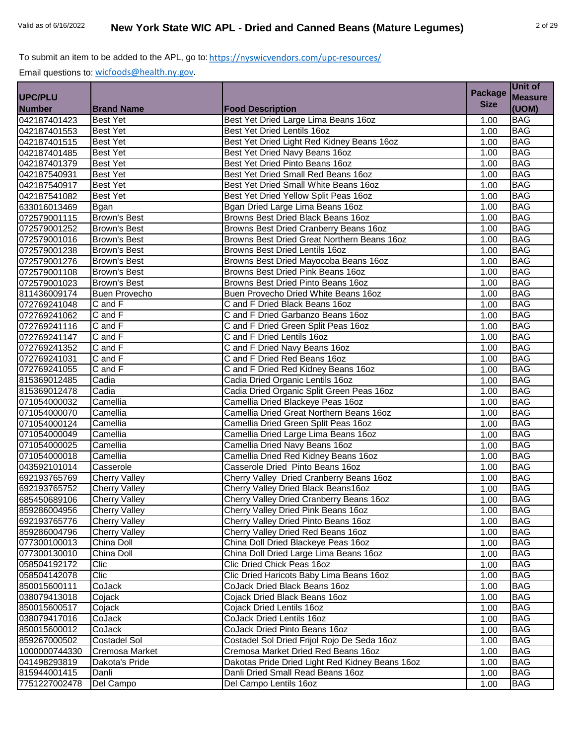| <b>Measure</b><br><b>Size</b><br><b>Number</b><br>(UOM)<br><b>Brand Name</b><br><b>Food Description</b><br>Best Yet Dried Large Lima Beans 16oz<br><b>BAG</b><br><b>Best Yet</b><br>1.00<br><b>BAG</b><br><b>Best Yet</b><br>Best Yet Dried Lentils 16oz<br>1.00<br>042187401515<br>Best Yet Dried Light Red Kidney Beans 16oz<br><b>BAG</b><br><b>Best Yet</b><br>1.00<br><b>Best Yet</b><br>Best Yet Dried Navy Beans 16oz<br><b>BAG</b><br>1.00<br><b>BAG</b><br><b>Best Yet</b><br>Best Yet Dried Pinto Beans 16oz<br>1.00<br><b>BAG</b><br><b>Best Yet</b><br>Best Yet Dried Small Red Beans 16oz<br>1.00<br><b>BAG</b><br>Best Yet Dried Small White Beans 16oz<br><b>Best Yet</b><br>1.00<br><b>BAG</b><br><b>Best Yet</b><br>Best Yet Dried Yellow Split Peas 16oz<br>1.00<br><b>BAG</b><br>Bgan Dried Large Lima Beans 16oz<br>633016013469<br><b>Bgan</b><br>1.00<br><b>BAG</b><br><b>Brown's Best</b><br>Browns Best Dried Black Beans 16oz<br>1.00<br>072579001252<br><b>BAG</b><br>Browns Best Dried Cranberry Beans 16oz<br><b>Brown's Best</b><br>1.00<br>072579001016<br>Browns Best Dried Great Northern Beans 16oz<br><b>BAG</b><br><b>Brown's Best</b><br>1.00<br>072579001238<br>Browns Best Dried Lentils 16oz<br><b>BAG</b><br><b>Brown's Best</b><br>1.00<br>072579001276<br><b>BAG</b><br>Brown's Best<br>Browns Best Dried Mayocoba Beans 16oz<br>1.00<br>072579001108<br><b>BAG</b><br>Browns Best Dried Pink Beans 16oz<br><b>Brown's Best</b><br>1.00<br><b>BAG</b><br><b>Brown's Best</b><br>Browns Best Dried Pinto Beans 16oz<br>1.00<br><b>BAG</b><br><b>Buen Provecho</b><br>Buen Provecho Dried White Beans 16oz<br>1.00<br><b>BAG</b><br>C and F<br>C and F Dried Black Beans 16oz<br>1.00<br><b>BAG</b><br>C and F Dried Garbanzo Beans 16oz<br>C and F<br>1.00<br><b>BAG</b><br>072769241116<br>C and F<br>C and F Dried Green Split Peas 16oz<br>1.00<br><b>BAG</b><br>C and F<br>C and F Dried Lentils 16oz<br>1.00<br>072769241147<br>072769241352<br><b>BAG</b><br>C and F Dried Navy Beans 16oz<br>C and F<br>1.00<br>072769241031<br><b>BAG</b><br>C and F<br>C and F Dried Red Beans 16oz<br>1.00<br>072769241055<br>C and F Dried Red Kidney Beans 16oz<br><b>BAG</b><br>C and F<br>1.00<br>815369012485<br>Cadia<br>Cadia Dried Organic Lentils 16oz<br><b>BAG</b><br>1.00<br>815369012478<br><b>BAG</b><br>Cadia<br>Cadia Dried Organic Split Green Peas 16oz<br>1.00<br>071054000032<br><b>BAG</b><br>Camellia<br>Camellia Dried Blackeye Peas 16oz<br>1.00<br>071054000070<br><b>BAG</b><br>Camellia<br>Camellia Dried Great Northern Beans 16oz<br>1.00<br><b>BAG</b><br>071054000124<br>Camellia<br>Camellia Dried Green Split Peas 16oz<br>1.00<br><b>BAG</b><br>Camellia<br>Camellia Dried Large Lima Beans 16oz<br>1.00<br>Camellia<br><b>BAG</b><br>Camellia Dried Navy Beans 16oz<br>1.00<br><b>BAG</b><br>Camellia<br>Camellia Dried Red Kidney Beans 16oz<br>071054000018<br>1.00<br><b>BAG</b><br>Casserole Dried Pinto Beans 16oz<br>043592101014<br>Casserole<br>1.00<br><b>BAG</b><br>692193765769<br><b>Cherry Valley</b><br>Cherry Valley Dried Cranberry Beans 16oz<br>1.00<br>692193765752<br>Cherry Valley Dried Black Beans16oz<br><b>BAG</b><br><b>Cherry Valley</b><br>1.00<br>685450689106<br><b>BAG</b><br><b>Cherry Valley</b><br>Cherry Valley Dried Cranberry Beans 16oz<br>1.00<br>Cherry Valley Dried Pink Beans 16oz<br>859286004956<br><b>Cherry Valley</b><br><b>BAG</b><br>1.00<br>692193765776<br><b>Cherry Valley</b><br>Cherry Valley Dried Pinto Beans 16oz<br><b>BAG</b><br>1.00<br><b>Cherry Valley</b><br>Cherry Valley Dried Red Beans 16oz<br><b>BAG</b><br>1.00<br>077300100013<br>China Doll Dried Blackeye Peas 16oz<br>China Doll<br><b>BAG</b><br>1.00<br>077300130010<br>China Doll<br>China Doll Dried Large Lima Beans 16oz<br><b>BAG</b><br>1.00<br>Clic Dried Chick Peas 16oz<br>Clic<br><b>BAG</b><br>1.00<br>Clic Dried Haricots Baby Lima Beans 16oz<br>058504142078<br>Clic<br>1.00<br><b>BAG</b><br><b>BAG</b><br>CoJack<br>CoJack Dried Black Beans 16oz<br>850015600111<br>1.00<br>038079413018<br>Cojack<br>Cojack Dried Black Beans 16oz<br><b>BAG</b><br>1.00<br><b>BAG</b><br>850015600517<br>Cojack<br>Cojack Dried Lentils 160z<br>1.00<br>CoJack<br>CoJack Dried Lentils 16oz<br><b>BAG</b><br>1.00<br>CoJack<br>CoJack Dried Pinto Beans 16oz<br><b>BAG</b><br>1.00<br>Costadel Sol Dried Frijol Rojo De Seda 16oz<br><b>BAG</b><br><b>Costadel Sol</b><br>1.00<br>Cremosa Market Dried Red Beans 16oz<br><b>BAG</b><br>Cremosa Market<br>1.00<br>Dakota's Pride<br>Dakotas Pride Dried Light Red Kidney Beans 16oz<br><b>BAG</b><br>1.00<br>Danli<br>Danli Dried Small Read Beans 16oz<br><b>BAG</b><br>1.00<br>Del Campo Lentils 16oz<br>Del Campo<br>1.00<br><b>BAG</b> |                |  |                | Unit of |
|-----------------------------------------------------------------------------------------------------------------------------------------------------------------------------------------------------------------------------------------------------------------------------------------------------------------------------------------------------------------------------------------------------------------------------------------------------------------------------------------------------------------------------------------------------------------------------------------------------------------------------------------------------------------------------------------------------------------------------------------------------------------------------------------------------------------------------------------------------------------------------------------------------------------------------------------------------------------------------------------------------------------------------------------------------------------------------------------------------------------------------------------------------------------------------------------------------------------------------------------------------------------------------------------------------------------------------------------------------------------------------------------------------------------------------------------------------------------------------------------------------------------------------------------------------------------------------------------------------------------------------------------------------------------------------------------------------------------------------------------------------------------------------------------------------------------------------------------------------------------------------------------------------------------------------------------------------------------------------------------------------------------------------------------------------------------------------------------------------------------------------------------------------------------------------------------------------------------------------------------------------------------------------------------------------------------------------------------------------------------------------------------------------------------------------------------------------------------------------------------------------------------------------------------------------------------------------------------------------------------------------------------------------------------------------------------------------------------------------------------------------------------------------------------------------------------------------------------------------------------------------------------------------------------------------------------------------------------------------------------------------------------------------------------------------------------------------------------------------------------------------------------------------------------------------------------------------------------------------------------------------------------------------------------------------------------------------------------------------------------------------------------------------------------------------------------------------------------------------------------------------------------------------------------------------------------------------------------------------------------------------------------------------------------------------------------------------------------------------------------------------------------------------------------------------------------------------------------------------------------------------------------------------------------------------------------------------------------------------------------------------------------------------------------------------------------------------------------------------------------------------------------------------------------------------------------------------------------------------------------------------------------------------------------------------------------------------------------------------------------------------------------------------------------------------------------------------------------------------------------------------------------------------------------------------------------------------------------------------------------------------------------------------------------------------------------------------------------------------------------------------------------------------------------------|----------------|--|----------------|---------|
|                                                                                                                                                                                                                                                                                                                                                                                                                                                                                                                                                                                                                                                                                                                                                                                                                                                                                                                                                                                                                                                                                                                                                                                                                                                                                                                                                                                                                                                                                                                                                                                                                                                                                                                                                                                                                                                                                                                                                                                                                                                                                                                                                                                                                                                                                                                                                                                                                                                                                                                                                                                                                                                                                                                                                                                                                                                                                                                                                                                                                                                                                                                                                                                                                                                                                                                                                                                                                                                                                                                                                                                                                                                                                                                                                                                                                                                                                                                                                                                                                                                                                                                                                                                                                                                                                                                                                                                                                                                                                                                                                                                                                                                                                                                                                                                               | <b>UPC/PLU</b> |  | <b>Package</b> |         |
|                                                                                                                                                                                                                                                                                                                                                                                                                                                                                                                                                                                                                                                                                                                                                                                                                                                                                                                                                                                                                                                                                                                                                                                                                                                                                                                                                                                                                                                                                                                                                                                                                                                                                                                                                                                                                                                                                                                                                                                                                                                                                                                                                                                                                                                                                                                                                                                                                                                                                                                                                                                                                                                                                                                                                                                                                                                                                                                                                                                                                                                                                                                                                                                                                                                                                                                                                                                                                                                                                                                                                                                                                                                                                                                                                                                                                                                                                                                                                                                                                                                                                                                                                                                                                                                                                                                                                                                                                                                                                                                                                                                                                                                                                                                                                                                               |                |  |                |         |
|                                                                                                                                                                                                                                                                                                                                                                                                                                                                                                                                                                                                                                                                                                                                                                                                                                                                                                                                                                                                                                                                                                                                                                                                                                                                                                                                                                                                                                                                                                                                                                                                                                                                                                                                                                                                                                                                                                                                                                                                                                                                                                                                                                                                                                                                                                                                                                                                                                                                                                                                                                                                                                                                                                                                                                                                                                                                                                                                                                                                                                                                                                                                                                                                                                                                                                                                                                                                                                                                                                                                                                                                                                                                                                                                                                                                                                                                                                                                                                                                                                                                                                                                                                                                                                                                                                                                                                                                                                                                                                                                                                                                                                                                                                                                                                                               | 042187401423   |  |                |         |
|                                                                                                                                                                                                                                                                                                                                                                                                                                                                                                                                                                                                                                                                                                                                                                                                                                                                                                                                                                                                                                                                                                                                                                                                                                                                                                                                                                                                                                                                                                                                                                                                                                                                                                                                                                                                                                                                                                                                                                                                                                                                                                                                                                                                                                                                                                                                                                                                                                                                                                                                                                                                                                                                                                                                                                                                                                                                                                                                                                                                                                                                                                                                                                                                                                                                                                                                                                                                                                                                                                                                                                                                                                                                                                                                                                                                                                                                                                                                                                                                                                                                                                                                                                                                                                                                                                                                                                                                                                                                                                                                                                                                                                                                                                                                                                                               | 042187401553   |  |                |         |
|                                                                                                                                                                                                                                                                                                                                                                                                                                                                                                                                                                                                                                                                                                                                                                                                                                                                                                                                                                                                                                                                                                                                                                                                                                                                                                                                                                                                                                                                                                                                                                                                                                                                                                                                                                                                                                                                                                                                                                                                                                                                                                                                                                                                                                                                                                                                                                                                                                                                                                                                                                                                                                                                                                                                                                                                                                                                                                                                                                                                                                                                                                                                                                                                                                                                                                                                                                                                                                                                                                                                                                                                                                                                                                                                                                                                                                                                                                                                                                                                                                                                                                                                                                                                                                                                                                                                                                                                                                                                                                                                                                                                                                                                                                                                                                                               |                |  |                |         |
|                                                                                                                                                                                                                                                                                                                                                                                                                                                                                                                                                                                                                                                                                                                                                                                                                                                                                                                                                                                                                                                                                                                                                                                                                                                                                                                                                                                                                                                                                                                                                                                                                                                                                                                                                                                                                                                                                                                                                                                                                                                                                                                                                                                                                                                                                                                                                                                                                                                                                                                                                                                                                                                                                                                                                                                                                                                                                                                                                                                                                                                                                                                                                                                                                                                                                                                                                                                                                                                                                                                                                                                                                                                                                                                                                                                                                                                                                                                                                                                                                                                                                                                                                                                                                                                                                                                                                                                                                                                                                                                                                                                                                                                                                                                                                                                               | 042187401485   |  |                |         |
|                                                                                                                                                                                                                                                                                                                                                                                                                                                                                                                                                                                                                                                                                                                                                                                                                                                                                                                                                                                                                                                                                                                                                                                                                                                                                                                                                                                                                                                                                                                                                                                                                                                                                                                                                                                                                                                                                                                                                                                                                                                                                                                                                                                                                                                                                                                                                                                                                                                                                                                                                                                                                                                                                                                                                                                                                                                                                                                                                                                                                                                                                                                                                                                                                                                                                                                                                                                                                                                                                                                                                                                                                                                                                                                                                                                                                                                                                                                                                                                                                                                                                                                                                                                                                                                                                                                                                                                                                                                                                                                                                                                                                                                                                                                                                                                               | 042187401379   |  |                |         |
|                                                                                                                                                                                                                                                                                                                                                                                                                                                                                                                                                                                                                                                                                                                                                                                                                                                                                                                                                                                                                                                                                                                                                                                                                                                                                                                                                                                                                                                                                                                                                                                                                                                                                                                                                                                                                                                                                                                                                                                                                                                                                                                                                                                                                                                                                                                                                                                                                                                                                                                                                                                                                                                                                                                                                                                                                                                                                                                                                                                                                                                                                                                                                                                                                                                                                                                                                                                                                                                                                                                                                                                                                                                                                                                                                                                                                                                                                                                                                                                                                                                                                                                                                                                                                                                                                                                                                                                                                                                                                                                                                                                                                                                                                                                                                                                               | 042187540931   |  |                |         |
|                                                                                                                                                                                                                                                                                                                                                                                                                                                                                                                                                                                                                                                                                                                                                                                                                                                                                                                                                                                                                                                                                                                                                                                                                                                                                                                                                                                                                                                                                                                                                                                                                                                                                                                                                                                                                                                                                                                                                                                                                                                                                                                                                                                                                                                                                                                                                                                                                                                                                                                                                                                                                                                                                                                                                                                                                                                                                                                                                                                                                                                                                                                                                                                                                                                                                                                                                                                                                                                                                                                                                                                                                                                                                                                                                                                                                                                                                                                                                                                                                                                                                                                                                                                                                                                                                                                                                                                                                                                                                                                                                                                                                                                                                                                                                                                               | 042187540917   |  |                |         |
|                                                                                                                                                                                                                                                                                                                                                                                                                                                                                                                                                                                                                                                                                                                                                                                                                                                                                                                                                                                                                                                                                                                                                                                                                                                                                                                                                                                                                                                                                                                                                                                                                                                                                                                                                                                                                                                                                                                                                                                                                                                                                                                                                                                                                                                                                                                                                                                                                                                                                                                                                                                                                                                                                                                                                                                                                                                                                                                                                                                                                                                                                                                                                                                                                                                                                                                                                                                                                                                                                                                                                                                                                                                                                                                                                                                                                                                                                                                                                                                                                                                                                                                                                                                                                                                                                                                                                                                                                                                                                                                                                                                                                                                                                                                                                                                               | 042187541082   |  |                |         |
|                                                                                                                                                                                                                                                                                                                                                                                                                                                                                                                                                                                                                                                                                                                                                                                                                                                                                                                                                                                                                                                                                                                                                                                                                                                                                                                                                                                                                                                                                                                                                                                                                                                                                                                                                                                                                                                                                                                                                                                                                                                                                                                                                                                                                                                                                                                                                                                                                                                                                                                                                                                                                                                                                                                                                                                                                                                                                                                                                                                                                                                                                                                                                                                                                                                                                                                                                                                                                                                                                                                                                                                                                                                                                                                                                                                                                                                                                                                                                                                                                                                                                                                                                                                                                                                                                                                                                                                                                                                                                                                                                                                                                                                                                                                                                                                               |                |  |                |         |
|                                                                                                                                                                                                                                                                                                                                                                                                                                                                                                                                                                                                                                                                                                                                                                                                                                                                                                                                                                                                                                                                                                                                                                                                                                                                                                                                                                                                                                                                                                                                                                                                                                                                                                                                                                                                                                                                                                                                                                                                                                                                                                                                                                                                                                                                                                                                                                                                                                                                                                                                                                                                                                                                                                                                                                                                                                                                                                                                                                                                                                                                                                                                                                                                                                                                                                                                                                                                                                                                                                                                                                                                                                                                                                                                                                                                                                                                                                                                                                                                                                                                                                                                                                                                                                                                                                                                                                                                                                                                                                                                                                                                                                                                                                                                                                                               | 072579001115   |  |                |         |
|                                                                                                                                                                                                                                                                                                                                                                                                                                                                                                                                                                                                                                                                                                                                                                                                                                                                                                                                                                                                                                                                                                                                                                                                                                                                                                                                                                                                                                                                                                                                                                                                                                                                                                                                                                                                                                                                                                                                                                                                                                                                                                                                                                                                                                                                                                                                                                                                                                                                                                                                                                                                                                                                                                                                                                                                                                                                                                                                                                                                                                                                                                                                                                                                                                                                                                                                                                                                                                                                                                                                                                                                                                                                                                                                                                                                                                                                                                                                                                                                                                                                                                                                                                                                                                                                                                                                                                                                                                                                                                                                                                                                                                                                                                                                                                                               |                |  |                |         |
|                                                                                                                                                                                                                                                                                                                                                                                                                                                                                                                                                                                                                                                                                                                                                                                                                                                                                                                                                                                                                                                                                                                                                                                                                                                                                                                                                                                                                                                                                                                                                                                                                                                                                                                                                                                                                                                                                                                                                                                                                                                                                                                                                                                                                                                                                                                                                                                                                                                                                                                                                                                                                                                                                                                                                                                                                                                                                                                                                                                                                                                                                                                                                                                                                                                                                                                                                                                                                                                                                                                                                                                                                                                                                                                                                                                                                                                                                                                                                                                                                                                                                                                                                                                                                                                                                                                                                                                                                                                                                                                                                                                                                                                                                                                                                                                               |                |  |                |         |
|                                                                                                                                                                                                                                                                                                                                                                                                                                                                                                                                                                                                                                                                                                                                                                                                                                                                                                                                                                                                                                                                                                                                                                                                                                                                                                                                                                                                                                                                                                                                                                                                                                                                                                                                                                                                                                                                                                                                                                                                                                                                                                                                                                                                                                                                                                                                                                                                                                                                                                                                                                                                                                                                                                                                                                                                                                                                                                                                                                                                                                                                                                                                                                                                                                                                                                                                                                                                                                                                                                                                                                                                                                                                                                                                                                                                                                                                                                                                                                                                                                                                                                                                                                                                                                                                                                                                                                                                                                                                                                                                                                                                                                                                                                                                                                                               |                |  |                |         |
|                                                                                                                                                                                                                                                                                                                                                                                                                                                                                                                                                                                                                                                                                                                                                                                                                                                                                                                                                                                                                                                                                                                                                                                                                                                                                                                                                                                                                                                                                                                                                                                                                                                                                                                                                                                                                                                                                                                                                                                                                                                                                                                                                                                                                                                                                                                                                                                                                                                                                                                                                                                                                                                                                                                                                                                                                                                                                                                                                                                                                                                                                                                                                                                                                                                                                                                                                                                                                                                                                                                                                                                                                                                                                                                                                                                                                                                                                                                                                                                                                                                                                                                                                                                                                                                                                                                                                                                                                                                                                                                                                                                                                                                                                                                                                                                               |                |  |                |         |
|                                                                                                                                                                                                                                                                                                                                                                                                                                                                                                                                                                                                                                                                                                                                                                                                                                                                                                                                                                                                                                                                                                                                                                                                                                                                                                                                                                                                                                                                                                                                                                                                                                                                                                                                                                                                                                                                                                                                                                                                                                                                                                                                                                                                                                                                                                                                                                                                                                                                                                                                                                                                                                                                                                                                                                                                                                                                                                                                                                                                                                                                                                                                                                                                                                                                                                                                                                                                                                                                                                                                                                                                                                                                                                                                                                                                                                                                                                                                                                                                                                                                                                                                                                                                                                                                                                                                                                                                                                                                                                                                                                                                                                                                                                                                                                                               |                |  |                |         |
|                                                                                                                                                                                                                                                                                                                                                                                                                                                                                                                                                                                                                                                                                                                                                                                                                                                                                                                                                                                                                                                                                                                                                                                                                                                                                                                                                                                                                                                                                                                                                                                                                                                                                                                                                                                                                                                                                                                                                                                                                                                                                                                                                                                                                                                                                                                                                                                                                                                                                                                                                                                                                                                                                                                                                                                                                                                                                                                                                                                                                                                                                                                                                                                                                                                                                                                                                                                                                                                                                                                                                                                                                                                                                                                                                                                                                                                                                                                                                                                                                                                                                                                                                                                                                                                                                                                                                                                                                                                                                                                                                                                                                                                                                                                                                                                               | 072579001023   |  |                |         |
|                                                                                                                                                                                                                                                                                                                                                                                                                                                                                                                                                                                                                                                                                                                                                                                                                                                                                                                                                                                                                                                                                                                                                                                                                                                                                                                                                                                                                                                                                                                                                                                                                                                                                                                                                                                                                                                                                                                                                                                                                                                                                                                                                                                                                                                                                                                                                                                                                                                                                                                                                                                                                                                                                                                                                                                                                                                                                                                                                                                                                                                                                                                                                                                                                                                                                                                                                                                                                                                                                                                                                                                                                                                                                                                                                                                                                                                                                                                                                                                                                                                                                                                                                                                                                                                                                                                                                                                                                                                                                                                                                                                                                                                                                                                                                                                               | 811436009174   |  |                |         |
|                                                                                                                                                                                                                                                                                                                                                                                                                                                                                                                                                                                                                                                                                                                                                                                                                                                                                                                                                                                                                                                                                                                                                                                                                                                                                                                                                                                                                                                                                                                                                                                                                                                                                                                                                                                                                                                                                                                                                                                                                                                                                                                                                                                                                                                                                                                                                                                                                                                                                                                                                                                                                                                                                                                                                                                                                                                                                                                                                                                                                                                                                                                                                                                                                                                                                                                                                                                                                                                                                                                                                                                                                                                                                                                                                                                                                                                                                                                                                                                                                                                                                                                                                                                                                                                                                                                                                                                                                                                                                                                                                                                                                                                                                                                                                                                               | 072769241048   |  |                |         |
|                                                                                                                                                                                                                                                                                                                                                                                                                                                                                                                                                                                                                                                                                                                                                                                                                                                                                                                                                                                                                                                                                                                                                                                                                                                                                                                                                                                                                                                                                                                                                                                                                                                                                                                                                                                                                                                                                                                                                                                                                                                                                                                                                                                                                                                                                                                                                                                                                                                                                                                                                                                                                                                                                                                                                                                                                                                                                                                                                                                                                                                                                                                                                                                                                                                                                                                                                                                                                                                                                                                                                                                                                                                                                                                                                                                                                                                                                                                                                                                                                                                                                                                                                                                                                                                                                                                                                                                                                                                                                                                                                                                                                                                                                                                                                                                               | 072769241062   |  |                |         |
|                                                                                                                                                                                                                                                                                                                                                                                                                                                                                                                                                                                                                                                                                                                                                                                                                                                                                                                                                                                                                                                                                                                                                                                                                                                                                                                                                                                                                                                                                                                                                                                                                                                                                                                                                                                                                                                                                                                                                                                                                                                                                                                                                                                                                                                                                                                                                                                                                                                                                                                                                                                                                                                                                                                                                                                                                                                                                                                                                                                                                                                                                                                                                                                                                                                                                                                                                                                                                                                                                                                                                                                                                                                                                                                                                                                                                                                                                                                                                                                                                                                                                                                                                                                                                                                                                                                                                                                                                                                                                                                                                                                                                                                                                                                                                                                               |                |  |                |         |
|                                                                                                                                                                                                                                                                                                                                                                                                                                                                                                                                                                                                                                                                                                                                                                                                                                                                                                                                                                                                                                                                                                                                                                                                                                                                                                                                                                                                                                                                                                                                                                                                                                                                                                                                                                                                                                                                                                                                                                                                                                                                                                                                                                                                                                                                                                                                                                                                                                                                                                                                                                                                                                                                                                                                                                                                                                                                                                                                                                                                                                                                                                                                                                                                                                                                                                                                                                                                                                                                                                                                                                                                                                                                                                                                                                                                                                                                                                                                                                                                                                                                                                                                                                                                                                                                                                                                                                                                                                                                                                                                                                                                                                                                                                                                                                                               |                |  |                |         |
|                                                                                                                                                                                                                                                                                                                                                                                                                                                                                                                                                                                                                                                                                                                                                                                                                                                                                                                                                                                                                                                                                                                                                                                                                                                                                                                                                                                                                                                                                                                                                                                                                                                                                                                                                                                                                                                                                                                                                                                                                                                                                                                                                                                                                                                                                                                                                                                                                                                                                                                                                                                                                                                                                                                                                                                                                                                                                                                                                                                                                                                                                                                                                                                                                                                                                                                                                                                                                                                                                                                                                                                                                                                                                                                                                                                                                                                                                                                                                                                                                                                                                                                                                                                                                                                                                                                                                                                                                                                                                                                                                                                                                                                                                                                                                                                               |                |  |                |         |
|                                                                                                                                                                                                                                                                                                                                                                                                                                                                                                                                                                                                                                                                                                                                                                                                                                                                                                                                                                                                                                                                                                                                                                                                                                                                                                                                                                                                                                                                                                                                                                                                                                                                                                                                                                                                                                                                                                                                                                                                                                                                                                                                                                                                                                                                                                                                                                                                                                                                                                                                                                                                                                                                                                                                                                                                                                                                                                                                                                                                                                                                                                                                                                                                                                                                                                                                                                                                                                                                                                                                                                                                                                                                                                                                                                                                                                                                                                                                                                                                                                                                                                                                                                                                                                                                                                                                                                                                                                                                                                                                                                                                                                                                                                                                                                                               |                |  |                |         |
|                                                                                                                                                                                                                                                                                                                                                                                                                                                                                                                                                                                                                                                                                                                                                                                                                                                                                                                                                                                                                                                                                                                                                                                                                                                                                                                                                                                                                                                                                                                                                                                                                                                                                                                                                                                                                                                                                                                                                                                                                                                                                                                                                                                                                                                                                                                                                                                                                                                                                                                                                                                                                                                                                                                                                                                                                                                                                                                                                                                                                                                                                                                                                                                                                                                                                                                                                                                                                                                                                                                                                                                                                                                                                                                                                                                                                                                                                                                                                                                                                                                                                                                                                                                                                                                                                                                                                                                                                                                                                                                                                                                                                                                                                                                                                                                               |                |  |                |         |
|                                                                                                                                                                                                                                                                                                                                                                                                                                                                                                                                                                                                                                                                                                                                                                                                                                                                                                                                                                                                                                                                                                                                                                                                                                                                                                                                                                                                                                                                                                                                                                                                                                                                                                                                                                                                                                                                                                                                                                                                                                                                                                                                                                                                                                                                                                                                                                                                                                                                                                                                                                                                                                                                                                                                                                                                                                                                                                                                                                                                                                                                                                                                                                                                                                                                                                                                                                                                                                                                                                                                                                                                                                                                                                                                                                                                                                                                                                                                                                                                                                                                                                                                                                                                                                                                                                                                                                                                                                                                                                                                                                                                                                                                                                                                                                                               |                |  |                |         |
|                                                                                                                                                                                                                                                                                                                                                                                                                                                                                                                                                                                                                                                                                                                                                                                                                                                                                                                                                                                                                                                                                                                                                                                                                                                                                                                                                                                                                                                                                                                                                                                                                                                                                                                                                                                                                                                                                                                                                                                                                                                                                                                                                                                                                                                                                                                                                                                                                                                                                                                                                                                                                                                                                                                                                                                                                                                                                                                                                                                                                                                                                                                                                                                                                                                                                                                                                                                                                                                                                                                                                                                                                                                                                                                                                                                                                                                                                                                                                                                                                                                                                                                                                                                                                                                                                                                                                                                                                                                                                                                                                                                                                                                                                                                                                                                               |                |  |                |         |
|                                                                                                                                                                                                                                                                                                                                                                                                                                                                                                                                                                                                                                                                                                                                                                                                                                                                                                                                                                                                                                                                                                                                                                                                                                                                                                                                                                                                                                                                                                                                                                                                                                                                                                                                                                                                                                                                                                                                                                                                                                                                                                                                                                                                                                                                                                                                                                                                                                                                                                                                                                                                                                                                                                                                                                                                                                                                                                                                                                                                                                                                                                                                                                                                                                                                                                                                                                                                                                                                                                                                                                                                                                                                                                                                                                                                                                                                                                                                                                                                                                                                                                                                                                                                                                                                                                                                                                                                                                                                                                                                                                                                                                                                                                                                                                                               |                |  |                |         |
|                                                                                                                                                                                                                                                                                                                                                                                                                                                                                                                                                                                                                                                                                                                                                                                                                                                                                                                                                                                                                                                                                                                                                                                                                                                                                                                                                                                                                                                                                                                                                                                                                                                                                                                                                                                                                                                                                                                                                                                                                                                                                                                                                                                                                                                                                                                                                                                                                                                                                                                                                                                                                                                                                                                                                                                                                                                                                                                                                                                                                                                                                                                                                                                                                                                                                                                                                                                                                                                                                                                                                                                                                                                                                                                                                                                                                                                                                                                                                                                                                                                                                                                                                                                                                                                                                                                                                                                                                                                                                                                                                                                                                                                                                                                                                                                               |                |  |                |         |
|                                                                                                                                                                                                                                                                                                                                                                                                                                                                                                                                                                                                                                                                                                                                                                                                                                                                                                                                                                                                                                                                                                                                                                                                                                                                                                                                                                                                                                                                                                                                                                                                                                                                                                                                                                                                                                                                                                                                                                                                                                                                                                                                                                                                                                                                                                                                                                                                                                                                                                                                                                                                                                                                                                                                                                                                                                                                                                                                                                                                                                                                                                                                                                                                                                                                                                                                                                                                                                                                                                                                                                                                                                                                                                                                                                                                                                                                                                                                                                                                                                                                                                                                                                                                                                                                                                                                                                                                                                                                                                                                                                                                                                                                                                                                                                                               |                |  |                |         |
|                                                                                                                                                                                                                                                                                                                                                                                                                                                                                                                                                                                                                                                                                                                                                                                                                                                                                                                                                                                                                                                                                                                                                                                                                                                                                                                                                                                                                                                                                                                                                                                                                                                                                                                                                                                                                                                                                                                                                                                                                                                                                                                                                                                                                                                                                                                                                                                                                                                                                                                                                                                                                                                                                                                                                                                                                                                                                                                                                                                                                                                                                                                                                                                                                                                                                                                                                                                                                                                                                                                                                                                                                                                                                                                                                                                                                                                                                                                                                                                                                                                                                                                                                                                                                                                                                                                                                                                                                                                                                                                                                                                                                                                                                                                                                                                               | 071054000049   |  |                |         |
|                                                                                                                                                                                                                                                                                                                                                                                                                                                                                                                                                                                                                                                                                                                                                                                                                                                                                                                                                                                                                                                                                                                                                                                                                                                                                                                                                                                                                                                                                                                                                                                                                                                                                                                                                                                                                                                                                                                                                                                                                                                                                                                                                                                                                                                                                                                                                                                                                                                                                                                                                                                                                                                                                                                                                                                                                                                                                                                                                                                                                                                                                                                                                                                                                                                                                                                                                                                                                                                                                                                                                                                                                                                                                                                                                                                                                                                                                                                                                                                                                                                                                                                                                                                                                                                                                                                                                                                                                                                                                                                                                                                                                                                                                                                                                                                               | 071054000025   |  |                |         |
|                                                                                                                                                                                                                                                                                                                                                                                                                                                                                                                                                                                                                                                                                                                                                                                                                                                                                                                                                                                                                                                                                                                                                                                                                                                                                                                                                                                                                                                                                                                                                                                                                                                                                                                                                                                                                                                                                                                                                                                                                                                                                                                                                                                                                                                                                                                                                                                                                                                                                                                                                                                                                                                                                                                                                                                                                                                                                                                                                                                                                                                                                                                                                                                                                                                                                                                                                                                                                                                                                                                                                                                                                                                                                                                                                                                                                                                                                                                                                                                                                                                                                                                                                                                                                                                                                                                                                                                                                                                                                                                                                                                                                                                                                                                                                                                               |                |  |                |         |
|                                                                                                                                                                                                                                                                                                                                                                                                                                                                                                                                                                                                                                                                                                                                                                                                                                                                                                                                                                                                                                                                                                                                                                                                                                                                                                                                                                                                                                                                                                                                                                                                                                                                                                                                                                                                                                                                                                                                                                                                                                                                                                                                                                                                                                                                                                                                                                                                                                                                                                                                                                                                                                                                                                                                                                                                                                                                                                                                                                                                                                                                                                                                                                                                                                                                                                                                                                                                                                                                                                                                                                                                                                                                                                                                                                                                                                                                                                                                                                                                                                                                                                                                                                                                                                                                                                                                                                                                                                                                                                                                                                                                                                                                                                                                                                                               |                |  |                |         |
|                                                                                                                                                                                                                                                                                                                                                                                                                                                                                                                                                                                                                                                                                                                                                                                                                                                                                                                                                                                                                                                                                                                                                                                                                                                                                                                                                                                                                                                                                                                                                                                                                                                                                                                                                                                                                                                                                                                                                                                                                                                                                                                                                                                                                                                                                                                                                                                                                                                                                                                                                                                                                                                                                                                                                                                                                                                                                                                                                                                                                                                                                                                                                                                                                                                                                                                                                                                                                                                                                                                                                                                                                                                                                                                                                                                                                                                                                                                                                                                                                                                                                                                                                                                                                                                                                                                                                                                                                                                                                                                                                                                                                                                                                                                                                                                               |                |  |                |         |
|                                                                                                                                                                                                                                                                                                                                                                                                                                                                                                                                                                                                                                                                                                                                                                                                                                                                                                                                                                                                                                                                                                                                                                                                                                                                                                                                                                                                                                                                                                                                                                                                                                                                                                                                                                                                                                                                                                                                                                                                                                                                                                                                                                                                                                                                                                                                                                                                                                                                                                                                                                                                                                                                                                                                                                                                                                                                                                                                                                                                                                                                                                                                                                                                                                                                                                                                                                                                                                                                                                                                                                                                                                                                                                                                                                                                                                                                                                                                                                                                                                                                                                                                                                                                                                                                                                                                                                                                                                                                                                                                                                                                                                                                                                                                                                                               |                |  |                |         |
|                                                                                                                                                                                                                                                                                                                                                                                                                                                                                                                                                                                                                                                                                                                                                                                                                                                                                                                                                                                                                                                                                                                                                                                                                                                                                                                                                                                                                                                                                                                                                                                                                                                                                                                                                                                                                                                                                                                                                                                                                                                                                                                                                                                                                                                                                                                                                                                                                                                                                                                                                                                                                                                                                                                                                                                                                                                                                                                                                                                                                                                                                                                                                                                                                                                                                                                                                                                                                                                                                                                                                                                                                                                                                                                                                                                                                                                                                                                                                                                                                                                                                                                                                                                                                                                                                                                                                                                                                                                                                                                                                                                                                                                                                                                                                                                               |                |  |                |         |
|                                                                                                                                                                                                                                                                                                                                                                                                                                                                                                                                                                                                                                                                                                                                                                                                                                                                                                                                                                                                                                                                                                                                                                                                                                                                                                                                                                                                                                                                                                                                                                                                                                                                                                                                                                                                                                                                                                                                                                                                                                                                                                                                                                                                                                                                                                                                                                                                                                                                                                                                                                                                                                                                                                                                                                                                                                                                                                                                                                                                                                                                                                                                                                                                                                                                                                                                                                                                                                                                                                                                                                                                                                                                                                                                                                                                                                                                                                                                                                                                                                                                                                                                                                                                                                                                                                                                                                                                                                                                                                                                                                                                                                                                                                                                                                                               |                |  |                |         |
|                                                                                                                                                                                                                                                                                                                                                                                                                                                                                                                                                                                                                                                                                                                                                                                                                                                                                                                                                                                                                                                                                                                                                                                                                                                                                                                                                                                                                                                                                                                                                                                                                                                                                                                                                                                                                                                                                                                                                                                                                                                                                                                                                                                                                                                                                                                                                                                                                                                                                                                                                                                                                                                                                                                                                                                                                                                                                                                                                                                                                                                                                                                                                                                                                                                                                                                                                                                                                                                                                                                                                                                                                                                                                                                                                                                                                                                                                                                                                                                                                                                                                                                                                                                                                                                                                                                                                                                                                                                                                                                                                                                                                                                                                                                                                                                               |                |  |                |         |
|                                                                                                                                                                                                                                                                                                                                                                                                                                                                                                                                                                                                                                                                                                                                                                                                                                                                                                                                                                                                                                                                                                                                                                                                                                                                                                                                                                                                                                                                                                                                                                                                                                                                                                                                                                                                                                                                                                                                                                                                                                                                                                                                                                                                                                                                                                                                                                                                                                                                                                                                                                                                                                                                                                                                                                                                                                                                                                                                                                                                                                                                                                                                                                                                                                                                                                                                                                                                                                                                                                                                                                                                                                                                                                                                                                                                                                                                                                                                                                                                                                                                                                                                                                                                                                                                                                                                                                                                                                                                                                                                                                                                                                                                                                                                                                                               | 859286004796   |  |                |         |
|                                                                                                                                                                                                                                                                                                                                                                                                                                                                                                                                                                                                                                                                                                                                                                                                                                                                                                                                                                                                                                                                                                                                                                                                                                                                                                                                                                                                                                                                                                                                                                                                                                                                                                                                                                                                                                                                                                                                                                                                                                                                                                                                                                                                                                                                                                                                                                                                                                                                                                                                                                                                                                                                                                                                                                                                                                                                                                                                                                                                                                                                                                                                                                                                                                                                                                                                                                                                                                                                                                                                                                                                                                                                                                                                                                                                                                                                                                                                                                                                                                                                                                                                                                                                                                                                                                                                                                                                                                                                                                                                                                                                                                                                                                                                                                                               |                |  |                |         |
|                                                                                                                                                                                                                                                                                                                                                                                                                                                                                                                                                                                                                                                                                                                                                                                                                                                                                                                                                                                                                                                                                                                                                                                                                                                                                                                                                                                                                                                                                                                                                                                                                                                                                                                                                                                                                                                                                                                                                                                                                                                                                                                                                                                                                                                                                                                                                                                                                                                                                                                                                                                                                                                                                                                                                                                                                                                                                                                                                                                                                                                                                                                                                                                                                                                                                                                                                                                                                                                                                                                                                                                                                                                                                                                                                                                                                                                                                                                                                                                                                                                                                                                                                                                                                                                                                                                                                                                                                                                                                                                                                                                                                                                                                                                                                                                               |                |  |                |         |
|                                                                                                                                                                                                                                                                                                                                                                                                                                                                                                                                                                                                                                                                                                                                                                                                                                                                                                                                                                                                                                                                                                                                                                                                                                                                                                                                                                                                                                                                                                                                                                                                                                                                                                                                                                                                                                                                                                                                                                                                                                                                                                                                                                                                                                                                                                                                                                                                                                                                                                                                                                                                                                                                                                                                                                                                                                                                                                                                                                                                                                                                                                                                                                                                                                                                                                                                                                                                                                                                                                                                                                                                                                                                                                                                                                                                                                                                                                                                                                                                                                                                                                                                                                                                                                                                                                                                                                                                                                                                                                                                                                                                                                                                                                                                                                                               | 058504192172   |  |                |         |
|                                                                                                                                                                                                                                                                                                                                                                                                                                                                                                                                                                                                                                                                                                                                                                                                                                                                                                                                                                                                                                                                                                                                                                                                                                                                                                                                                                                                                                                                                                                                                                                                                                                                                                                                                                                                                                                                                                                                                                                                                                                                                                                                                                                                                                                                                                                                                                                                                                                                                                                                                                                                                                                                                                                                                                                                                                                                                                                                                                                                                                                                                                                                                                                                                                                                                                                                                                                                                                                                                                                                                                                                                                                                                                                                                                                                                                                                                                                                                                                                                                                                                                                                                                                                                                                                                                                                                                                                                                                                                                                                                                                                                                                                                                                                                                                               |                |  |                |         |
|                                                                                                                                                                                                                                                                                                                                                                                                                                                                                                                                                                                                                                                                                                                                                                                                                                                                                                                                                                                                                                                                                                                                                                                                                                                                                                                                                                                                                                                                                                                                                                                                                                                                                                                                                                                                                                                                                                                                                                                                                                                                                                                                                                                                                                                                                                                                                                                                                                                                                                                                                                                                                                                                                                                                                                                                                                                                                                                                                                                                                                                                                                                                                                                                                                                                                                                                                                                                                                                                                                                                                                                                                                                                                                                                                                                                                                                                                                                                                                                                                                                                                                                                                                                                                                                                                                                                                                                                                                                                                                                                                                                                                                                                                                                                                                                               |                |  |                |         |
|                                                                                                                                                                                                                                                                                                                                                                                                                                                                                                                                                                                                                                                                                                                                                                                                                                                                                                                                                                                                                                                                                                                                                                                                                                                                                                                                                                                                                                                                                                                                                                                                                                                                                                                                                                                                                                                                                                                                                                                                                                                                                                                                                                                                                                                                                                                                                                                                                                                                                                                                                                                                                                                                                                                                                                                                                                                                                                                                                                                                                                                                                                                                                                                                                                                                                                                                                                                                                                                                                                                                                                                                                                                                                                                                                                                                                                                                                                                                                                                                                                                                                                                                                                                                                                                                                                                                                                                                                                                                                                                                                                                                                                                                                                                                                                                               |                |  |                |         |
|                                                                                                                                                                                                                                                                                                                                                                                                                                                                                                                                                                                                                                                                                                                                                                                                                                                                                                                                                                                                                                                                                                                                                                                                                                                                                                                                                                                                                                                                                                                                                                                                                                                                                                                                                                                                                                                                                                                                                                                                                                                                                                                                                                                                                                                                                                                                                                                                                                                                                                                                                                                                                                                                                                                                                                                                                                                                                                                                                                                                                                                                                                                                                                                                                                                                                                                                                                                                                                                                                                                                                                                                                                                                                                                                                                                                                                                                                                                                                                                                                                                                                                                                                                                                                                                                                                                                                                                                                                                                                                                                                                                                                                                                                                                                                                                               |                |  |                |         |
|                                                                                                                                                                                                                                                                                                                                                                                                                                                                                                                                                                                                                                                                                                                                                                                                                                                                                                                                                                                                                                                                                                                                                                                                                                                                                                                                                                                                                                                                                                                                                                                                                                                                                                                                                                                                                                                                                                                                                                                                                                                                                                                                                                                                                                                                                                                                                                                                                                                                                                                                                                                                                                                                                                                                                                                                                                                                                                                                                                                                                                                                                                                                                                                                                                                                                                                                                                                                                                                                                                                                                                                                                                                                                                                                                                                                                                                                                                                                                                                                                                                                                                                                                                                                                                                                                                                                                                                                                                                                                                                                                                                                                                                                                                                                                                                               | 038079417016   |  |                |         |
|                                                                                                                                                                                                                                                                                                                                                                                                                                                                                                                                                                                                                                                                                                                                                                                                                                                                                                                                                                                                                                                                                                                                                                                                                                                                                                                                                                                                                                                                                                                                                                                                                                                                                                                                                                                                                                                                                                                                                                                                                                                                                                                                                                                                                                                                                                                                                                                                                                                                                                                                                                                                                                                                                                                                                                                                                                                                                                                                                                                                                                                                                                                                                                                                                                                                                                                                                                                                                                                                                                                                                                                                                                                                                                                                                                                                                                                                                                                                                                                                                                                                                                                                                                                                                                                                                                                                                                                                                                                                                                                                                                                                                                                                                                                                                                                               | 850015600012   |  |                |         |
|                                                                                                                                                                                                                                                                                                                                                                                                                                                                                                                                                                                                                                                                                                                                                                                                                                                                                                                                                                                                                                                                                                                                                                                                                                                                                                                                                                                                                                                                                                                                                                                                                                                                                                                                                                                                                                                                                                                                                                                                                                                                                                                                                                                                                                                                                                                                                                                                                                                                                                                                                                                                                                                                                                                                                                                                                                                                                                                                                                                                                                                                                                                                                                                                                                                                                                                                                                                                                                                                                                                                                                                                                                                                                                                                                                                                                                                                                                                                                                                                                                                                                                                                                                                                                                                                                                                                                                                                                                                                                                                                                                                                                                                                                                                                                                                               | 859267000502   |  |                |         |
|                                                                                                                                                                                                                                                                                                                                                                                                                                                                                                                                                                                                                                                                                                                                                                                                                                                                                                                                                                                                                                                                                                                                                                                                                                                                                                                                                                                                                                                                                                                                                                                                                                                                                                                                                                                                                                                                                                                                                                                                                                                                                                                                                                                                                                                                                                                                                                                                                                                                                                                                                                                                                                                                                                                                                                                                                                                                                                                                                                                                                                                                                                                                                                                                                                                                                                                                                                                                                                                                                                                                                                                                                                                                                                                                                                                                                                                                                                                                                                                                                                                                                                                                                                                                                                                                                                                                                                                                                                                                                                                                                                                                                                                                                                                                                                                               | 1000000744330  |  |                |         |
|                                                                                                                                                                                                                                                                                                                                                                                                                                                                                                                                                                                                                                                                                                                                                                                                                                                                                                                                                                                                                                                                                                                                                                                                                                                                                                                                                                                                                                                                                                                                                                                                                                                                                                                                                                                                                                                                                                                                                                                                                                                                                                                                                                                                                                                                                                                                                                                                                                                                                                                                                                                                                                                                                                                                                                                                                                                                                                                                                                                                                                                                                                                                                                                                                                                                                                                                                                                                                                                                                                                                                                                                                                                                                                                                                                                                                                                                                                                                                                                                                                                                                                                                                                                                                                                                                                                                                                                                                                                                                                                                                                                                                                                                                                                                                                                               | 041498293819   |  |                |         |
|                                                                                                                                                                                                                                                                                                                                                                                                                                                                                                                                                                                                                                                                                                                                                                                                                                                                                                                                                                                                                                                                                                                                                                                                                                                                                                                                                                                                                                                                                                                                                                                                                                                                                                                                                                                                                                                                                                                                                                                                                                                                                                                                                                                                                                                                                                                                                                                                                                                                                                                                                                                                                                                                                                                                                                                                                                                                                                                                                                                                                                                                                                                                                                                                                                                                                                                                                                                                                                                                                                                                                                                                                                                                                                                                                                                                                                                                                                                                                                                                                                                                                                                                                                                                                                                                                                                                                                                                                                                                                                                                                                                                                                                                                                                                                                                               | 815944001415   |  |                |         |
|                                                                                                                                                                                                                                                                                                                                                                                                                                                                                                                                                                                                                                                                                                                                                                                                                                                                                                                                                                                                                                                                                                                                                                                                                                                                                                                                                                                                                                                                                                                                                                                                                                                                                                                                                                                                                                                                                                                                                                                                                                                                                                                                                                                                                                                                                                                                                                                                                                                                                                                                                                                                                                                                                                                                                                                                                                                                                                                                                                                                                                                                                                                                                                                                                                                                                                                                                                                                                                                                                                                                                                                                                                                                                                                                                                                                                                                                                                                                                                                                                                                                                                                                                                                                                                                                                                                                                                                                                                                                                                                                                                                                                                                                                                                                                                                               | 7751227002478  |  |                |         |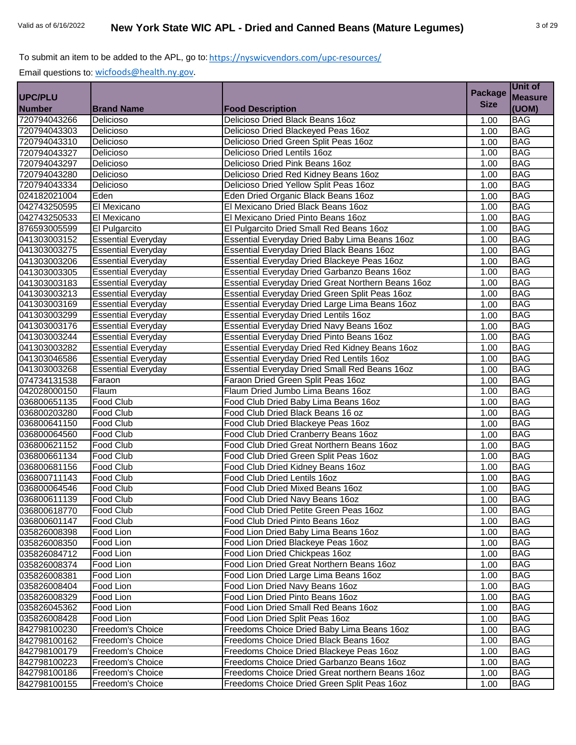| <b>Size</b><br>(UOM)<br><b>Brand Name</b><br><b>Food Description</b><br>Delicioso Dried Black Beans 16oz<br><b>BAG</b><br>Delicioso<br>1.00<br><b>BAG</b><br>Delicioso<br>Delicioso Dried Blackeyed Peas 16oz<br>1.00<br><b>BAG</b><br>Delicioso<br>Delicioso Dried Green Split Peas 16oz<br>1.00<br>Delicioso<br>Delicioso Dried Lentils 16oz<br><b>BAG</b><br>1.00<br><b>BAG</b><br>Delicioso<br>Delicioso Dried Pink Beans 16oz<br>1.00<br><b>BAG</b><br>Delicioso<br>Delicioso Dried Red Kidney Beans 16oz<br>1.00<br><b>BAG</b><br>Delicioso<br>Delicioso Dried Yellow Split Peas 16oz<br>1.00<br><b>BAG</b><br>Eden<br>Eden Dried Organic Black Beans 16oz<br>1.00<br><b>BAG</b><br>El Mexicano<br>El Mexicano Dried Black Beans 16oz<br>1.00<br><b>BAG</b><br>El Mexicano<br>El Mexicano Dried Pinto Beans 16oz<br>1.00<br><b>BAG</b><br>El Pulgarcito<br>El Pulgarcito Dried Small Red Beans 16oz<br>1.00<br><b>BAG</b><br>Essential Everyday Dried Baby Lima Beans 16oz<br><b>Essential Everyday</b><br>1.00<br>041303003275<br><b>BAG</b><br><b>Essential Everyday</b><br>Essential Everyday Dried Black Beans 16oz<br>1.00<br><b>Essential Everyday</b><br>Essential Everyday Dried Blackeye Peas 16oz<br><b>BAG</b><br>1.00<br><b>BAG</b><br><b>Essential Everyday</b><br>Essential Everyday Dried Garbanzo Beans 16oz<br>1.00<br><b>BAG</b><br><b>Essential Everyday</b><br>Essential Everyday Dried Great Northern Beans 16oz<br>1.00<br><b>BAG</b><br><b>Essential Everyday</b><br>Essential Everyday Dried Green Split Peas 16oz<br>1.00<br><b>BAG</b><br><b>Essential Everyday</b><br>Essential Everyday Dried Large Lima Beans 16oz<br>1.00<br><b>BAG</b><br><b>Essential Everyday</b><br><b>Essential Everyday Dried Lentils 16oz</b><br>1.00<br><b>BAG</b><br><b>Essential Everyday</b><br>Essential Everyday Dried Navy Beans 16oz<br>1.00<br><b>BAG</b><br><b>Essential Everyday</b><br>Essential Everyday Dried Pinto Beans 16oz<br>1.00<br><b>BAG</b><br>Essential Everyday Dried Red Kidney Beans 16oz<br><b>Essential Everyday</b><br>1.00<br><b>Essential Everyday</b><br>Essential Everyday Dried Red Lentils 16oz<br><b>BAG</b><br>1.00<br><b>BAG</b><br>Essential Everyday Dried Small Red Beans 16oz<br>1.00<br><b>Essential Everyday</b><br>Faraon Dried Green Split Peas 16oz<br><b>BAG</b><br>1.00<br>Faraon<br><b>BAG</b><br>Flaum<br>Flaum Dried Jumbo Lima Beans 16oz<br>1.00<br><b>BAG</b><br>Food Club<br>Food Club Dried Baby Lima Beans 16oz<br>1.00<br>Food Club Dried Black Beans 16 oz<br><b>BAG</b><br>Food Club<br>1.00<br>Food Club<br>Food Club Dried Blackeye Peas 16oz<br><b>BAG</b><br>1.00<br>Food Club<br>Food Club Dried Cranberry Beans 16oz<br><b>BAG</b><br>1.00<br>Food Club Dried Great Northern Beans 16oz<br>Food Club<br><b>BAG</b><br>1.00<br>Food Club<br>Food Club Dried Green Split Peas 16oz<br><b>BAG</b><br>1.00<br>Food Club<br>Food Club Dried Kidney Beans 16oz<br><b>BAG</b><br>1.00<br><b>BAG</b><br><b>Food Club</b><br>Food Club Dried Lentils 16oz<br>1.00<br>Food Club<br><b>BAG</b><br>Food Club Dried Mixed Beans 16oz<br>1.00<br><b>BAG</b><br>Food Club<br>Food Club Dried Navy Beans 16oz<br>1.00<br><b>BAG</b><br>036800618770<br><b>Food Club</b><br>Food Club Dried Petite Green Peas 16oz<br>1.00<br>Food Club<br>Food Club Dried Pinto Beans 16oz<br><b>BAG</b><br>1.00<br>Food Lion<br>Food Lion Dried Baby Lima Beans 16oz<br>1.00<br><b>BAG</b><br>Food Lion<br>Food Lion Dried Blackeye Peas 16oz<br><b>BAG</b><br>1.00<br>Food Lion<br>Food Lion Dried Chickpeas 16oz<br><b>BAG</b><br>1.00<br>Food Lion Dried Great Northern Beans 16oz<br>Food Lion<br><b>BAG</b><br>1.00<br>Food Lion<br>Food Lion Dried Large Lima Beans 16oz<br><b>BAG</b><br>1.00<br>Food Lion<br><b>BAG</b><br>Food Lion Dried Navy Beans 16oz<br>1.00<br>Food Lion<br><b>BAG</b><br>Food Lion Dried Pinto Beans 16oz<br>1.00<br>Food Lion<br>Food Lion Dried Small Red Beans 16oz<br><b>BAG</b><br>1.00<br><b>BAG</b><br>Food Lion<br>Food Lion Dried Split Peas 16oz<br>1.00<br>Freedoms Choice Dried Baby Lima Beans 16oz<br><b>BAG</b><br>Freedom's Choice<br>1.00<br><b>BAG</b><br>Freedoms Choice Dried Black Beans 16oz<br>Freedom's Choice<br>1.00<br>Freedoms Choice Dried Blackeye Peas 16oz<br><b>BAG</b><br>Freedom's Choice<br>1.00<br>Freedoms Choice Dried Garbanzo Beans 16oz<br><b>BAG</b><br>Freedom's Choice<br>1.00<br>Freedoms Choice Dried Great northern Beans 16oz<br>Freedom's Choice<br><b>BAG</b><br>1.00<br>Freedom's Choice<br>Freedoms Choice Dried Green Split Peas 16oz<br><b>BAG</b><br>1.00 |                |  | <b>Package</b> | Unit of        |
|---------------------------------------------------------------------------------------------------------------------------------------------------------------------------------------------------------------------------------------------------------------------------------------------------------------------------------------------------------------------------------------------------------------------------------------------------------------------------------------------------------------------------------------------------------------------------------------------------------------------------------------------------------------------------------------------------------------------------------------------------------------------------------------------------------------------------------------------------------------------------------------------------------------------------------------------------------------------------------------------------------------------------------------------------------------------------------------------------------------------------------------------------------------------------------------------------------------------------------------------------------------------------------------------------------------------------------------------------------------------------------------------------------------------------------------------------------------------------------------------------------------------------------------------------------------------------------------------------------------------------------------------------------------------------------------------------------------------------------------------------------------------------------------------------------------------------------------------------------------------------------------------------------------------------------------------------------------------------------------------------------------------------------------------------------------------------------------------------------------------------------------------------------------------------------------------------------------------------------------------------------------------------------------------------------------------------------------------------------------------------------------------------------------------------------------------------------------------------------------------------------------------------------------------------------------------------------------------------------------------------------------------------------------------------------------------------------------------------------------------------------------------------------------------------------------------------------------------------------------------------------------------------------------------------------------------------------------------------------------------------------------------------------------------------------------------------------------------------------------------------------------------------------------------------------------------------------------------------------------------------------------------------------------------------------------------------------------------------------------------------------------------------------------------------------------------------------------------------------------------------------------------------------------------------------------------------------------------------------------------------------------------------------------------------------------------------------------------------------------------------------------------------------------------------------------------------------------------------------------------------------------------------------------------------------------------------------------------------------------------------------------------------------------------------------------------------------------------------------------------------------------------------------------------------------------------------------------------------------------------------------------------------------------------------------------------------------------------------------------------------------------------------------------------------------------------------------------------------------------------------------------------------------------------------------------------------------------------------|----------------|--|----------------|----------------|
|                                                                                                                                                                                                                                                                                                                                                                                                                                                                                                                                                                                                                                                                                                                                                                                                                                                                                                                                                                                                                                                                                                                                                                                                                                                                                                                                                                                                                                                                                                                                                                                                                                                                                                                                                                                                                                                                                                                                                                                                                                                                                                                                                                                                                                                                                                                                                                                                                                                                                                                                                                                                                                                                                                                                                                                                                                                                                                                                                                                                                                                                                                                                                                                                                                                                                                                                                                                                                                                                                                                                                                                                                                                                                                                                                                                                                                                                                                                                                                                                                                                                                                                                                                                                                                                                                                                                                                                                                                                                                                                                                                                                   | <b>UPC/PLU</b> |  |                | <b>Measure</b> |
|                                                                                                                                                                                                                                                                                                                                                                                                                                                                                                                                                                                                                                                                                                                                                                                                                                                                                                                                                                                                                                                                                                                                                                                                                                                                                                                                                                                                                                                                                                                                                                                                                                                                                                                                                                                                                                                                                                                                                                                                                                                                                                                                                                                                                                                                                                                                                                                                                                                                                                                                                                                                                                                                                                                                                                                                                                                                                                                                                                                                                                                                                                                                                                                                                                                                                                                                                                                                                                                                                                                                                                                                                                                                                                                                                                                                                                                                                                                                                                                                                                                                                                                                                                                                                                                                                                                                                                                                                                                                                                                                                                                                   | <b>Number</b>  |  |                |                |
|                                                                                                                                                                                                                                                                                                                                                                                                                                                                                                                                                                                                                                                                                                                                                                                                                                                                                                                                                                                                                                                                                                                                                                                                                                                                                                                                                                                                                                                                                                                                                                                                                                                                                                                                                                                                                                                                                                                                                                                                                                                                                                                                                                                                                                                                                                                                                                                                                                                                                                                                                                                                                                                                                                                                                                                                                                                                                                                                                                                                                                                                                                                                                                                                                                                                                                                                                                                                                                                                                                                                                                                                                                                                                                                                                                                                                                                                                                                                                                                                                                                                                                                                                                                                                                                                                                                                                                                                                                                                                                                                                                                                   | 720794043266   |  |                |                |
|                                                                                                                                                                                                                                                                                                                                                                                                                                                                                                                                                                                                                                                                                                                                                                                                                                                                                                                                                                                                                                                                                                                                                                                                                                                                                                                                                                                                                                                                                                                                                                                                                                                                                                                                                                                                                                                                                                                                                                                                                                                                                                                                                                                                                                                                                                                                                                                                                                                                                                                                                                                                                                                                                                                                                                                                                                                                                                                                                                                                                                                                                                                                                                                                                                                                                                                                                                                                                                                                                                                                                                                                                                                                                                                                                                                                                                                                                                                                                                                                                                                                                                                                                                                                                                                                                                                                                                                                                                                                                                                                                                                                   | 720794043303   |  |                |                |
|                                                                                                                                                                                                                                                                                                                                                                                                                                                                                                                                                                                                                                                                                                                                                                                                                                                                                                                                                                                                                                                                                                                                                                                                                                                                                                                                                                                                                                                                                                                                                                                                                                                                                                                                                                                                                                                                                                                                                                                                                                                                                                                                                                                                                                                                                                                                                                                                                                                                                                                                                                                                                                                                                                                                                                                                                                                                                                                                                                                                                                                                                                                                                                                                                                                                                                                                                                                                                                                                                                                                                                                                                                                                                                                                                                                                                                                                                                                                                                                                                                                                                                                                                                                                                                                                                                                                                                                                                                                                                                                                                                                                   | 720794043310   |  |                |                |
|                                                                                                                                                                                                                                                                                                                                                                                                                                                                                                                                                                                                                                                                                                                                                                                                                                                                                                                                                                                                                                                                                                                                                                                                                                                                                                                                                                                                                                                                                                                                                                                                                                                                                                                                                                                                                                                                                                                                                                                                                                                                                                                                                                                                                                                                                                                                                                                                                                                                                                                                                                                                                                                                                                                                                                                                                                                                                                                                                                                                                                                                                                                                                                                                                                                                                                                                                                                                                                                                                                                                                                                                                                                                                                                                                                                                                                                                                                                                                                                                                                                                                                                                                                                                                                                                                                                                                                                                                                                                                                                                                                                                   | 720794043327   |  |                |                |
|                                                                                                                                                                                                                                                                                                                                                                                                                                                                                                                                                                                                                                                                                                                                                                                                                                                                                                                                                                                                                                                                                                                                                                                                                                                                                                                                                                                                                                                                                                                                                                                                                                                                                                                                                                                                                                                                                                                                                                                                                                                                                                                                                                                                                                                                                                                                                                                                                                                                                                                                                                                                                                                                                                                                                                                                                                                                                                                                                                                                                                                                                                                                                                                                                                                                                                                                                                                                                                                                                                                                                                                                                                                                                                                                                                                                                                                                                                                                                                                                                                                                                                                                                                                                                                                                                                                                                                                                                                                                                                                                                                                                   | 720794043297   |  |                |                |
|                                                                                                                                                                                                                                                                                                                                                                                                                                                                                                                                                                                                                                                                                                                                                                                                                                                                                                                                                                                                                                                                                                                                                                                                                                                                                                                                                                                                                                                                                                                                                                                                                                                                                                                                                                                                                                                                                                                                                                                                                                                                                                                                                                                                                                                                                                                                                                                                                                                                                                                                                                                                                                                                                                                                                                                                                                                                                                                                                                                                                                                                                                                                                                                                                                                                                                                                                                                                                                                                                                                                                                                                                                                                                                                                                                                                                                                                                                                                                                                                                                                                                                                                                                                                                                                                                                                                                                                                                                                                                                                                                                                                   | 720794043280   |  |                |                |
|                                                                                                                                                                                                                                                                                                                                                                                                                                                                                                                                                                                                                                                                                                                                                                                                                                                                                                                                                                                                                                                                                                                                                                                                                                                                                                                                                                                                                                                                                                                                                                                                                                                                                                                                                                                                                                                                                                                                                                                                                                                                                                                                                                                                                                                                                                                                                                                                                                                                                                                                                                                                                                                                                                                                                                                                                                                                                                                                                                                                                                                                                                                                                                                                                                                                                                                                                                                                                                                                                                                                                                                                                                                                                                                                                                                                                                                                                                                                                                                                                                                                                                                                                                                                                                                                                                                                                                                                                                                                                                                                                                                                   | 720794043334   |  |                |                |
|                                                                                                                                                                                                                                                                                                                                                                                                                                                                                                                                                                                                                                                                                                                                                                                                                                                                                                                                                                                                                                                                                                                                                                                                                                                                                                                                                                                                                                                                                                                                                                                                                                                                                                                                                                                                                                                                                                                                                                                                                                                                                                                                                                                                                                                                                                                                                                                                                                                                                                                                                                                                                                                                                                                                                                                                                                                                                                                                                                                                                                                                                                                                                                                                                                                                                                                                                                                                                                                                                                                                                                                                                                                                                                                                                                                                                                                                                                                                                                                                                                                                                                                                                                                                                                                                                                                                                                                                                                                                                                                                                                                                   | 024182021004   |  |                |                |
|                                                                                                                                                                                                                                                                                                                                                                                                                                                                                                                                                                                                                                                                                                                                                                                                                                                                                                                                                                                                                                                                                                                                                                                                                                                                                                                                                                                                                                                                                                                                                                                                                                                                                                                                                                                                                                                                                                                                                                                                                                                                                                                                                                                                                                                                                                                                                                                                                                                                                                                                                                                                                                                                                                                                                                                                                                                                                                                                                                                                                                                                                                                                                                                                                                                                                                                                                                                                                                                                                                                                                                                                                                                                                                                                                                                                                                                                                                                                                                                                                                                                                                                                                                                                                                                                                                                                                                                                                                                                                                                                                                                                   | 042743250595   |  |                |                |
|                                                                                                                                                                                                                                                                                                                                                                                                                                                                                                                                                                                                                                                                                                                                                                                                                                                                                                                                                                                                                                                                                                                                                                                                                                                                                                                                                                                                                                                                                                                                                                                                                                                                                                                                                                                                                                                                                                                                                                                                                                                                                                                                                                                                                                                                                                                                                                                                                                                                                                                                                                                                                                                                                                                                                                                                                                                                                                                                                                                                                                                                                                                                                                                                                                                                                                                                                                                                                                                                                                                                                                                                                                                                                                                                                                                                                                                                                                                                                                                                                                                                                                                                                                                                                                                                                                                                                                                                                                                                                                                                                                                                   | 042743250533   |  |                |                |
|                                                                                                                                                                                                                                                                                                                                                                                                                                                                                                                                                                                                                                                                                                                                                                                                                                                                                                                                                                                                                                                                                                                                                                                                                                                                                                                                                                                                                                                                                                                                                                                                                                                                                                                                                                                                                                                                                                                                                                                                                                                                                                                                                                                                                                                                                                                                                                                                                                                                                                                                                                                                                                                                                                                                                                                                                                                                                                                                                                                                                                                                                                                                                                                                                                                                                                                                                                                                                                                                                                                                                                                                                                                                                                                                                                                                                                                                                                                                                                                                                                                                                                                                                                                                                                                                                                                                                                                                                                                                                                                                                                                                   | 876593005599   |  |                |                |
|                                                                                                                                                                                                                                                                                                                                                                                                                                                                                                                                                                                                                                                                                                                                                                                                                                                                                                                                                                                                                                                                                                                                                                                                                                                                                                                                                                                                                                                                                                                                                                                                                                                                                                                                                                                                                                                                                                                                                                                                                                                                                                                                                                                                                                                                                                                                                                                                                                                                                                                                                                                                                                                                                                                                                                                                                                                                                                                                                                                                                                                                                                                                                                                                                                                                                                                                                                                                                                                                                                                                                                                                                                                                                                                                                                                                                                                                                                                                                                                                                                                                                                                                                                                                                                                                                                                                                                                                                                                                                                                                                                                                   | 041303003152   |  |                |                |
|                                                                                                                                                                                                                                                                                                                                                                                                                                                                                                                                                                                                                                                                                                                                                                                                                                                                                                                                                                                                                                                                                                                                                                                                                                                                                                                                                                                                                                                                                                                                                                                                                                                                                                                                                                                                                                                                                                                                                                                                                                                                                                                                                                                                                                                                                                                                                                                                                                                                                                                                                                                                                                                                                                                                                                                                                                                                                                                                                                                                                                                                                                                                                                                                                                                                                                                                                                                                                                                                                                                                                                                                                                                                                                                                                                                                                                                                                                                                                                                                                                                                                                                                                                                                                                                                                                                                                                                                                                                                                                                                                                                                   |                |  |                |                |
|                                                                                                                                                                                                                                                                                                                                                                                                                                                                                                                                                                                                                                                                                                                                                                                                                                                                                                                                                                                                                                                                                                                                                                                                                                                                                                                                                                                                                                                                                                                                                                                                                                                                                                                                                                                                                                                                                                                                                                                                                                                                                                                                                                                                                                                                                                                                                                                                                                                                                                                                                                                                                                                                                                                                                                                                                                                                                                                                                                                                                                                                                                                                                                                                                                                                                                                                                                                                                                                                                                                                                                                                                                                                                                                                                                                                                                                                                                                                                                                                                                                                                                                                                                                                                                                                                                                                                                                                                                                                                                                                                                                                   | 041303003206   |  |                |                |
|                                                                                                                                                                                                                                                                                                                                                                                                                                                                                                                                                                                                                                                                                                                                                                                                                                                                                                                                                                                                                                                                                                                                                                                                                                                                                                                                                                                                                                                                                                                                                                                                                                                                                                                                                                                                                                                                                                                                                                                                                                                                                                                                                                                                                                                                                                                                                                                                                                                                                                                                                                                                                                                                                                                                                                                                                                                                                                                                                                                                                                                                                                                                                                                                                                                                                                                                                                                                                                                                                                                                                                                                                                                                                                                                                                                                                                                                                                                                                                                                                                                                                                                                                                                                                                                                                                                                                                                                                                                                                                                                                                                                   | 041303003305   |  |                |                |
|                                                                                                                                                                                                                                                                                                                                                                                                                                                                                                                                                                                                                                                                                                                                                                                                                                                                                                                                                                                                                                                                                                                                                                                                                                                                                                                                                                                                                                                                                                                                                                                                                                                                                                                                                                                                                                                                                                                                                                                                                                                                                                                                                                                                                                                                                                                                                                                                                                                                                                                                                                                                                                                                                                                                                                                                                                                                                                                                                                                                                                                                                                                                                                                                                                                                                                                                                                                                                                                                                                                                                                                                                                                                                                                                                                                                                                                                                                                                                                                                                                                                                                                                                                                                                                                                                                                                                                                                                                                                                                                                                                                                   | 041303003183   |  |                |                |
|                                                                                                                                                                                                                                                                                                                                                                                                                                                                                                                                                                                                                                                                                                                                                                                                                                                                                                                                                                                                                                                                                                                                                                                                                                                                                                                                                                                                                                                                                                                                                                                                                                                                                                                                                                                                                                                                                                                                                                                                                                                                                                                                                                                                                                                                                                                                                                                                                                                                                                                                                                                                                                                                                                                                                                                                                                                                                                                                                                                                                                                                                                                                                                                                                                                                                                                                                                                                                                                                                                                                                                                                                                                                                                                                                                                                                                                                                                                                                                                                                                                                                                                                                                                                                                                                                                                                                                                                                                                                                                                                                                                                   | 041303003213   |  |                |                |
|                                                                                                                                                                                                                                                                                                                                                                                                                                                                                                                                                                                                                                                                                                                                                                                                                                                                                                                                                                                                                                                                                                                                                                                                                                                                                                                                                                                                                                                                                                                                                                                                                                                                                                                                                                                                                                                                                                                                                                                                                                                                                                                                                                                                                                                                                                                                                                                                                                                                                                                                                                                                                                                                                                                                                                                                                                                                                                                                                                                                                                                                                                                                                                                                                                                                                                                                                                                                                                                                                                                                                                                                                                                                                                                                                                                                                                                                                                                                                                                                                                                                                                                                                                                                                                                                                                                                                                                                                                                                                                                                                                                                   | 041303003169   |  |                |                |
|                                                                                                                                                                                                                                                                                                                                                                                                                                                                                                                                                                                                                                                                                                                                                                                                                                                                                                                                                                                                                                                                                                                                                                                                                                                                                                                                                                                                                                                                                                                                                                                                                                                                                                                                                                                                                                                                                                                                                                                                                                                                                                                                                                                                                                                                                                                                                                                                                                                                                                                                                                                                                                                                                                                                                                                                                                                                                                                                                                                                                                                                                                                                                                                                                                                                                                                                                                                                                                                                                                                                                                                                                                                                                                                                                                                                                                                                                                                                                                                                                                                                                                                                                                                                                                                                                                                                                                                                                                                                                                                                                                                                   | 041303003299   |  |                |                |
|                                                                                                                                                                                                                                                                                                                                                                                                                                                                                                                                                                                                                                                                                                                                                                                                                                                                                                                                                                                                                                                                                                                                                                                                                                                                                                                                                                                                                                                                                                                                                                                                                                                                                                                                                                                                                                                                                                                                                                                                                                                                                                                                                                                                                                                                                                                                                                                                                                                                                                                                                                                                                                                                                                                                                                                                                                                                                                                                                                                                                                                                                                                                                                                                                                                                                                                                                                                                                                                                                                                                                                                                                                                                                                                                                                                                                                                                                                                                                                                                                                                                                                                                                                                                                                                                                                                                                                                                                                                                                                                                                                                                   | 041303003176   |  |                |                |
|                                                                                                                                                                                                                                                                                                                                                                                                                                                                                                                                                                                                                                                                                                                                                                                                                                                                                                                                                                                                                                                                                                                                                                                                                                                                                                                                                                                                                                                                                                                                                                                                                                                                                                                                                                                                                                                                                                                                                                                                                                                                                                                                                                                                                                                                                                                                                                                                                                                                                                                                                                                                                                                                                                                                                                                                                                                                                                                                                                                                                                                                                                                                                                                                                                                                                                                                                                                                                                                                                                                                                                                                                                                                                                                                                                                                                                                                                                                                                                                                                                                                                                                                                                                                                                                                                                                                                                                                                                                                                                                                                                                                   | 041303003244   |  |                |                |
|                                                                                                                                                                                                                                                                                                                                                                                                                                                                                                                                                                                                                                                                                                                                                                                                                                                                                                                                                                                                                                                                                                                                                                                                                                                                                                                                                                                                                                                                                                                                                                                                                                                                                                                                                                                                                                                                                                                                                                                                                                                                                                                                                                                                                                                                                                                                                                                                                                                                                                                                                                                                                                                                                                                                                                                                                                                                                                                                                                                                                                                                                                                                                                                                                                                                                                                                                                                                                                                                                                                                                                                                                                                                                                                                                                                                                                                                                                                                                                                                                                                                                                                                                                                                                                                                                                                                                                                                                                                                                                                                                                                                   | 041303003282   |  |                |                |
|                                                                                                                                                                                                                                                                                                                                                                                                                                                                                                                                                                                                                                                                                                                                                                                                                                                                                                                                                                                                                                                                                                                                                                                                                                                                                                                                                                                                                                                                                                                                                                                                                                                                                                                                                                                                                                                                                                                                                                                                                                                                                                                                                                                                                                                                                                                                                                                                                                                                                                                                                                                                                                                                                                                                                                                                                                                                                                                                                                                                                                                                                                                                                                                                                                                                                                                                                                                                                                                                                                                                                                                                                                                                                                                                                                                                                                                                                                                                                                                                                                                                                                                                                                                                                                                                                                                                                                                                                                                                                                                                                                                                   | 041303046586   |  |                |                |
|                                                                                                                                                                                                                                                                                                                                                                                                                                                                                                                                                                                                                                                                                                                                                                                                                                                                                                                                                                                                                                                                                                                                                                                                                                                                                                                                                                                                                                                                                                                                                                                                                                                                                                                                                                                                                                                                                                                                                                                                                                                                                                                                                                                                                                                                                                                                                                                                                                                                                                                                                                                                                                                                                                                                                                                                                                                                                                                                                                                                                                                                                                                                                                                                                                                                                                                                                                                                                                                                                                                                                                                                                                                                                                                                                                                                                                                                                                                                                                                                                                                                                                                                                                                                                                                                                                                                                                                                                                                                                                                                                                                                   | 041303003268   |  |                |                |
|                                                                                                                                                                                                                                                                                                                                                                                                                                                                                                                                                                                                                                                                                                                                                                                                                                                                                                                                                                                                                                                                                                                                                                                                                                                                                                                                                                                                                                                                                                                                                                                                                                                                                                                                                                                                                                                                                                                                                                                                                                                                                                                                                                                                                                                                                                                                                                                                                                                                                                                                                                                                                                                                                                                                                                                                                                                                                                                                                                                                                                                                                                                                                                                                                                                                                                                                                                                                                                                                                                                                                                                                                                                                                                                                                                                                                                                                                                                                                                                                                                                                                                                                                                                                                                                                                                                                                                                                                                                                                                                                                                                                   | 074734131538   |  |                |                |
|                                                                                                                                                                                                                                                                                                                                                                                                                                                                                                                                                                                                                                                                                                                                                                                                                                                                                                                                                                                                                                                                                                                                                                                                                                                                                                                                                                                                                                                                                                                                                                                                                                                                                                                                                                                                                                                                                                                                                                                                                                                                                                                                                                                                                                                                                                                                                                                                                                                                                                                                                                                                                                                                                                                                                                                                                                                                                                                                                                                                                                                                                                                                                                                                                                                                                                                                                                                                                                                                                                                                                                                                                                                                                                                                                                                                                                                                                                                                                                                                                                                                                                                                                                                                                                                                                                                                                                                                                                                                                                                                                                                                   | 042028000150   |  |                |                |
|                                                                                                                                                                                                                                                                                                                                                                                                                                                                                                                                                                                                                                                                                                                                                                                                                                                                                                                                                                                                                                                                                                                                                                                                                                                                                                                                                                                                                                                                                                                                                                                                                                                                                                                                                                                                                                                                                                                                                                                                                                                                                                                                                                                                                                                                                                                                                                                                                                                                                                                                                                                                                                                                                                                                                                                                                                                                                                                                                                                                                                                                                                                                                                                                                                                                                                                                                                                                                                                                                                                                                                                                                                                                                                                                                                                                                                                                                                                                                                                                                                                                                                                                                                                                                                                                                                                                                                                                                                                                                                                                                                                                   | 036800651135   |  |                |                |
|                                                                                                                                                                                                                                                                                                                                                                                                                                                                                                                                                                                                                                                                                                                                                                                                                                                                                                                                                                                                                                                                                                                                                                                                                                                                                                                                                                                                                                                                                                                                                                                                                                                                                                                                                                                                                                                                                                                                                                                                                                                                                                                                                                                                                                                                                                                                                                                                                                                                                                                                                                                                                                                                                                                                                                                                                                                                                                                                                                                                                                                                                                                                                                                                                                                                                                                                                                                                                                                                                                                                                                                                                                                                                                                                                                                                                                                                                                                                                                                                                                                                                                                                                                                                                                                                                                                                                                                                                                                                                                                                                                                                   | 036800203280   |  |                |                |
|                                                                                                                                                                                                                                                                                                                                                                                                                                                                                                                                                                                                                                                                                                                                                                                                                                                                                                                                                                                                                                                                                                                                                                                                                                                                                                                                                                                                                                                                                                                                                                                                                                                                                                                                                                                                                                                                                                                                                                                                                                                                                                                                                                                                                                                                                                                                                                                                                                                                                                                                                                                                                                                                                                                                                                                                                                                                                                                                                                                                                                                                                                                                                                                                                                                                                                                                                                                                                                                                                                                                                                                                                                                                                                                                                                                                                                                                                                                                                                                                                                                                                                                                                                                                                                                                                                                                                                                                                                                                                                                                                                                                   | 036800641150   |  |                |                |
|                                                                                                                                                                                                                                                                                                                                                                                                                                                                                                                                                                                                                                                                                                                                                                                                                                                                                                                                                                                                                                                                                                                                                                                                                                                                                                                                                                                                                                                                                                                                                                                                                                                                                                                                                                                                                                                                                                                                                                                                                                                                                                                                                                                                                                                                                                                                                                                                                                                                                                                                                                                                                                                                                                                                                                                                                                                                                                                                                                                                                                                                                                                                                                                                                                                                                                                                                                                                                                                                                                                                                                                                                                                                                                                                                                                                                                                                                                                                                                                                                                                                                                                                                                                                                                                                                                                                                                                                                                                                                                                                                                                                   | 036800064560   |  |                |                |
|                                                                                                                                                                                                                                                                                                                                                                                                                                                                                                                                                                                                                                                                                                                                                                                                                                                                                                                                                                                                                                                                                                                                                                                                                                                                                                                                                                                                                                                                                                                                                                                                                                                                                                                                                                                                                                                                                                                                                                                                                                                                                                                                                                                                                                                                                                                                                                                                                                                                                                                                                                                                                                                                                                                                                                                                                                                                                                                                                                                                                                                                                                                                                                                                                                                                                                                                                                                                                                                                                                                                                                                                                                                                                                                                                                                                                                                                                                                                                                                                                                                                                                                                                                                                                                                                                                                                                                                                                                                                                                                                                                                                   | 036800621152   |  |                |                |
|                                                                                                                                                                                                                                                                                                                                                                                                                                                                                                                                                                                                                                                                                                                                                                                                                                                                                                                                                                                                                                                                                                                                                                                                                                                                                                                                                                                                                                                                                                                                                                                                                                                                                                                                                                                                                                                                                                                                                                                                                                                                                                                                                                                                                                                                                                                                                                                                                                                                                                                                                                                                                                                                                                                                                                                                                                                                                                                                                                                                                                                                                                                                                                                                                                                                                                                                                                                                                                                                                                                                                                                                                                                                                                                                                                                                                                                                                                                                                                                                                                                                                                                                                                                                                                                                                                                                                                                                                                                                                                                                                                                                   | 036800661134   |  |                |                |
|                                                                                                                                                                                                                                                                                                                                                                                                                                                                                                                                                                                                                                                                                                                                                                                                                                                                                                                                                                                                                                                                                                                                                                                                                                                                                                                                                                                                                                                                                                                                                                                                                                                                                                                                                                                                                                                                                                                                                                                                                                                                                                                                                                                                                                                                                                                                                                                                                                                                                                                                                                                                                                                                                                                                                                                                                                                                                                                                                                                                                                                                                                                                                                                                                                                                                                                                                                                                                                                                                                                                                                                                                                                                                                                                                                                                                                                                                                                                                                                                                                                                                                                                                                                                                                                                                                                                                                                                                                                                                                                                                                                                   | 036800681156   |  |                |                |
|                                                                                                                                                                                                                                                                                                                                                                                                                                                                                                                                                                                                                                                                                                                                                                                                                                                                                                                                                                                                                                                                                                                                                                                                                                                                                                                                                                                                                                                                                                                                                                                                                                                                                                                                                                                                                                                                                                                                                                                                                                                                                                                                                                                                                                                                                                                                                                                                                                                                                                                                                                                                                                                                                                                                                                                                                                                                                                                                                                                                                                                                                                                                                                                                                                                                                                                                                                                                                                                                                                                                                                                                                                                                                                                                                                                                                                                                                                                                                                                                                                                                                                                                                                                                                                                                                                                                                                                                                                                                                                                                                                                                   | 036800711143   |  |                |                |
|                                                                                                                                                                                                                                                                                                                                                                                                                                                                                                                                                                                                                                                                                                                                                                                                                                                                                                                                                                                                                                                                                                                                                                                                                                                                                                                                                                                                                                                                                                                                                                                                                                                                                                                                                                                                                                                                                                                                                                                                                                                                                                                                                                                                                                                                                                                                                                                                                                                                                                                                                                                                                                                                                                                                                                                                                                                                                                                                                                                                                                                                                                                                                                                                                                                                                                                                                                                                                                                                                                                                                                                                                                                                                                                                                                                                                                                                                                                                                                                                                                                                                                                                                                                                                                                                                                                                                                                                                                                                                                                                                                                                   | 036800064546   |  |                |                |
|                                                                                                                                                                                                                                                                                                                                                                                                                                                                                                                                                                                                                                                                                                                                                                                                                                                                                                                                                                                                                                                                                                                                                                                                                                                                                                                                                                                                                                                                                                                                                                                                                                                                                                                                                                                                                                                                                                                                                                                                                                                                                                                                                                                                                                                                                                                                                                                                                                                                                                                                                                                                                                                                                                                                                                                                                                                                                                                                                                                                                                                                                                                                                                                                                                                                                                                                                                                                                                                                                                                                                                                                                                                                                                                                                                                                                                                                                                                                                                                                                                                                                                                                                                                                                                                                                                                                                                                                                                                                                                                                                                                                   | 036800611139   |  |                |                |
|                                                                                                                                                                                                                                                                                                                                                                                                                                                                                                                                                                                                                                                                                                                                                                                                                                                                                                                                                                                                                                                                                                                                                                                                                                                                                                                                                                                                                                                                                                                                                                                                                                                                                                                                                                                                                                                                                                                                                                                                                                                                                                                                                                                                                                                                                                                                                                                                                                                                                                                                                                                                                                                                                                                                                                                                                                                                                                                                                                                                                                                                                                                                                                                                                                                                                                                                                                                                                                                                                                                                                                                                                                                                                                                                                                                                                                                                                                                                                                                                                                                                                                                                                                                                                                                                                                                                                                                                                                                                                                                                                                                                   |                |  |                |                |
|                                                                                                                                                                                                                                                                                                                                                                                                                                                                                                                                                                                                                                                                                                                                                                                                                                                                                                                                                                                                                                                                                                                                                                                                                                                                                                                                                                                                                                                                                                                                                                                                                                                                                                                                                                                                                                                                                                                                                                                                                                                                                                                                                                                                                                                                                                                                                                                                                                                                                                                                                                                                                                                                                                                                                                                                                                                                                                                                                                                                                                                                                                                                                                                                                                                                                                                                                                                                                                                                                                                                                                                                                                                                                                                                                                                                                                                                                                                                                                                                                                                                                                                                                                                                                                                                                                                                                                                                                                                                                                                                                                                                   | 036800601147   |  |                |                |
|                                                                                                                                                                                                                                                                                                                                                                                                                                                                                                                                                                                                                                                                                                                                                                                                                                                                                                                                                                                                                                                                                                                                                                                                                                                                                                                                                                                                                                                                                                                                                                                                                                                                                                                                                                                                                                                                                                                                                                                                                                                                                                                                                                                                                                                                                                                                                                                                                                                                                                                                                                                                                                                                                                                                                                                                                                                                                                                                                                                                                                                                                                                                                                                                                                                                                                                                                                                                                                                                                                                                                                                                                                                                                                                                                                                                                                                                                                                                                                                                                                                                                                                                                                                                                                                                                                                                                                                                                                                                                                                                                                                                   | 035826008398   |  |                |                |
|                                                                                                                                                                                                                                                                                                                                                                                                                                                                                                                                                                                                                                                                                                                                                                                                                                                                                                                                                                                                                                                                                                                                                                                                                                                                                                                                                                                                                                                                                                                                                                                                                                                                                                                                                                                                                                                                                                                                                                                                                                                                                                                                                                                                                                                                                                                                                                                                                                                                                                                                                                                                                                                                                                                                                                                                                                                                                                                                                                                                                                                                                                                                                                                                                                                                                                                                                                                                                                                                                                                                                                                                                                                                                                                                                                                                                                                                                                                                                                                                                                                                                                                                                                                                                                                                                                                                                                                                                                                                                                                                                                                                   | 035826008350   |  |                |                |
|                                                                                                                                                                                                                                                                                                                                                                                                                                                                                                                                                                                                                                                                                                                                                                                                                                                                                                                                                                                                                                                                                                                                                                                                                                                                                                                                                                                                                                                                                                                                                                                                                                                                                                                                                                                                                                                                                                                                                                                                                                                                                                                                                                                                                                                                                                                                                                                                                                                                                                                                                                                                                                                                                                                                                                                                                                                                                                                                                                                                                                                                                                                                                                                                                                                                                                                                                                                                                                                                                                                                                                                                                                                                                                                                                                                                                                                                                                                                                                                                                                                                                                                                                                                                                                                                                                                                                                                                                                                                                                                                                                                                   | 035826084712   |  |                |                |
|                                                                                                                                                                                                                                                                                                                                                                                                                                                                                                                                                                                                                                                                                                                                                                                                                                                                                                                                                                                                                                                                                                                                                                                                                                                                                                                                                                                                                                                                                                                                                                                                                                                                                                                                                                                                                                                                                                                                                                                                                                                                                                                                                                                                                                                                                                                                                                                                                                                                                                                                                                                                                                                                                                                                                                                                                                                                                                                                                                                                                                                                                                                                                                                                                                                                                                                                                                                                                                                                                                                                                                                                                                                                                                                                                                                                                                                                                                                                                                                                                                                                                                                                                                                                                                                                                                                                                                                                                                                                                                                                                                                                   | 035826008374   |  |                |                |
|                                                                                                                                                                                                                                                                                                                                                                                                                                                                                                                                                                                                                                                                                                                                                                                                                                                                                                                                                                                                                                                                                                                                                                                                                                                                                                                                                                                                                                                                                                                                                                                                                                                                                                                                                                                                                                                                                                                                                                                                                                                                                                                                                                                                                                                                                                                                                                                                                                                                                                                                                                                                                                                                                                                                                                                                                                                                                                                                                                                                                                                                                                                                                                                                                                                                                                                                                                                                                                                                                                                                                                                                                                                                                                                                                                                                                                                                                                                                                                                                                                                                                                                                                                                                                                                                                                                                                                                                                                                                                                                                                                                                   | 035826008381   |  |                |                |
|                                                                                                                                                                                                                                                                                                                                                                                                                                                                                                                                                                                                                                                                                                                                                                                                                                                                                                                                                                                                                                                                                                                                                                                                                                                                                                                                                                                                                                                                                                                                                                                                                                                                                                                                                                                                                                                                                                                                                                                                                                                                                                                                                                                                                                                                                                                                                                                                                                                                                                                                                                                                                                                                                                                                                                                                                                                                                                                                                                                                                                                                                                                                                                                                                                                                                                                                                                                                                                                                                                                                                                                                                                                                                                                                                                                                                                                                                                                                                                                                                                                                                                                                                                                                                                                                                                                                                                                                                                                                                                                                                                                                   | 035826008404   |  |                |                |
|                                                                                                                                                                                                                                                                                                                                                                                                                                                                                                                                                                                                                                                                                                                                                                                                                                                                                                                                                                                                                                                                                                                                                                                                                                                                                                                                                                                                                                                                                                                                                                                                                                                                                                                                                                                                                                                                                                                                                                                                                                                                                                                                                                                                                                                                                                                                                                                                                                                                                                                                                                                                                                                                                                                                                                                                                                                                                                                                                                                                                                                                                                                                                                                                                                                                                                                                                                                                                                                                                                                                                                                                                                                                                                                                                                                                                                                                                                                                                                                                                                                                                                                                                                                                                                                                                                                                                                                                                                                                                                                                                                                                   | 035826008329   |  |                |                |
|                                                                                                                                                                                                                                                                                                                                                                                                                                                                                                                                                                                                                                                                                                                                                                                                                                                                                                                                                                                                                                                                                                                                                                                                                                                                                                                                                                                                                                                                                                                                                                                                                                                                                                                                                                                                                                                                                                                                                                                                                                                                                                                                                                                                                                                                                                                                                                                                                                                                                                                                                                                                                                                                                                                                                                                                                                                                                                                                                                                                                                                                                                                                                                                                                                                                                                                                                                                                                                                                                                                                                                                                                                                                                                                                                                                                                                                                                                                                                                                                                                                                                                                                                                                                                                                                                                                                                                                                                                                                                                                                                                                                   | 035826045362   |  |                |                |
|                                                                                                                                                                                                                                                                                                                                                                                                                                                                                                                                                                                                                                                                                                                                                                                                                                                                                                                                                                                                                                                                                                                                                                                                                                                                                                                                                                                                                                                                                                                                                                                                                                                                                                                                                                                                                                                                                                                                                                                                                                                                                                                                                                                                                                                                                                                                                                                                                                                                                                                                                                                                                                                                                                                                                                                                                                                                                                                                                                                                                                                                                                                                                                                                                                                                                                                                                                                                                                                                                                                                                                                                                                                                                                                                                                                                                                                                                                                                                                                                                                                                                                                                                                                                                                                                                                                                                                                                                                                                                                                                                                                                   | 035826008428   |  |                |                |
|                                                                                                                                                                                                                                                                                                                                                                                                                                                                                                                                                                                                                                                                                                                                                                                                                                                                                                                                                                                                                                                                                                                                                                                                                                                                                                                                                                                                                                                                                                                                                                                                                                                                                                                                                                                                                                                                                                                                                                                                                                                                                                                                                                                                                                                                                                                                                                                                                                                                                                                                                                                                                                                                                                                                                                                                                                                                                                                                                                                                                                                                                                                                                                                                                                                                                                                                                                                                                                                                                                                                                                                                                                                                                                                                                                                                                                                                                                                                                                                                                                                                                                                                                                                                                                                                                                                                                                                                                                                                                                                                                                                                   | 842798100230   |  |                |                |
|                                                                                                                                                                                                                                                                                                                                                                                                                                                                                                                                                                                                                                                                                                                                                                                                                                                                                                                                                                                                                                                                                                                                                                                                                                                                                                                                                                                                                                                                                                                                                                                                                                                                                                                                                                                                                                                                                                                                                                                                                                                                                                                                                                                                                                                                                                                                                                                                                                                                                                                                                                                                                                                                                                                                                                                                                                                                                                                                                                                                                                                                                                                                                                                                                                                                                                                                                                                                                                                                                                                                                                                                                                                                                                                                                                                                                                                                                                                                                                                                                                                                                                                                                                                                                                                                                                                                                                                                                                                                                                                                                                                                   | 842798100162   |  |                |                |
|                                                                                                                                                                                                                                                                                                                                                                                                                                                                                                                                                                                                                                                                                                                                                                                                                                                                                                                                                                                                                                                                                                                                                                                                                                                                                                                                                                                                                                                                                                                                                                                                                                                                                                                                                                                                                                                                                                                                                                                                                                                                                                                                                                                                                                                                                                                                                                                                                                                                                                                                                                                                                                                                                                                                                                                                                                                                                                                                                                                                                                                                                                                                                                                                                                                                                                                                                                                                                                                                                                                                                                                                                                                                                                                                                                                                                                                                                                                                                                                                                                                                                                                                                                                                                                                                                                                                                                                                                                                                                                                                                                                                   | 842798100179   |  |                |                |
|                                                                                                                                                                                                                                                                                                                                                                                                                                                                                                                                                                                                                                                                                                                                                                                                                                                                                                                                                                                                                                                                                                                                                                                                                                                                                                                                                                                                                                                                                                                                                                                                                                                                                                                                                                                                                                                                                                                                                                                                                                                                                                                                                                                                                                                                                                                                                                                                                                                                                                                                                                                                                                                                                                                                                                                                                                                                                                                                                                                                                                                                                                                                                                                                                                                                                                                                                                                                                                                                                                                                                                                                                                                                                                                                                                                                                                                                                                                                                                                                                                                                                                                                                                                                                                                                                                                                                                                                                                                                                                                                                                                                   | 842798100223   |  |                |                |
|                                                                                                                                                                                                                                                                                                                                                                                                                                                                                                                                                                                                                                                                                                                                                                                                                                                                                                                                                                                                                                                                                                                                                                                                                                                                                                                                                                                                                                                                                                                                                                                                                                                                                                                                                                                                                                                                                                                                                                                                                                                                                                                                                                                                                                                                                                                                                                                                                                                                                                                                                                                                                                                                                                                                                                                                                                                                                                                                                                                                                                                                                                                                                                                                                                                                                                                                                                                                                                                                                                                                                                                                                                                                                                                                                                                                                                                                                                                                                                                                                                                                                                                                                                                                                                                                                                                                                                                                                                                                                                                                                                                                   | 842798100186   |  |                |                |
|                                                                                                                                                                                                                                                                                                                                                                                                                                                                                                                                                                                                                                                                                                                                                                                                                                                                                                                                                                                                                                                                                                                                                                                                                                                                                                                                                                                                                                                                                                                                                                                                                                                                                                                                                                                                                                                                                                                                                                                                                                                                                                                                                                                                                                                                                                                                                                                                                                                                                                                                                                                                                                                                                                                                                                                                                                                                                                                                                                                                                                                                                                                                                                                                                                                                                                                                                                                                                                                                                                                                                                                                                                                                                                                                                                                                                                                                                                                                                                                                                                                                                                                                                                                                                                                                                                                                                                                                                                                                                                                                                                                                   | 842798100155   |  |                |                |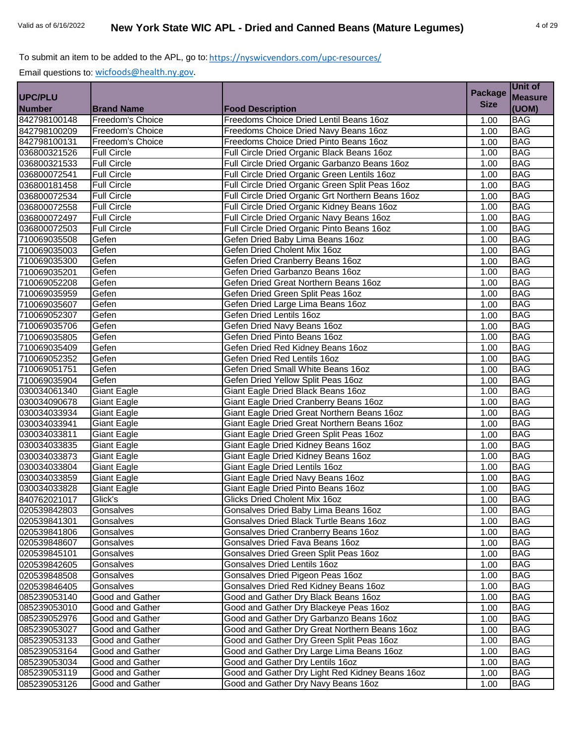Email questions to: [wicfoods@health.ny.gov.](mailto:wicfoods@health.ny.gov)

|                |                    |                                                   | <b>Package</b> | UNIL UI        |
|----------------|--------------------|---------------------------------------------------|----------------|----------------|
| <b>UPC/PLU</b> |                    |                                                   | <b>Size</b>    | <b>Measure</b> |
| <b>Number</b>  | <b>Brand Name</b>  | <b>Food Description</b>                           |                | (UOM)          |
| 842798100148   | Freedom's Choice   | Freedoms Choice Dried Lentil Beans 16oz           | 1.00           | <b>BAG</b>     |
| 842798100209   | Freedom's Choice   | Freedoms Choice Dried Navy Beans 16oz             | 1.00           | <b>BAG</b>     |
| 842798100131   | Freedom's Choice   | Freedoms Choice Dried Pinto Beans 16oz            | 1.00           | <b>BAG</b>     |
| 036800321526   | <b>Full Circle</b> | Full Circle Dried Organic Black Beans 16oz        | 1.00           | <b>BAG</b>     |
| 036800321533   | <b>Full Circle</b> | Full Circle Dried Organic Garbanzo Beans 16oz     | 1.00           | <b>BAG</b>     |
| 036800072541   | <b>Full Circle</b> | Full Circle Dried Organic Green Lentils 16oz      | 1.00           | <b>BAG</b>     |
| 036800181458   | <b>Full Circle</b> | Full Circle Dried Organic Green Split Peas 16oz   | 1.00           | <b>BAG</b>     |
| 036800072534   | <b>Full Circle</b> | Full Circle Dried Organic Grt Northern Beans 16oz | 1.00           | <b>BAG</b>     |
| 036800072558   | <b>Full Circle</b> | Full Circle Dried Organic Kidney Beans 16oz       | 1.00           | <b>BAG</b>     |
| 036800072497   | <b>Full Circle</b> | Full Circle Dried Organic Navy Beans 16oz         | 1.00           | <b>BAG</b>     |
| 036800072503   | <b>Full Circle</b> | Full Circle Dried Organic Pinto Beans 16oz        | 1.00           | <b>BAG</b>     |
| 710069035508   | Gefen              | Gefen Dried Baby Lima Beans 16oz                  | 1.00           | <b>BAG</b>     |
| 710069035003   | Gefen              | Gefen Dried Cholent Mix 16oz                      | 1.00           | <b>BAG</b>     |
| 710069035300   | Gefen              | Gefen Dried Cranberry Beans 16oz                  | 1.00           | <b>BAG</b>     |
| 710069035201   | Gefen              | Gefen Dried Garbanzo Beans 16oz                   | 1.00           | <b>BAG</b>     |
| 710069052208   | Gefen              | Gefen Dried Great Northern Beans 16oz             | 1.00           | <b>BAG</b>     |
| 710069035959   | Gefen              | Gefen Dried Green Split Peas 16oz                 | 1.00           | <b>BAG</b>     |
| 710069035607   | Gefen              | Gefen Dried Large Lima Beans 16oz                 | 1.00           | <b>BAG</b>     |
| 710069052307   | Gefen              | Gefen Dried Lentils 16oz                          | 1.00           | <b>BAG</b>     |
| 710069035706   | Gefen              | Gefen Dried Navy Beans 16oz                       | 1.00           | <b>BAG</b>     |
| 710069035805   | Gefen              | Gefen Dried Pinto Beans 16oz                      | 1.00           | <b>BAG</b>     |
| 710069035409   | Gefen              | Gefen Dried Red Kidney Beans 16oz                 | 1.00           | <b>BAG</b>     |
| 710069052352   | Gefen              | Gefen Dried Red Lentils 16oz                      | 1.00           | <b>BAG</b>     |
| 710069051751   | Gefen              | Gefen Dried Small White Beans 16oz                | 1.00           | <b>BAG</b>     |
| 710069035904   | Gefen              | Gefen Dried Yellow Split Peas 16oz                | 1.00           | <b>BAG</b>     |
| 030034061340   | <b>Giant Eagle</b> | Giant Eagle Dried Black Beans 16oz                | 1.00           | <b>BAG</b>     |
| 030034090678   | Giant Eagle        | Giant Eagle Dried Cranberry Beans 16oz            | 1.00           | <b>BAG</b>     |
| 030034033934   | <b>Giant Eagle</b> | Giant Eagle Dried Great Northern Beans 16oz       | 1.00           | <b>BAG</b>     |
| 030034033941   | <b>Giant Eagle</b> | Giant Eagle Dried Great Northern Beans 16oz       | 1.00           | <b>BAG</b>     |
| 030034033811   | <b>Giant Eagle</b> | Giant Eagle Dried Green Split Peas 16oz           | 1.00           | <b>BAG</b>     |
| 030034033835   | Giant Eagle        | Giant Eagle Dried Kidney Beans 16oz               | 1.00           | <b>BAG</b>     |
| 030034033873   | <b>Giant Eagle</b> | Giant Eagle Dried Kidney Beans 16oz               | 1.00           | <b>BAG</b>     |
| 030034033804   | <b>Giant Eagle</b> | <b>Giant Eagle Dried Lentils 16oz</b>             | 1.00           | <b>BAG</b>     |
| 030034033859   | <b>Giant Eagle</b> | Giant Eagle Dried Navy Beans 16oz                 | 1.00           | <b>BAG</b>     |
| 030034033828   | <b>Giant Eagle</b> | Giant Eagle Dried Pinto Beans 16oz                | 1.00           | <b>BAG</b>     |
| 840762021017   | Glick's            | Glicks Dried Cholent Mix 16oz                     | 1.00           | <b>BAG</b>     |
| 020539842803   | Gonsalves          | Gonsalves Dried Baby Lima Beans 16oz              | 1.00           | <b>BAG</b>     |
| 020539841301   | Gonsalves          | Gonsalves Dried Black Turtle Beans 16oz           | 1.00           | <b>BAG</b>     |
| 020539841806   | Gonsalves          | Gonsalves Dried Cranberry Beans 16oz              | 1.00           | <b>BAG</b>     |
| 020539848607   | Gonsalves          | Gonsalves Dried Fava Beans 16oz                   | 1.00           | <b>BAG</b>     |
| 020539845101   | Gonsalves          | Gonsalves Dried Green Split Peas 16oz             | 1.00           | <b>BAG</b>     |
| 020539842605   | Gonsalves          | Gonsalves Dried Lentils 16oz                      | 1.00           | <b>BAG</b>     |
| 020539848508   | Gonsalves          | Gonsalves Dried Pigeon Peas 16oz                  | 1.00           | <b>BAG</b>     |
| 020539846405   | Gonsalves          | Gonsalves Dried Red Kidney Beans 16oz             | 1.00           | <b>BAG</b>     |
| 085239053140   | Good and Gather    | Good and Gather Dry Black Beans 16oz              | 1.00           | <b>BAG</b>     |
| 085239053010   | Good and Gather    | Good and Gather Dry Blackeye Peas 16oz            | 1.00           | <b>BAG</b>     |
| 085239052976   | Good and Gather    | Good and Gather Dry Garbanzo Beans 16oz           | 1.00           | <b>BAG</b>     |
| 085239053027   | Good and Gather    | Good and Gather Dry Great Northern Beans 16oz     | 1.00           | <b>BAG</b>     |
| 085239053133   | Good and Gather    | Good and Gather Dry Green Split Peas 16oz         | 1.00           | <b>BAG</b>     |
| 085239053164   | Good and Gather    | Good and Gather Dry Large Lima Beans 16oz         | 1.00           | <b>BAG</b>     |
| 085239053034   | Good and Gather    | Good and Gather Dry Lentils 16oz                  | 1.00           | <b>BAG</b>     |
| 085239053119   | Good and Gather    | Good and Gather Dry Light Red Kidney Beans 160z   | 1.00           | <b>BAG</b>     |
| 085239053126   | Good and Gather    | Good and Gather Dry Navy Beans 16oz               | 1.00           | <b>BAG</b>     |

**Unit of**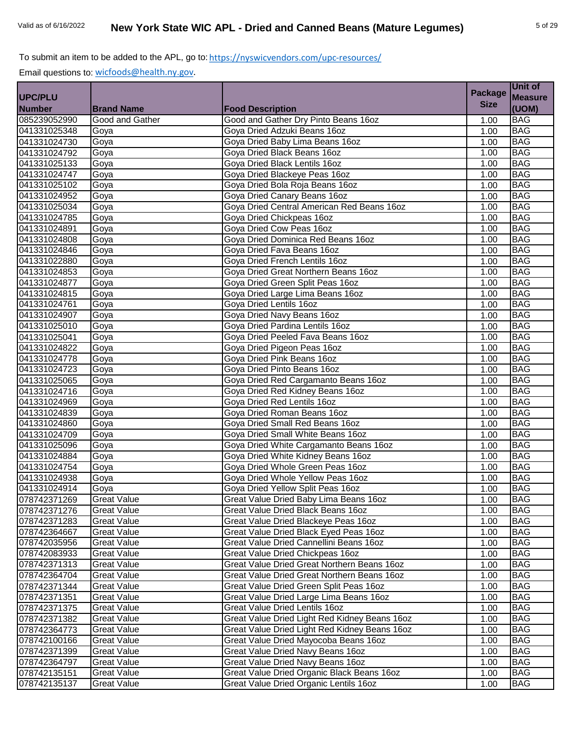|                |                    |                                               | <b>Package</b> | Unit of        |
|----------------|--------------------|-----------------------------------------------|----------------|----------------|
| <b>UPC/PLU</b> |                    |                                               |                | <b>Measure</b> |
| <b>Number</b>  | <b>Brand Name</b>  | <b>Food Description</b>                       | <b>Size</b>    | (UOM)          |
| 085239052990   | Good and Gather    | Good and Gather Dry Pinto Beans 16oz          | 1.00           | <b>BAG</b>     |
| 041331025348   | Goya               | Goya Dried Adzuki Beans 16oz                  | 1.00           | <b>BAG</b>     |
| 041331024730   | Goya               | Goya Dried Baby Lima Beans 16oz               | 1.00           | <b>BAG</b>     |
| 041331024792   | Goya               | Goya Dried Black Beans 16oz                   | 1.00           | <b>BAG</b>     |
| 041331025133   | Goya               | Goya Dried Black Lentils 16oz                 | 1.00           | <b>BAG</b>     |
| 041331024747   | Goya               | Goya Dried Blackeye Peas 16oz                 | 1.00           | <b>BAG</b>     |
| 041331025102   | Goya               | Goya Dried Bola Roja Beans 16oz               | 1.00           | <b>BAG</b>     |
| 041331024952   | Goya               | Goya Dried Canary Beans 16oz                  | 1.00           | <b>BAG</b>     |
| 041331025034   | Goya               | Goya Dried Central American Red Beans 16oz    | 1.00           | <b>BAG</b>     |
| 041331024785   | Goya               | Goya Dried Chickpeas 16oz                     | 1.00           | <b>BAG</b>     |
| 041331024891   | Goya               | Goya Dried Cow Peas 16oz                      | 1.00           | <b>BAG</b>     |
| 041331024808   | Goya               | Goya Dried Dominica Red Beans 16oz            | 1.00           | <b>BAG</b>     |
| 041331024846   | Goya               | Goya Dried Fava Beans 16oz                    | 1.00           | <b>BAG</b>     |
| 041331022880   | Goya               | Goya Dried French Lentils 16oz                | 1.00           | <b>BAG</b>     |
| 041331024853   | Goya               | Goya Dried Great Northern Beans 16oz          | 1.00           | <b>BAG</b>     |
| 041331024877   | Goya               | Goya Dried Green Split Peas 16oz              | 1.00           | <b>BAG</b>     |
| 041331024815   | Goya               | Goya Dried Large Lima Beans 16oz              | 1.00           | <b>BAG</b>     |
| 041331024761   | Goya               | Goya Dried Lentils 16oz                       | 1.00           | <b>BAG</b>     |
| 041331024907   | Goya               | Goya Dried Navy Beans 16oz                    | 1.00           | <b>BAG</b>     |
| 041331025010   | Goya               | Gova Dried Pardina Lentils 16oz               | 1.00           | <b>BAG</b>     |
| 041331025041   | Goya               | Goya Dried Peeled Fava Beans 16oz             | 1.00           | <b>BAG</b>     |
| 041331024822   | Goya               | Goya Dried Pigeon Peas 16oz                   | 1.00           | <b>BAG</b>     |
| 041331024778   | Goya               | Goya Dried Pink Beans 16oz                    | 1.00           | <b>BAG</b>     |
| 041331024723   | Goya               | Goya Dried Pinto Beans 16oz                   | 1.00           | <b>BAG</b>     |
| 041331025065   | Goya               | Goya Dried Red Cargamanto Beans 16oz          | 1.00           | <b>BAG</b>     |
| 041331024716   | Goya               | Goya Dried Red Kidney Beans 16oz              | 1.00           | <b>BAG</b>     |
| 041331024969   | Goya               | Goya Dried Red Lentils 16oz                   | 1.00           | <b>BAG</b>     |
| 041331024839   | Goya               | Goya Dried Roman Beans 16oz                   | 1.00           | <b>BAG</b>     |
| 041331024860   | Goya               | Goya Dried Small Red Beans 16oz               | 1.00           | <b>BAG</b>     |
| 041331024709   | Goya               | Goya Dried Small White Beans 16oz             | 1.00           | <b>BAG</b>     |
| 041331025096   | Goya               | Goya Dried White Cargamanto Beans 16oz        | 1.00           | <b>BAG</b>     |
| 041331024884   | Goya               | Goya Dried White Kidney Beans 16oz            | 1.00           | <b>BAG</b>     |
| 041331024754   | Goya               | Goya Dried Whole Green Peas 16oz              | 1.00           | <b>BAG</b>     |
| 041331024938   | Goya               | Goya Dried Whole Yellow Peas 16oz             | 1.00           | <b>BAG</b>     |
| 041331024914   | Goya               | Goya Dried Yellow Split Peas 16oz             | 1.00           | <b>BAG</b>     |
| 078742371269   | <b>Great Value</b> | Great Value Dried Baby Lima Beans 16oz        | 1.00           | <b>BAG</b>     |
| 078742371276   | <b>Great Value</b> | Great Value Dried Black Beans 16oz            | 1.00           | <b>BAG</b>     |
| 078742371283   | <b>Great Value</b> | Great Value Dried Blackeye Peas 16oz          | 1.00           | <b>BAG</b>     |
| 078742364667   | <b>Great Value</b> | Great Value Dried Black Eyed Peas 16oz        | 1.00           | <b>BAG</b>     |
| 078742035956   | <b>Great Value</b> | Great Value Dried Cannellini Beans 16oz       | 1.00           | <b>BAG</b>     |
| 078742083933   | <b>Great Value</b> | Great Value Dried Chickpeas 16oz              | 1.00           | <b>BAG</b>     |
| 078742371313   | <b>Great Value</b> | Great Value Dried Great Northern Beans 16oz   | 1.00           | <b>BAG</b>     |
| 078742364704   | <b>Great Value</b> | Great Value Dried Great Northern Beans 16oz   | 1.00           | <b>BAG</b>     |
| 078742371344   | <b>Great Value</b> | Great Value Dried Green Split Peas 16oz       | 1.00           | <b>BAG</b>     |
| 078742371351   | <b>Great Value</b> | Great Value Dried Large Lima Beans 16oz       | 1.00           | <b>BAG</b>     |
| 078742371375   | <b>Great Value</b> | Great Value Dried Lentils 16oz                | 1.00           | <b>BAG</b>     |
| 078742371382   | <b>Great Value</b> | Great Value Dried Light Red Kidney Beans 16oz | 1.00           | <b>BAG</b>     |
| 078742364773   | <b>Great Value</b> | Great Value Dried Light Red Kidney Beans 16oz | 1.00           | <b>BAG</b>     |
| 078742100166   | <b>Great Value</b> | Great Value Dried Mayocoba Beans 16oz         | 1.00           | <b>BAG</b>     |
| 078742371399   | <b>Great Value</b> | Great Value Dried Navy Beans 16oz             | 1.00           | <b>BAG</b>     |
| 078742364797   | <b>Great Value</b> | Great Value Dried Navy Beans 16oz             | 1.00           | <b>BAG</b>     |
| 078742135151   | <b>Great Value</b> | Great Value Dried Organic Black Beans 16oz    | 1.00           | <b>BAG</b>     |
| 078742135137   | <b>Great Value</b> | Great Value Dried Organic Lentils 16oz        | 1.00           | <b>BAG</b>     |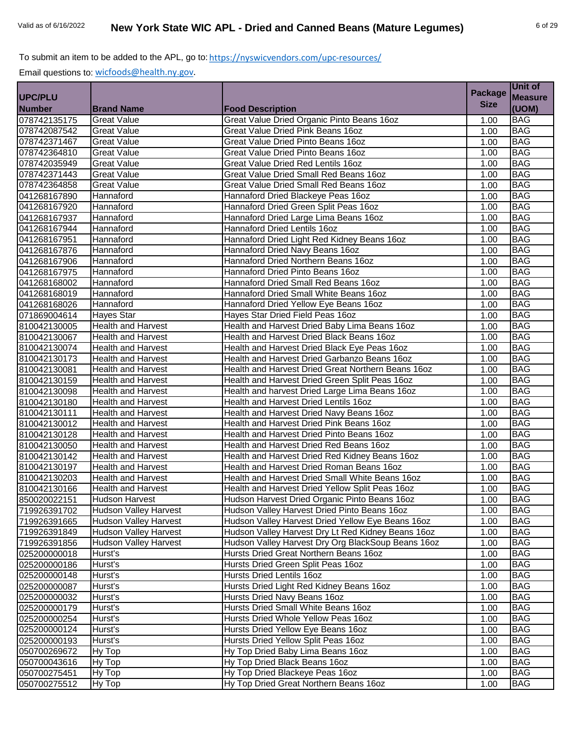|                |                              |                                                    | <b>Package</b> | Unit of        |
|----------------|------------------------------|----------------------------------------------------|----------------|----------------|
| <b>UPC/PLU</b> |                              |                                                    |                | <b>Measure</b> |
| <b>Number</b>  | <b>Brand Name</b>            | <b>Food Description</b>                            | <b>Size</b>    | (UOM)          |
| 078742135175   | <b>Great Value</b>           | Great Value Dried Organic Pinto Beans 16oz         | 1.00           | <b>BAG</b>     |
| 078742087542   | <b>Great Value</b>           | Great Value Dried Pink Beans 16oz                  | 1.00           | <b>BAG</b>     |
| 078742371467   | <b>Great Value</b>           | Great Value Dried Pinto Beans 16oz                 | 1.00           | <b>BAG</b>     |
| 078742364810   | <b>Great Value</b>           | Great Value Dried Pinto Beans 16oz                 | 1.00           | <b>BAG</b>     |
| 078742035949   | <b>Great Value</b>           | Great Value Dried Red Lentils 16oz                 | 1.00           | <b>BAG</b>     |
| 078742371443   | <b>Great Value</b>           | Great Value Dried Small Red Beans 16oz             | 1.00           | <b>BAG</b>     |
| 078742364858   | <b>Great Value</b>           | Great Value Dried Small Red Beans 16oz             | 1.00           | <b>BAG</b>     |
| 041268167890   | Hannaford                    | Hannaford Dried Blackeye Peas 16oz                 | 1.00           | <b>BAG</b>     |
| 041268167920   | Hannaford                    | Hannaford Dried Green Split Peas 16oz              | 1.00           | <b>BAG</b>     |
| 041268167937   | Hannaford                    | Hannaford Dried Large Lima Beans 16oz              | 1.00           | <b>BAG</b>     |
| 041268167944   | Hannaford                    | Hannaford Dried Lentils 16oz                       | 1.00           | <b>BAG</b>     |
| 041268167951   | Hannaford                    | Hannaford Dried Light Red Kidney Beans 16oz        | 1.00           | <b>BAG</b>     |
| 041268167876   | Hannaford                    | Hannaford Dried Navy Beans 16oz                    | 1.00           | <b>BAG</b>     |
| 041268167906   | Hannaford                    | Hannaford Dried Northern Beans 16oz                | 1.00           | <b>BAG</b>     |
| 041268167975   | Hannaford                    | Hannaford Dried Pinto Beans 16oz                   | 1.00           | <b>BAG</b>     |
| 041268168002   | Hannaford                    | Hannaford Dried Small Red Beans 16oz               | 1.00           | <b>BAG</b>     |
| 041268168019   | Hannaford                    | Hannaford Dried Small White Beans 16oz             | 1.00           | <b>BAG</b>     |
| 041268168026   | Hannaford                    | Hannaford Dried Yellow Eye Beans 16oz              | 1.00           | <b>BAG</b>     |
| 071869004614   | <b>Hayes Star</b>            | Hayes Star Dried Field Peas 16oz                   | 1.00           | <b>BAG</b>     |
| 810042130005   | <b>Health and Harvest</b>    | Health and Harvest Dried Baby Lima Beans 16oz      | 1.00           | <b>BAG</b>     |
| 810042130067   | <b>Health and Harvest</b>    | Health and Harvest Dried Black Beans 16oz          | 1.00           | <b>BAG</b>     |
| 810042130074   | Health and Harvest           | Health and Harvest Dried Black Eye Peas 16oz       | 1.00           | <b>BAG</b>     |
| 810042130173   | <b>Health and Harvest</b>    | Health and Harvest Dried Garbanzo Beans 16oz       | 1.00           | <b>BAG</b>     |
| 810042130081   | <b>Health and Harvest</b>    | Health and Harvest Dried Great Northern Beans 16oz | 1.00           | <b>BAG</b>     |
| 810042130159   | <b>Health and Harvest</b>    | Health and Harvest Dried Green Split Peas 16oz     | 1.00           | <b>BAG</b>     |
| 810042130098   | <b>Health and Harvest</b>    | Health and harvest Dried Large Lima Beans 16oz     | 1.00           | <b>BAG</b>     |
| 810042130180   | <b>Health and Harvest</b>    | Health and Harvest Dried Lentils 16oz              | 1.00           | <b>BAG</b>     |
| 810042130111   | <b>Health and Harvest</b>    | Health and Harvest Dried Navy Beans 16oz           | 1.00           | <b>BAG</b>     |
| 810042130012   | <b>Health and Harvest</b>    | Health and Harvest Dried Pink Beans 16oz           | 1.00           | <b>BAG</b>     |
| 810042130128   | <b>Health and Harvest</b>    | Health and Harvest Dried Pinto Beans 16oz          | 1.00           | <b>BAG</b>     |
| 810042130050   | <b>Health and Harvest</b>    | Health and Harvest Dried Red Beans 16oz            | 1.00           | <b>BAG</b>     |
| 810042130142   | <b>Health and Harvest</b>    | Health and Harvest Dried Red Kidney Beans 16oz     | 1.00           | <b>BAG</b>     |
| 810042130197   | <b>Health and Harvest</b>    | Health and Harvest Dried Roman Beans 16oz          | 1.00           | <b>BAG</b>     |
| 810042130203   | <b>Health and Harvest</b>    | Health and Harvest Dried Small White Beans 16oz    | 1.00           | <b>BAG</b>     |
| 810042130166   | <b>Health and Harvest</b>    | Health and Harvest Dried Yellow Split Peas 16oz    | 1.00           | <b>BAG</b>     |
| 850020022151   | <b>Hudson Harvest</b>        | Hudson Harvest Dried Organic Pinto Beans 16oz      | 1.00           | <b>BAG</b>     |
| 719926391702   | <b>Hudson Valley Harvest</b> | Hudson Valley Harvest Dried Pinto Beans 16oz       | 1.00           | <b>BAG</b>     |
| 719926391665   | <b>Hudson Valley Harvest</b> | Hudson Valley Harvest Dried Yellow Eye Beans 16oz  | 1.00           | <b>BAG</b>     |
| 719926391849   | <b>Hudson Valley Harvest</b> | Hudson Valley Harvest Dry Lt Red Kidney Beans 16oz | 1.00           | <b>BAG</b>     |
| 719926391856   | <b>Hudson Valley Harvest</b> | Hudson Valley Harvest Dry Org BlackSoup Beans 16oz | 1.00           | <b>BAG</b>     |
| 025200000018   | Hurst's                      | Hursts Dried Great Northern Beans 16oz             | 1.00           | <b>BAG</b>     |
| 025200000186   | Hurst's                      | Hursts Dried Green Split Peas 16oz                 | 1.00           | <b>BAG</b>     |
| 025200000148   | Hurst's                      | Hursts Dried Lentils 16oz                          | 1.00           | <b>BAG</b>     |
| 025200000087   | Hurst's                      | Hursts Dried Light Red Kidney Beans 16oz           | 1.00           | <b>BAG</b>     |
| 025200000032   | Hurst's                      | Hursts Dried Navy Beans 16oz                       | 1.00           | <b>BAG</b>     |
| 025200000179   | Hurst's                      | Hursts Dried Small White Beans 16oz                | 1.00           | <b>BAG</b>     |
| 025200000254   | Hurst's                      | Hursts Dried Whole Yellow Peas 16oz                | 1.00           | <b>BAG</b>     |
| 025200000124   | Hurst's                      | Hursts Dried Yellow Eye Beans 16oz                 | 1.00           | <b>BAG</b>     |
| 025200000193   | Hurst's                      | Hursts Dried Yellow Split Peas 16oz                | 1.00           | <b>BAG</b>     |
| 050700269672   | Hy Top                       | Hy Top Dried Baby Lima Beans 16oz                  | 1.00           | <b>BAG</b>     |
| 050700043616   | Hy Top                       | Hy Top Dried Black Beans 16oz                      | 1.00           | <b>BAG</b>     |
| 050700275451   | Hy Top                       | Hy Top Dried Blackeye Peas 16oz                    | 1.00           | <b>BAG</b>     |
| 050700275512   | Hy Top                       | Hy Top Dried Great Northern Beans 16oz             | 1.00           | <b>BAG</b>     |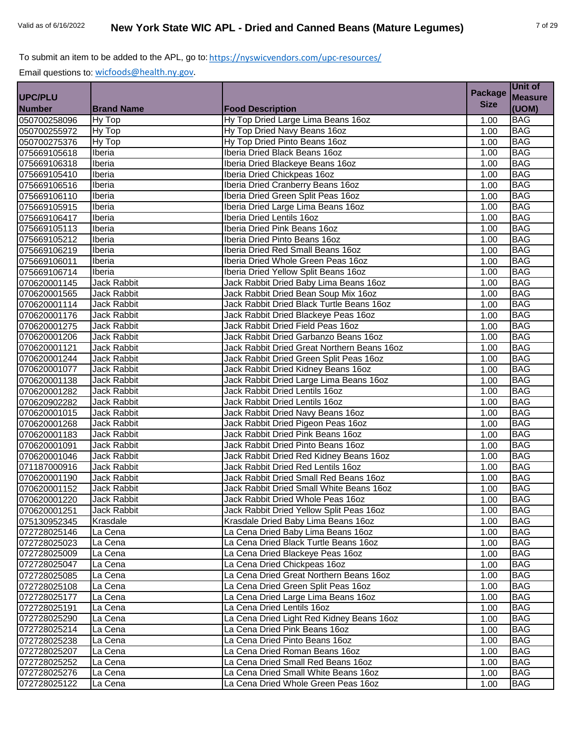|                |                    |                                             | <b>Package</b> | Unit of        |
|----------------|--------------------|---------------------------------------------|----------------|----------------|
| <b>UPC/PLU</b> |                    |                                             |                | <b>Measure</b> |
| <b>Number</b>  | <b>Brand Name</b>  | <b>Food Description</b>                     | <b>Size</b>    | (UOM)          |
| 050700258096   | Hy Top             | Hy Top Dried Large Lima Beans 16oz          | 1.00           | <b>BAG</b>     |
| 050700255972   | Hy Top             | Hy Top Dried Navy Beans 16oz                | 1.00           | <b>BAG</b>     |
| 050700275376   | Hy Top             | Hy Top Dried Pinto Beans 16oz               | 1.00           | <b>BAG</b>     |
| 075669105618   | Iberia             | Iberia Dried Black Beans 16oz               | 1.00           | <b>BAG</b>     |
| 075669106318   | Iberia             | Iberia Dried Blackeye Beans 16oz            | 1.00           | <b>BAG</b>     |
| 075669105410   | Iberia             | Iberia Dried Chickpeas 16oz                 | 1.00           | <b>BAG</b>     |
| 075669106516   | Iberia             | Iberia Dried Cranberry Beans 16oz           | 1.00           | <b>BAG</b>     |
| 075669106110   | Iberia             | Iberia Dried Green Split Peas 16oz          | 1.00           | <b>BAG</b>     |
| 075669105915   | Iberia             | Iberia Dried Large Lima Beans 16oz          | 1.00           | <b>BAG</b>     |
| 075669106417   | Iberia             | Iberia Dried Lentils 16oz                   | 1.00           | <b>BAG</b>     |
| 075669105113   | Iberia             | Iberia Dried Pink Beans 16oz                | 1.00           | <b>BAG</b>     |
| 075669105212   | Iberia             | Iberia Dried Pinto Beans 16oz               | 1.00           | <b>BAG</b>     |
| 075669106219   | Iberia             | Iberia Dried Red Small Beans 16oz           | 1.00           | <b>BAG</b>     |
| 075669106011   | Iberia             | Iberia Dried Whole Green Peas 16oz          | 1.00           | <b>BAG</b>     |
| 075669106714   | Iberia             | Iberia Dried Yellow Split Beans 16oz        | 1.00           | <b>BAG</b>     |
| 070620001145   | <b>Jack Rabbit</b> | Jack Rabbit Dried Baby Lima Beans 16oz      | 1.00           | <b>BAG</b>     |
| 070620001565   | Jack Rabbit        | Jack Rabbit Dried Bean Soup Mix 16oz        | 1.00           | <b>BAG</b>     |
| 070620001114   | Jack Rabbit        | Jack Rabbit Dried Black Turtle Beans 16oz   | 1.00           | <b>BAG</b>     |
| 070620001176   | Jack Rabbit        | Jack Rabbit Dried Blackeye Peas 16oz        | 1.00           | <b>BAG</b>     |
| 070620001275   | Jack Rabbit        | Jack Rabbit Dried Field Peas 16oz           | 1.00           | <b>BAG</b>     |
| 070620001206   | Jack Rabbit        | Jack Rabbit Dried Garbanzo Beans 16oz       | 1.00           | <b>BAG</b>     |
| 070620001121   | Jack Rabbit        | Jack Rabbit Dried Great Northern Beans 16oz | 1.00           | <b>BAG</b>     |
| 070620001244   | Jack Rabbit        | Jack Rabbit Dried Green Split Peas 16oz     | 1.00           | <b>BAG</b>     |
| 070620001077   | Jack Rabbit        | Jack Rabbit Dried Kidney Beans 16oz         | 1.00           | <b>BAG</b>     |
| 070620001138   | <b>Jack Rabbit</b> | Jack Rabbit Dried Large Lima Beans 16oz     | 1.00           | <b>BAG</b>     |
| 070620001282   | Jack Rabbit        | Jack Rabbit Dried Lentils 16oz              | 1.00           | <b>BAG</b>     |
| 070620902282   | Jack Rabbit        | Jack Rabbit Dried Lentils 16oz              | 1.00           | <b>BAG</b>     |
| 070620001015   | Jack Rabbit        | Jack Rabbit Dried Navy Beans 16oz           | 1.00           | <b>BAG</b>     |
| 070620001268   | Jack Rabbit        | Jack Rabbit Dried Pigeon Peas 16oz          | 1.00           | <b>BAG</b>     |
| 070620001183   | Jack Rabbit        | Jack Rabbit Dried Pink Beans 16oz           | 1.00           | <b>BAG</b>     |
| 070620001091   | Jack Rabbit        | Jack Rabbit Dried Pinto Beans 16oz          | 1.00           | <b>BAG</b>     |
| 070620001046   | Jack Rabbit        | Jack Rabbit Dried Red Kidney Beans 16oz     | 1.00           | <b>BAG</b>     |
| 071187000916   | Jack Rabbit        | Jack Rabbit Dried Red Lentils 16oz          | 1.00           | <b>BAG</b>     |
| 070620001190   | Jack Rabbit        | Jack Rabbit Dried Small Red Beans 16oz      | 1.00           | <b>BAG</b>     |
| 070620001152   | Jack Rabbit        | Jack Rabbit Dried Small White Beans 16oz    | 1.00           | <b>BAG</b>     |
| 070620001220   | Jack Rabbit        | Jack Rabbit Dried Whole Peas 16oz           | 1.00           | <b>BAG</b>     |
| 070620001251   | Jack Rabbit        | Jack Rabbit Dried Yellow Split Peas 16oz    | 1.00           | <b>BAG</b>     |
| 075130952345   | Krasdale           | Krasdale Dried Baby Lima Beans 16oz         | 1.00           | <b>BAG</b>     |
| 072728025146   | La Cena            | La Cena Dried Baby Lima Beans 16oz          | 1.00           | <b>BAG</b>     |
| 072728025023   | La Cena            | La Cena Dried Black Turtle Beans 16oz       | 1.00           | <b>BAG</b>     |
| 072728025009   | La Cena            | La Cena Dried Blackeye Peas 16oz            | 1.00           | <b>BAG</b>     |
| 072728025047   | La Cena            | La Cena Dried Chickpeas 16oz                | 1.00           | <b>BAG</b>     |
| 072728025085   | La Cena            | La Cena Dried Great Northern Beans 16oz     | 1.00           | <b>BAG</b>     |
| 072728025108   | La Cena            | La Cena Dried Green Split Peas 16oz         | 1.00           | <b>BAG</b>     |
| 072728025177   | La Cena            | La Cena Dried Large Lima Beans 160z         | 1.00           | <b>BAG</b>     |
| 072728025191   | La Cena            | La Cena Dried Lentils 16oz                  | 1.00           | <b>BAG</b>     |
| 072728025290   | La Cena            | La Cena Dried Light Red Kidney Beans 16oz   | 1.00           | <b>BAG</b>     |
| 072728025214   | La Cena            | La Cena Dried Pink Beans 16oz               | 1.00           | <b>BAG</b>     |
| 072728025238   | La Cena            | La Cena Dried Pinto Beans 16oz              | 1.00           | <b>BAG</b>     |
| 072728025207   | La Cena            | La Cena Dried Roman Beans 16oz              | 1.00           | <b>BAG</b>     |
| 072728025252   | La Cena            | La Cena Dried Small Red Beans 16oz          | 1.00           | <b>BAG</b>     |
| 072728025276   | La Cena            | La Cena Dried Small White Beans 16oz        | 1.00           | <b>BAG</b>     |
| 072728025122   | La Cena            | La Cena Dried Whole Green Peas 16oz         | 1.00           | <b>BAG</b>     |
|                |                    |                                             |                |                |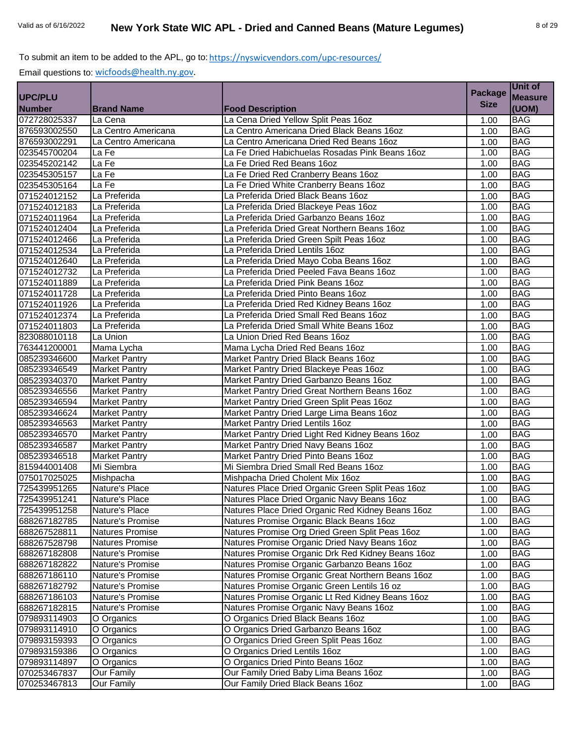|                |                      |                                                   | <b>Package</b> | Unit of        |
|----------------|----------------------|---------------------------------------------------|----------------|----------------|
| <b>UPC/PLU</b> |                      |                                                   |                | <b>Measure</b> |
| <b>Number</b>  | <b>Brand Name</b>    | <b>Food Description</b>                           | <b>Size</b>    | (UOM)          |
| 072728025337   | La Cena              | La Cena Dried Yellow Split Peas 16oz              | 1.00           | <b>BAG</b>     |
| 876593002550   | La Centro Americana  | La Centro Americana Dried Black Beans 16oz        | 1.00           | <b>BAG</b>     |
| 876593002291   | La Centro Americana  | La Centro Americana Dried Red Beans 16oz          | 1.00           | <b>BAG</b>     |
| 023545700204   | La Fe                | La Fe Dried Habichuelas Rosadas Pink Beans 16oz   | 1.00           | <b>BAG</b>     |
| 023545202142   | La Fe                | La Fe Dried Red Beans 16oz                        | 1.00           | <b>BAG</b>     |
| 023545305157   | La Fe                | La Fe Dried Red Cranberry Beans 16oz              | 1.00           | <b>BAG</b>     |
| 023545305164   | La Fe                | La Fe Dried White Cranberry Beans 16oz            | 1.00           | <b>BAG</b>     |
| 071524012152   | La Preferida         | La Preferida Dried Black Beans 16oz               | 1.00           | <b>BAG</b>     |
| 071524012183   | La Preferida         | La Preferida Dried Blackeye Peas 16oz             | 1.00           | <b>BAG</b>     |
| 071524011964   | La Preferida         | La Preferida Dried Garbanzo Beans 16oz            | 1.00           | <b>BAG</b>     |
| 071524012404   | La Preferida         | La Preferida Dried Great Northern Beans 16oz      | 1.00           | <b>BAG</b>     |
| 071524012466   | La Preferida         | La Preferida Dried Green Spilt Peas 16oz          | 1.00           | <b>BAG</b>     |
| 071524012534   | La Preferida         | La Preferida Dried Lentils 16oz                   | 1.00           | <b>BAG</b>     |
| 071524012640   | La Preferida         | La Preferida Dried Mayo Coba Beans 16oz           | 1.00           | <b>BAG</b>     |
| 071524012732   | La Preferida         | La Preferida Dried Peeled Fava Beans 16oz         | 1.00           | <b>BAG</b>     |
| 071524011889   | La Preferida         | La Preferida Dried Pink Beans 16oz                | 1.00           | <b>BAG</b>     |
| 071524011728   | La Preferida         | La Preferida Dried Pinto Beans 16oz               | 1.00           | <b>BAG</b>     |
| 071524011926   | La Preferida         | La Preferida Dried Red Kidney Beans 16oz          | 1.00           | <b>BAG</b>     |
| 071524012374   | La Preferida         | La Preferida Dried Small Red Beans 16oz           | 1.00           | <b>BAG</b>     |
| 071524011803   | La Preferida         | La Preferida Dried Small White Beans 16oz         | 1.00           | <b>BAG</b>     |
| 823088010118   | La Union             | La Union Dried Red Beans 16oz                     | 1.00           | <b>BAG</b>     |
| 763441200001   | Mama Lycha           | Mama Lycha Dried Red Beans 16oz                   | 1.00           | <b>BAG</b>     |
| 085239346600   | <b>Market Pantry</b> | Market Pantry Dried Black Beans 16oz              | 1.00           | <b>BAG</b>     |
| 085239346549   | <b>Market Pantry</b> | Market Pantry Dried Blackeye Peas 16oz            | 1.00           | <b>BAG</b>     |
| 085239340370   | <b>Market Pantry</b> | Market Pantry Dried Garbanzo Beans 16oz           | 1.00           | <b>BAG</b>     |
| 085239346556   | <b>Market Pantry</b> | Market Pantry Dried Great Northern Beans 16oz     | 1.00           | <b>BAG</b>     |
| 085239346594   | Market Pantry        | Market Pantry Dried Green Split Peas 16oz         | 1.00           | <b>BAG</b>     |
| 085239346624   | <b>Market Pantry</b> | Market Pantry Dried Large Lima Beans 16oz         | 1.00           | <b>BAG</b>     |
| 085239346563   | <b>Market Pantry</b> | Market Pantry Dried Lentils 16oz                  | 1.00           | <b>BAG</b>     |
| 085239346570   | <b>Market Pantry</b> | Market Pantry Dried Light Red Kidney Beans 16oz   | 1.00           | <b>BAG</b>     |
| 085239346587   | Market Pantry        | Market Pantry Dried Navy Beans 16oz               | 1.00           | <b>BAG</b>     |
| 085239346518   | <b>Market Pantry</b> | Market Pantry Dried Pinto Beans 16oz              | 1.00           | <b>BAG</b>     |
| 815944001408   | Mi Siembra           | Mi Siembra Dried Small Red Beans 16oz             | 1.00           | <b>BAG</b>     |
| 075017025025   | Mishpacha            | Mishpacha Dried Cholent Mix 16oz                  | 1.00           | <b>BAG</b>     |
| 725439951265   | Nature's Place       | Natures Place Dried Organic Green Split Peas 16oz | 1.00           | <b>BAG</b>     |
| 725439951241   | Nature's Place       | Natures Place Dried Organic Navy Beans 16oz       | 1.00           | <b>BAG</b>     |
| 725439951258   | Nature's Place       | Natures Place Dried Organic Red Kidney Beans 160z | 1.00           | <b>BAG</b>     |
| 688267182785   | Nature's Promise     | Natures Promise Organic Black Beans 16oz          | 1.00           | <b>BAG</b>     |
| 688267528811   | Natures Promise      | Natures Promise Org Dried Green Split Peas 16oz   | 1.00           | <b>BAG</b>     |
| 688267528798   | Natures Promise      | Natures Promise Organic Dried Navy Beans 16oz     | 1.00           | <b>BAG</b>     |
| 688267182808   | Nature's Promise     | Natures Promise Organic Drk Red Kidney Beans 16oz | 1.00           | <b>BAG</b>     |
| 688267182822   | Nature's Promise     | Natures Promise Organic Garbanzo Beans 16oz       | 1.00           | <b>BAG</b>     |
| 688267186110   | Nature's Promise     | Natures Promise Organic Great Northern Beans 16oz | 1.00           | <b>BAG</b>     |
| 688267182792   | Nature's Promise     | Natures Promise Organic Green Lentils 16 oz       | 1.00           | <b>BAG</b>     |
| 688267186103   | Nature's Promise     | Natures Promise Organic Lt Red Kidney Beans 16oz  | 1.00           | <b>BAG</b>     |
| 688267182815   | Nature's Promise     | Natures Promise Organic Navy Beans 16oz           | 1.00           | <b>BAG</b>     |
| 079893114903   | O Organics           | O Organics Dried Black Beans 16oz                 | 1.00           | <b>BAG</b>     |
| 079893114910   | O Organics           | O Organics Dried Garbanzo Beans 16oz              | 1.00           | <b>BAG</b>     |
| 079893159393   | O Organics           | O Organics Dried Green Split Peas 16oz            | 1.00           | <b>BAG</b>     |
| 079893159386   | O Organics           | O Organics Dried Lentils 16oz                     | 1.00           | <b>BAG</b>     |
| 079893114897   | O Organics           | O Organics Dried Pinto Beans 16oz                 | 1.00           | <b>BAG</b>     |
| 070253467837   | <b>Our Family</b>    | Our Family Dried Baby Lima Beans 16oz             | 1.00           | <b>BAG</b>     |
| 070253467813   | <b>Our Family</b>    | Our Family Dried Black Beans 16oz                 | 1.00           | <b>BAG</b>     |
|                |                      |                                                   |                |                |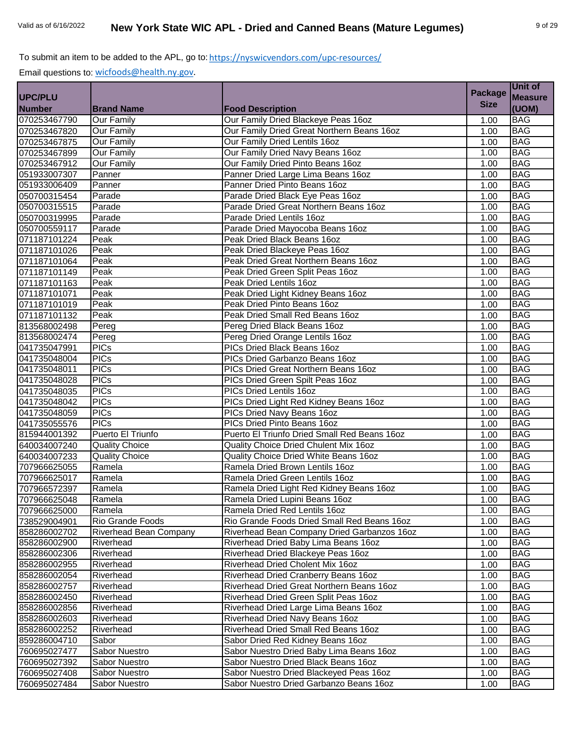|                |                        |                                              | <b>Package</b> | Unit of        |
|----------------|------------------------|----------------------------------------------|----------------|----------------|
| <b>UPC/PLU</b> |                        |                                              |                | <b>Measure</b> |
| <b>Number</b>  | <b>Brand Name</b>      | <b>Food Description</b>                      | <b>Size</b>    | (UOM)          |
| 070253467790   | <b>Our Family</b>      | Our Family Dried Blackeye Peas 16oz          | 1.00           | <b>BAG</b>     |
| 070253467820   | <b>Our Family</b>      | Our Family Dried Great Northern Beans 16oz   | 1.00           | <b>BAG</b>     |
| 070253467875   | <b>Our Family</b>      | Our Family Dried Lentils 16oz                | 1.00           | <b>BAG</b>     |
| 070253467899   | <b>Our Family</b>      | Our Family Dried Navy Beans 16oz             | 1.00           | <b>BAG</b>     |
| 070253467912   | Our Family             | Our Family Dried Pinto Beans 16oz            | 1.00           | <b>BAG</b>     |
| 051933007307   | Panner                 | Panner Dried Large Lima Beans 16oz           | 1.00           | <b>BAG</b>     |
| 051933006409   | Panner                 | Panner Dried Pinto Beans 16oz                | 1.00           | <b>BAG</b>     |
| 050700315454   | Parade                 | Parade Dried Black Eye Peas 16oz             | 1.00           | <b>BAG</b>     |
| 050700315515   | Parade                 | Parade Dried Great Northern Beans 16oz       | 1.00           | <b>BAG</b>     |
| 050700319995   | Parade                 | Parade Dried Lentils 16oz                    | 1.00           | <b>BAG</b>     |
| 050700559117   | Parade                 | Parade Dried Mayocoba Beans 16oz             | 1.00           | <b>BAG</b>     |
| 071187101224   | Peak                   | Peak Dried Black Beans 16oz                  | 1.00           | <b>BAG</b>     |
| 071187101026   | Peak                   | Peak Dried Blackeye Peas 16oz                | 1.00           | <b>BAG</b>     |
| 071187101064   | Peak                   | Peak Dried Great Northern Beans 16oz         | 1.00           | <b>BAG</b>     |
| 071187101149   | Peak                   | Peak Dried Green Split Peas 16oz             | 1.00           | <b>BAG</b>     |
| 071187101163   | Peak                   | Peak Dried Lentils 16oz                      | 1.00           | <b>BAG</b>     |
| 071187101071   | Peak                   | Peak Dried Light Kidney Beans 16oz           | 1.00           | <b>BAG</b>     |
| 071187101019   | Peak                   | Peak Dried Pinto Beans 16oz                  | 1.00           | <b>BAG</b>     |
| 071187101132   | Peak                   | Peak Dried Small Red Beans 16oz              | 1.00           | <b>BAG</b>     |
| 813568002498   | Pereg                  | Pereg Dried Black Beans 16oz                 | 1.00           | <b>BAG</b>     |
| 813568002474   | Pereg                  | Pereg Dried Orange Lentils 16oz              | 1.00           | <b>BAG</b>     |
| 041735047991   | PICs                   | PICs Dried Black Beans 16oz                  | 1.00           | <b>BAG</b>     |
| 041735048004   | <b>PICs</b>            | PICs Dried Garbanzo Beans 16oz               | 1.00           | <b>BAG</b>     |
| 041735048011   | <b>PICs</b>            | PICs Dried Great Northern Beans 16oz         | 1.00           | <b>BAG</b>     |
| 041735048028   | <b>PICs</b>            | PICs Dried Green Spilt Peas 16oz             | 1.00           | <b>BAG</b>     |
| 041735048035   | <b>PICs</b>            | PICs Dried Lentils 16oz                      | 1.00           | <b>BAG</b>     |
| 041735048042   | <b>PICs</b>            | PICs Dried Light Red Kidney Beans 16oz       | 1.00           | <b>BAG</b>     |
| 041735048059   | <b>PICs</b>            | PICs Dried Navy Beans 16oz                   | 1.00           | <b>BAG</b>     |
| 041735055576   | <b>PICs</b>            | PICs Dried Pinto Beans 16oz                  | 1.00           | <b>BAG</b>     |
| 815944001392   | Puerto El Triunfo      | Puerto El Triunfo Dried Small Red Beans 16oz | 1.00           | <b>BAG</b>     |
| 640034007240   | <b>Quality Choice</b>  | Quality Choice Dried Chulent Mix 16oz        | 1.00           | <b>BAG</b>     |
| 640034007233   | <b>Quality Choice</b>  | Quality Choice Dried White Beans 16oz        | 1.00           | <b>BAG</b>     |
| 707966625055   | Ramela                 | Ramela Dried Brown Lentils 16oz              | 1.00           | <b>BAG</b>     |
| 707966625017   | Ramela                 | Ramela Dried Green Lentils 16oz              | 1.00           | <b>BAG</b>     |
| 707966572397   | Ramela                 | Ramela Dried Light Red Kidney Beans 16oz     | 1.00           | <b>BAG</b>     |
| 707966625048   | Ramela                 | Ramela Dried Lupini Beans 16oz               | 1.00           | <b>BAG</b>     |
| 707966625000   | Ramela                 | Ramela Dried Red Lentils 16oz                | 1.00           | <b>BAG</b>     |
| 738529004901   | Rio Grande Foods       | Rio Grande Foods Dried Small Red Beans 16oz  | 1.00           | <b>BAG</b>     |
| 858286002702   | Riverhead Bean Company | Riverhead Bean Company Dried Garbanzos 16oz  | 1.00           | <b>BAG</b>     |
| 858286002900   | Riverhead              | Riverhead Dried Baby Lima Beans 16oz         | 1.00           | <b>BAG</b>     |
| 858286002306   | Riverhead              | Riverhead Dried Blackeye Peas 16oz           | 1.00           | <b>BAG</b>     |
| 858286002955   | Riverhead              | Riverhead Dried Cholent Mix 16oz             | 1.00           | <b>BAG</b>     |
| 858286002054   | Riverhead              | Riverhead Dried Cranberry Beans 16oz         | 1.00           | <b>BAG</b>     |
| 858286002757   | Riverhead              | Riverhead Dried Great Northern Beans 16oz    | 1.00           | <b>BAG</b>     |
| 858286002450   | Riverhead              | Riverhead Dried Green Split Peas 16oz        | 1.00           | <b>BAG</b>     |
| 858286002856   | Riverhead              | Riverhead Dried Large Lima Beans 16oz        | 1.00           | <b>BAG</b>     |
| 858286002603   | Riverhead              | Riverhead Dried Navy Beans 16oz              | 1.00           | <b>BAG</b>     |
| 858286002252   | Riverhead              | Riverhead Dried Small Red Beans 16oz         | 1.00           | <b>BAG</b>     |
| 859286004710   | Sabor                  | Sabor Dried Red Kidney Beans 16oz            | 1.00           | <b>BAG</b>     |
| 760695027477   | Sabor Nuestro          | Sabor Nuestro Dried Baby Lima Beans 16oz     | 1.00           | <b>BAG</b>     |
| 760695027392   | Sabor Nuestro          | Sabor Nuestro Dried Black Beans 16oz         | 1.00           | <b>BAG</b>     |
| 760695027408   | Sabor Nuestro          | Sabor Nuestro Dried Blackeyed Peas 16oz      | 1.00           | <b>BAG</b>     |
| 760695027484   | Sabor Nuestro          | Sabor Nuestro Dried Garbanzo Beans 16oz      | 1.00           | <b>BAG</b>     |
|                |                        |                                              |                |                |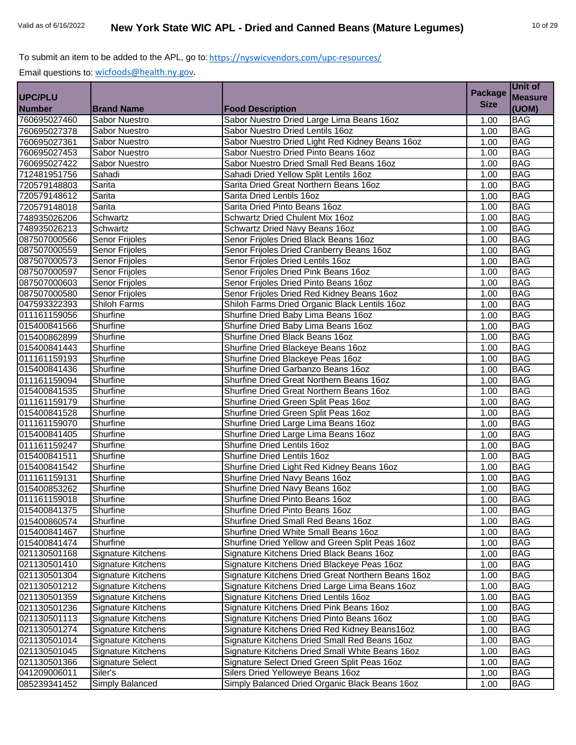|                |                           |                                                    | <b>Package</b> | Unit of        |
|----------------|---------------------------|----------------------------------------------------|----------------|----------------|
| <b>UPC/PLU</b> |                           |                                                    |                | <b>Measure</b> |
| <b>Number</b>  | <b>Brand Name</b>         | <b>Food Description</b>                            | <b>Size</b>    | (UOM)          |
| 760695027460   | Sabor Nuestro             | Sabor Nuestro Dried Large Lima Beans 16oz          | 1.00           | <b>BAG</b>     |
| 760695027378   | Sabor Nuestro             | Sabor Nuestro Dried Lentils 16oz                   | 1.00           | <b>BAG</b>     |
| 760695027361   | Sabor Nuestro             | Sabor Nuestro Dried Light Red Kidney Beans 16oz    | 1.00           | <b>BAG</b>     |
| 760695027453   | Sabor Nuestro             | Sabor Nuestro Dried Pinto Beans 16oz               | 1.00           | <b>BAG</b>     |
| 760695027422   | Sabor Nuestro             | Sabor Nuestro Dried Small Red Beans 16oz           | 1.00           | <b>BAG</b>     |
| 712481951756   | Sahadi                    | Sahadi Dried Yellow Split Lentils 16oz             | 1.00           | <b>BAG</b>     |
| 720579148803   | Sarita                    | Sarita Dried Great Northern Beans 16oz             | 1.00           | <b>BAG</b>     |
| 720579148612   | Sarita                    | Sarita Dried Lentils 16oz                          | 1.00           | <b>BAG</b>     |
| 720579148018   | Sarita                    | Sarita Dried Pinto Beans 16oz                      | 1.00           | <b>BAG</b>     |
| 748935026206   | Schwartz                  | Schwartz Dried Chulent Mix 16oz                    | 1.00           | <b>BAG</b>     |
| 748935026213   | Schwartz                  | Schwartz Dried Navy Beans 16oz                     | 1.00           | <b>BAG</b>     |
| 087507000566   | Senor Frijoles            | Senor Frijoles Dried Black Beans 16oz              | 1.00           | <b>BAG</b>     |
| 087507000559   | Senor Frijoles            | Senor Frijoles Dried Cranberry Beans 16oz          | 1.00           | <b>BAG</b>     |
| 087507000573   | Senor Frijoles            | Senor Frijoles Dried Lentils 16oz                  | 1.00           | <b>BAG</b>     |
| 087507000597   | Senor Frijoles            | Senor Frijoles Dried Pink Beans 16oz               | 1.00           | <b>BAG</b>     |
| 087507000603   | Senor Frijoles            | Senor Frijoles Dried Pinto Beans 16oz              | 1.00           | <b>BAG</b>     |
| 087507000580   | Senor Frijoles            | Senor Frijoles Dried Red Kidney Beans 16oz         | 1.00           | <b>BAG</b>     |
| 047593322393   | <b>Shiloh Farms</b>       | Shiloh Farms Dried Organic Black Lentils 16oz      | 1.00           | <b>BAG</b>     |
| 011161159056   | Shurfine                  | Shurfine Dried Baby Lima Beans 16oz                | 1.00           | <b>BAG</b>     |
| 015400841566   | Shurfine                  | Shurfine Dried Baby Lima Beans 16oz                | 1.00           | <b>BAG</b>     |
| 015400862899   | Shurfine                  | Shurfine Dried Black Beans 16oz                    | 1.00           | <b>BAG</b>     |
| 015400841443   | Shurfine                  | Shurfine Dried Blackeye Beans 16oz                 | 1.00           | <b>BAG</b>     |
| 011161159193   | Shurfine                  | Shurfine Dried Blackeye Peas 16oz                  | 1.00           | <b>BAG</b>     |
| 015400841436   | Shurfine                  | Shurfine Dried Garbanzo Beans 16oz                 | 1.00           | <b>BAG</b>     |
| 011161159094   | Shurfine                  | Shurfine Dried Great Northern Beans 16oz           | 1.00           | <b>BAG</b>     |
| 015400841535   | Shurfine                  | Shurfine Dried Great Northern Beans 16oz           | 1.00           | <b>BAG</b>     |
| 011161159179   | Shurfine                  | Shurfine Dried Green Split Peas 16oz               | 1.00           | <b>BAG</b>     |
| 015400841528   | Shurfine                  | Shurfine Dried Green Split Peas 16oz               | 1.00           | <b>BAG</b>     |
| 011161159070   | Shurfine                  | Shurfine Dried Large Lima Beans 16oz               | 1.00           | <b>BAG</b>     |
| 015400841405   | Shurfine                  | Shurfine Dried Large Lima Beans 16oz               | 1.00           | <b>BAG</b>     |
| 011161159247   | Shurfine                  | <b>Shurfine Dried Lentils 16oz</b>                 | 1.00           | <b>BAG</b>     |
| 015400841511   | Shurfine                  | <b>Shurfine Dried Lentils 16oz</b>                 | 1.00           | <b>BAG</b>     |
| 015400841542   | Shurfine                  | Shurfine Dried Light Red Kidney Beans 16oz         | 1.00           | <b>BAG</b>     |
| 011161159131   | Shurfine                  | Shurfine Dried Navy Beans 16oz                     | 1.00           | <b>BAG</b>     |
| 015400853262   | Shurfine                  | Shurfine Dried Navy Beans 16oz                     | 1.00           | <b>BAG</b>     |
| 011161159018   | Shurfine                  | Shurfine Dried Pinto Beans 16oz                    | 1.00           | <b>BAG</b>     |
| 015400841375   | Shurfine                  | Shurfine Dried Pinto Beans 16oz                    | 1.00           | <b>BAG</b>     |
| 015400860574   | Shurfine                  | Shurfine Dried Small Red Beans 16oz                | 1.00           | <b>BAG</b>     |
| 015400841467   | Shurfine                  | Shurfine Dried White Small Beans 16oz              | 1.00           | <b>BAG</b>     |
| 015400841474   | Shurfine                  | Shurfine Dried Yellow and Green Split Peas 16oz    | 1.00           | <b>BAG</b>     |
| 021130501168   | <b>Signature Kitchens</b> | Signature Kitchens Dried Black Beans 16oz          | 1.00           | <b>BAG</b>     |
| 021130501410   | Signature Kitchens        | Signature Kitchens Dried Blackeye Peas 16oz        | 1.00           | <b>BAG</b>     |
| 021130501304   | <b>Signature Kitchens</b> | Signature Kitchens Dried Great Northern Beans 16oz | 1.00           | <b>BAG</b>     |
| 021130501212   | <b>Signature Kitchens</b> | Signature Kitchens Dried Large Lima Beans 16oz     | 1.00           | <b>BAG</b>     |
| 021130501359   | Signature Kitchens        | Signature Kitchens Dried Lentils 16oz              | 1.00           | BAG            |
| 021130501236   | Signature Kitchens        | Signature Kitchens Dried Pink Beans 16oz           | 1.00           | <b>BAG</b>     |
| 021130501113   | Signature Kitchens        | Signature Kitchens Dried Pinto Beans 16oz          | 1.00           | <b>BAG</b>     |
| 021130501274   | Signature Kitchens        | Signature Kitchens Dried Red Kidney Beans16oz      | 1.00           | <b>BAG</b>     |
| 021130501014   | Signature Kitchens        | Signature Kitchens Dried Small Red Beans 16oz      | 1.00           | <b>BAG</b>     |
| 021130501045   | Signature Kitchens        | Signature Kitchens Dried Small White Beans 16oz    | 1.00           | <b>BAG</b>     |
| 021130501366   | Signature Select          | Signature Select Dried Green Split Peas 16oz       | 1.00           | <b>BAG</b>     |
| 041209006011   | Siler's                   | Silers Dried Yelloweye Beans 16oz                  | 1.00           | <b>BAG</b>     |
|                |                           |                                                    |                |                |
| 085239341452   | Simply Balanced           | Simply Balanced Dried Organic Black Beans 16oz     | 1.00           | <b>BAG</b>     |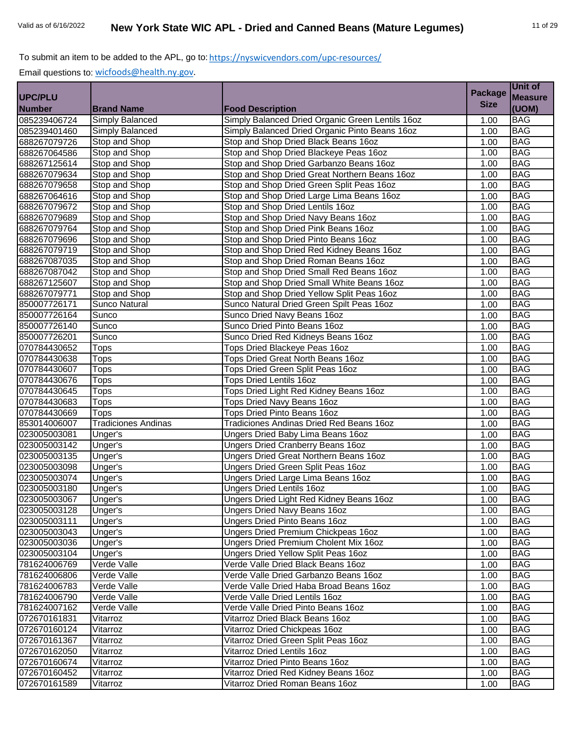|                |                            |                                                  | <b>Package</b> | Unit of        |
|----------------|----------------------------|--------------------------------------------------|----------------|----------------|
| <b>UPC/PLU</b> |                            |                                                  |                | <b>Measure</b> |
| <b>Number</b>  | <b>Brand Name</b>          | <b>Food Description</b>                          | <b>Size</b>    | (UOM)          |
| 085239406724   | Simply Balanced            | Simply Balanced Dried Organic Green Lentils 16oz | 1.00           | <b>BAG</b>     |
| 085239401460   | Simply Balanced            | Simply Balanced Dried Organic Pinto Beans 16oz   | 1.00           | <b>BAG</b>     |
| 688267079726   | Stop and Shop              | Stop and Shop Dried Black Beans 16oz             | 1.00           | <b>BAG</b>     |
| 688267064586   | Stop and Shop              | Stop and Shop Dried Blackeye Peas 16oz           | 1.00           | <b>BAG</b>     |
| 688267125614   | Stop and Shop              | Stop and Shop Dried Garbanzo Beans 16oz          | 1.00           | <b>BAG</b>     |
| 688267079634   | Stop and Shop              | Stop and Shop Dried Great Northern Beans 16oz    | 1.00           | <b>BAG</b>     |
| 688267079658   | Stop and Shop              | Stop and Shop Dried Green Split Peas 16oz        | 1.00           | <b>BAG</b>     |
| 688267064616   | Stop and Shop              | Stop and Shop Dried Large Lima Beans 16oz        | 1.00           | <b>BAG</b>     |
| 688267079672   | Stop and Shop              | Stop and Shop Dried Lentils 16oz                 | 1.00           | <b>BAG</b>     |
| 688267079689   | Stop and Shop              | Stop and Shop Dried Navy Beans 16oz              | 1.00           | <b>BAG</b>     |
| 688267079764   | Stop and Shop              | Stop and Shop Dried Pink Beans 16oz              | 1.00           | <b>BAG</b>     |
| 688267079696   | Stop and Shop              | Stop and Shop Dried Pinto Beans 16oz             | 1.00           | <b>BAG</b>     |
| 688267079719   | Stop and Shop              | Stop and Shop Dried Red Kidney Beans 16oz        | 1.00           | <b>BAG</b>     |
| 688267087035   | Stop and Shop              | Stop and Shop Dried Roman Beans 16oz             | 1.00           | <b>BAG</b>     |
| 688267087042   | Stop and Shop              | Stop and Shop Dried Small Red Beans 16oz         | 1.00           | <b>BAG</b>     |
| 688267125607   | Stop and Shop              | Stop and Shop Dried Small White Beans 16oz       | 1.00           | <b>BAG</b>     |
| 688267079771   | Stop and Shop              | Stop and Shop Dried Yellow Split Peas 16oz       | 1.00           | <b>BAG</b>     |
| 850007726171   | Sunco Natural              | Sunco Natural Dried Green Spilt Peas 16oz        | 1.00           | <b>BAG</b>     |
| 850007726164   | Sunco                      | Sunco Dried Navy Beans 16oz                      | 1.00           | <b>BAG</b>     |
| 850007726140   | Sunco                      | Sunco Dried Pinto Beans 16oz                     | 1.00           | <b>BAG</b>     |
| 850007726201   | Sunco                      | Sunco Dried Red Kidneys Beans 16oz               | 1.00           | <b>BAG</b>     |
| 070784430652   | <b>Tops</b>                | <b>Tops Dried Blackeye Peas 16oz</b>             | 1.00           | <b>BAG</b>     |
| 070784430638   | <b>Tops</b>                | Tops Dried Great North Beans 16oz                | 1.00           | <b>BAG</b>     |
| 070784430607   | <b>Tops</b>                | Tops Dried Green Split Peas 16oz                 | 1.00           | <b>BAG</b>     |
| 070784430676   | <b>Tops</b>                | <b>Tops Dried Lentils 16oz</b>                   | 1.00           | <b>BAG</b>     |
| 070784430645   | <b>Tops</b>                | Tops Dried Light Red Kidney Beans 16oz           | 1.00           | <b>BAG</b>     |
| 070784430683   | <b>Tops</b>                | Tops Dried Navy Beans 16oz                       | 1.00           | <b>BAG</b>     |
| 070784430669   | Tops                       | <b>Tops Dried Pinto Beans 16oz</b>               | 1.00           | <b>BAG</b>     |
| 853014006007   | <b>Tradiciones Andinas</b> | Tradiciones Andinas Dried Red Beans 16oz         | 1.00           | <b>BAG</b>     |
| 023005003081   | Unger's                    | Ungers Dried Baby Lima Beans 16oz                | 1.00           | <b>BAG</b>     |
| 023005003142   | Unger's                    | Ungers Dried Cranberry Beans 16oz                | 1.00           | <b>BAG</b>     |
| 023005003135   | Unger's                    | Ungers Dried Great Northern Beans 16oz           | 1.00           | <b>BAG</b>     |
| 023005003098   | Unger's                    | Ungers Dried Green Split Peas 16oz               | 1.00           | <b>BAG</b>     |
| 023005003074   | Unger's                    | Ungers Dried Large Lima Beans 16oz               | 1.00           | <b>BAG</b>     |
| 023005003180   | Unger's                    | <b>Ungers Dried Lentils 16oz</b>                 | 1.00           | <b>BAG</b>     |
| 023005003067   | Unger's                    | Ungers Dried Light Red Kidney Beans 16oz         | 1.00           | <b>BAG</b>     |
| 023005003128   | Unger's                    | <b>Ungers Dried Navy Beans 16oz</b>              | 1.00           | <b>BAG</b>     |
| 023005003111   | Unger's                    | <b>Ungers Dried Pinto Beans 16oz</b>             | 1.00           | <b>BAG</b>     |
| 023005003043   | Unger's                    | Ungers Dried Premium Chickpeas 16oz              | 1.00           | <b>BAG</b>     |
| 023005003036   | Unger's                    | Ungers Dried Premium Cholent Mix 16oz            | 1.00           | <b>BAG</b>     |
| 023005003104   | Unger's                    | Ungers Dried Yellow Split Peas 16oz              | 1.00           | <b>BAG</b>     |
| 781624006769   | Verde Valle                | Verde Valle Dried Black Beans 16oz               | 1.00           | <b>BAG</b>     |
| 781624006806   | Verde Valle                | Verde Valle Dried Garbanzo Beans 16oz            | 1.00           | <b>BAG</b>     |
| 781624006783   | Verde Valle                | Verde Valle Dried Haba Broad Beans 16oz          | 1.00           | <b>BAG</b>     |
| 781624006790   | Verde Valle                | Verde Valle Dried Lentils 16oz                   | 1.00           | <b>BAG</b>     |
| 781624007162   | Verde Valle                | Verde Valle Dried Pinto Beans 16oz               | 1.00           | <b>BAG</b>     |
| 072670161831   | Vitarroz                   | Vitarroz Dried Black Beans 16oz                  | 1.00           | <b>BAG</b>     |
| 072670160124   | Vitarroz                   | Vitarroz Dried Chickpeas 16oz                    | 1.00           | <b>BAG</b>     |
| 072670161367   | Vitarroz                   | Vitarroz Dried Green Split Peas 16oz             | 1.00           | <b>BAG</b>     |
| 072670162050   | Vitarroz                   | Vitarroz Dried Lentils 16oz                      | 1.00           | <b>BAG</b>     |
| 072670160674   | Vitarroz                   | Vitarroz Dried Pinto Beans 16oz                  | 1.00           | <b>BAG</b>     |
| 072670160452   | Vitarroz                   | Vitarroz Dried Red Kidney Beans 16oz             | 1.00           | <b>BAG</b>     |
| 072670161589   | Vitarroz                   | Vitarroz Dried Roman Beans 16oz                  | 1.00           | <b>BAG</b>     |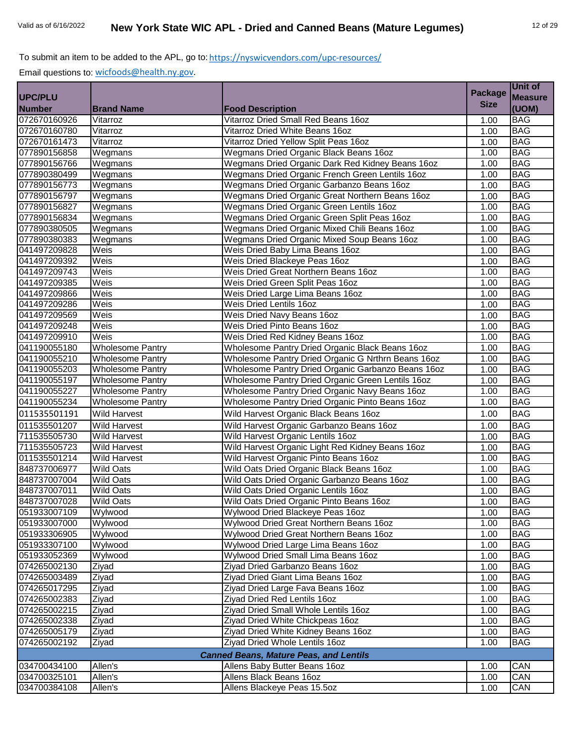|                                               |                         |                                                    | <b>Package</b> | Unit of        |  |
|-----------------------------------------------|-------------------------|----------------------------------------------------|----------------|----------------|--|
| <b>UPC/PLU</b>                                |                         |                                                    | <b>Size</b>    | <b>Measure</b> |  |
| <b>Number</b>                                 | <b>Brand Name</b>       | <b>Food Description</b>                            |                | (UOM)          |  |
| 072670160926                                  | Vitarroz                | Vitarroz Dried Small Red Beans 16oz                | 1.00           | <b>BAG</b>     |  |
| 072670160780                                  | Vitarroz                | Vitarroz Dried White Beans 16oz                    | 1.00           | <b>BAG</b>     |  |
| 072670161473                                  | Vitarroz                | Vitarroz Dried Yellow Split Peas 16oz              | 1.00           | <b>BAG</b>     |  |
| 077890156858                                  | Wegmans                 | Wegmans Dried Organic Black Beans 16oz             | 1.00           | <b>BAG</b>     |  |
| 077890156766                                  | Wegmans                 | Wegmans Dried Organic Dark Red Kidney Beans 16oz   | 1.00           | <b>BAG</b>     |  |
| 077890380499                                  | Wegmans                 | Wegmans Dried Organic French Green Lentils 16oz    | 1.00           | <b>BAG</b>     |  |
| 077890156773                                  | Wegmans                 | Wegmans Dried Organic Garbanzo Beans 16oz          | 1.00           | <b>BAG</b>     |  |
| 077890156797                                  | Wegmans                 | Wegmans Dried Organic Great Northern Beans 16oz    | 1.00           | <b>BAG</b>     |  |
| 077890156827                                  | Wegmans                 | <b>Wegmans Dried Organic Green Lentils 16oz</b>    | 1.00           | <b>BAG</b>     |  |
| 077890156834                                  | Wegmans                 | Wegmans Dried Organic Green Split Peas 16oz        | 1.00           | <b>BAG</b>     |  |
| 077890380505                                  | Wegmans                 | Wegmans Dried Organic Mixed Chili Beans 16oz       | 1.00           | <b>BAG</b>     |  |
| 077890380383                                  | Wegmans                 | Wegmans Dried Organic Mixed Soup Beans 16oz        | 1.00           | <b>BAG</b>     |  |
| 041497209828                                  | Weis                    | Weis Dried Baby Lima Beans 16oz                    | 1.00           | <b>BAG</b>     |  |
| 041497209392                                  | Weis                    | Weis Dried Blackeye Peas 16oz                      | 1.00           | <b>BAG</b>     |  |
| 041497209743                                  | Weis                    | Weis Dried Great Northern Beans 16oz               | 1.00           | <b>BAG</b>     |  |
| 041497209385                                  | Weis                    | Weis Dried Green Split Peas 16oz                   | 1.00           | <b>BAG</b>     |  |
| 041497209866                                  | Weis                    | Weis Dried Large Lima Beans 16oz                   | 1.00           | <b>BAG</b>     |  |
| 041497209286                                  | Weis                    | Weis Dried Lentils 16oz                            | 1.00           | <b>BAG</b>     |  |
| 041497209569                                  | Weis                    | Weis Dried Navy Beans 16oz                         | 1.00           | <b>BAG</b>     |  |
| 041497209248                                  | Weis                    | Weis Dried Pinto Beans 16oz                        | 1.00           | <b>BAG</b>     |  |
| 041497209910                                  | Weis                    | Weis Dried Red Kidney Beans 16oz                   | 1.00           | <b>BAG</b>     |  |
| 041190055180                                  | <b>Wholesome Pantry</b> | Wholesome Pantry Dried Organic Black Beans 16oz    | 1.00           | <b>BAG</b>     |  |
| 041190055210                                  | <b>Wholesome Pantry</b> | Wholesome Pantry Dried Organic G Nrthrn Beans 16oz | 1.00           | <b>BAG</b>     |  |
| 041190055203                                  | <b>Wholesome Pantry</b> | Wholesome Pantry Dried Organic Garbanzo Beans 16oz | 1.00           | <b>BAG</b>     |  |
| 041190055197                                  | <b>Wholesome Pantry</b> | Wholesome Pantry Dried Organic Green Lentils 16oz  | 1.00           | <b>BAG</b>     |  |
| 041190055227                                  | <b>Wholesome Pantry</b> | Wholesome Pantry Dried Organic Navy Beans 16oz     | 1.00           | <b>BAG</b>     |  |
| 041190055234                                  | <b>Wholesome Pantry</b> | Wholesome Pantry Dried Organic Pinto Beans 16oz    | 1.00           | <b>BAG</b>     |  |
| 011535501191                                  | <b>Wild Harvest</b>     | Wild Harvest Organic Black Beans 16oz              | 1.00           | <b>BAG</b>     |  |
| 011535501207                                  | <b>Wild Harvest</b>     | Wild Harvest Organic Garbanzo Beans 16oz           | 1.00           | <b>BAG</b>     |  |
| 711535505730                                  | <b>Wild Harvest</b>     | Wild Harvest Organic Lentils 16oz                  | 1.00           | <b>BAG</b>     |  |
| 711535505723                                  | <b>Wild Harvest</b>     | Wild Harvest Organic Light Red Kidney Beans 16oz   | 1.00           | <b>BAG</b>     |  |
| 011535501214                                  | <b>Wild Harvest</b>     | Wild Harvest Organic Pinto Beans 16oz              | 1.00           | <b>BAG</b>     |  |
| 848737006977                                  | <b>Wild Oats</b>        | Wild Oats Dried Organic Black Beans 16oz           | 1.00           | <b>BAG</b>     |  |
| 848737007004                                  | <b>Wild Oats</b>        | Wild Oats Dried Organic Garbanzo Beans 16oz        | 1.00           | <b>BAG</b>     |  |
| 848737007011                                  | <b>Wild Oats</b>        | Wild Oats Dried Organic Lentils 16oz               | 1.00           | <b>BAG</b>     |  |
| 848737007028                                  | <b>Wild Oats</b>        | Wild Oats Dried Organic Pinto Beans 16oz           | 1.00           | <b>BAG</b>     |  |
| 051933007109                                  | Wylwood                 | Wylwood Dried Blackeye Peas 16oz                   | 1.00           | <b>BAG</b>     |  |
| 051933007000                                  | Wylwood                 | Wylwood Dried Great Northern Beans 16oz            | 1.00           | <b>BAG</b>     |  |
| 051933306905                                  | Wylwood                 | Wylwood Dried Great Northern Beans 16oz            | 1.00           | <b>BAG</b>     |  |
| 051933307100                                  | Wylwood                 | Wylwood Dried Large Lima Beans 16oz                | 1.00           | <b>BAG</b>     |  |
| 051933052369                                  | Wylwood                 | Wylwood Dried Small Lima Beans 16oz                | 1.00           | <b>BAG</b>     |  |
| 074265002130                                  | Ziyad                   | Ziyad Dried Garbanzo Beans 16oz                    | 1.00           | <b>BAG</b>     |  |
| 074265003489                                  | Ziyad                   | Ziyad Dried Giant Lima Beans 16oz                  | 1.00           | <b>BAG</b>     |  |
| 074265017295                                  | Ziyad                   | Ziyad Dried Large Fava Beans 16oz                  | 1.00           | <b>BAG</b>     |  |
| 074265002383                                  | Ziyad                   | Ziyad Dried Red Lentils 16oz                       | 1.00           | <b>BAG</b>     |  |
| 074265002215                                  | Ziyad                   | Ziyad Dried Small Whole Lentils 16oz               | 1.00           | <b>BAG</b>     |  |
| 074265002338                                  | Ziyad                   | Ziyad Dried White Chickpeas 16oz                   | 1.00           | <b>BAG</b>     |  |
| 074265005179                                  | Ziyad                   | Ziyad Dried White Kidney Beans 160z                | 1.00           | <b>BAG</b>     |  |
| 074265002192                                  | Ziyad                   | Ziyad Dried Whole Lentils 16oz                     | 1.00           | <b>BAG</b>     |  |
| <b>Canned Beans, Mature Peas, and Lentils</b> |                         |                                                    |                |                |  |
| 034700434100                                  | Allen's                 | Allens Baby Butter Beans 16oz                      | 1.00           | CAN            |  |
| 034700325101                                  | Allen's                 | Allens Black Beans 16oz                            | 1.00           | CAN            |  |
| 034700384108                                  | Allen's                 | Allens Blackeye Peas 15.5oz                        | 1.00           | CAN            |  |
|                                               |                         |                                                    |                |                |  |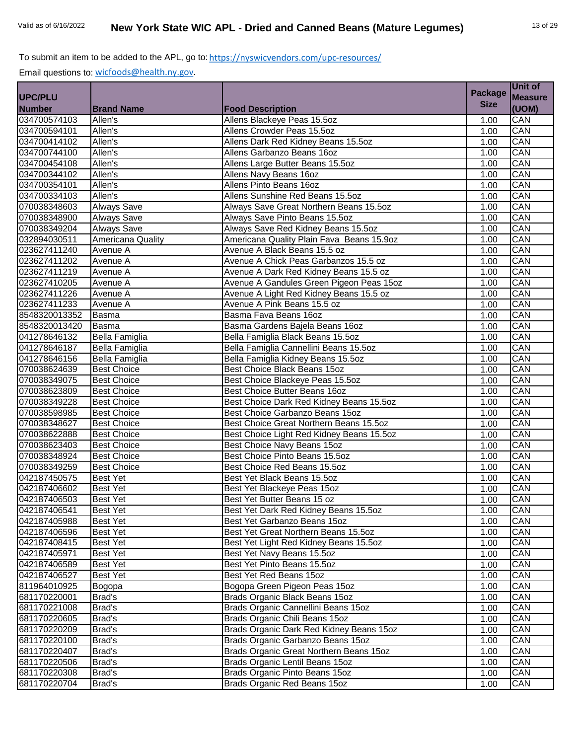|                |                    |                                           | <b>Package</b> | Unit of        |
|----------------|--------------------|-------------------------------------------|----------------|----------------|
| <b>UPC/PLU</b> |                    |                                           | <b>Size</b>    | <b>Measure</b> |
| <b>Number</b>  | <b>Brand Name</b>  | <b>Food Description</b>                   |                | (UOM)          |
| 034700574103   | Allen's            | Allens Blackeye Peas 15.5oz               | 1.00           | CAN            |
| 034700594101   | Allen's            | Allens Crowder Peas 15.5oz                | 1.00           | CAN            |
| 034700414102   | Allen's            | Allens Dark Red Kidney Beans 15.5oz       | 1.00           | CAN            |
| 034700744100   | Allen's            | Allens Garbanzo Beans 16oz                | 1.00           | CAN            |
| 034700454108   | Allen's            | Allens Large Butter Beans 15.5oz          | 1.00           | CAN            |
| 034700344102   | Allen's            | Allens Navy Beans 16oz                    | 1.00           | CAN            |
| 034700354101   | Allen's            | Allens Pinto Beans 16oz                   | 1.00           | CAN            |
| 034700334103   | Allen's            | Allens Sunshine Red Beans 15.5oz          | 1.00           | CAN            |
| 070038348603   | <b>Always Save</b> | Always Save Great Northern Beans 15.5oz   | 1.00           | CAN            |
| 070038348900   | Always Save        | Always Save Pinto Beans 15.5oz            | 1.00           | CAN            |
| 070038349204   | Always Save        | Always Save Red Kidney Beans 15.5oz       | 1.00           | CAN            |
| 032894030511   | Americana Quality  | Americana Quality Plain Fava Beans 15.9oz | 1.00           | CAN            |
| 023627411240   | Avenue A           | Avenue A Black Beans 15.5 oz              | 1.00           | CAN            |
| 023627411202   | Avenue A           | Avenue A Chick Peas Garbanzos 15.5 oz     | 1.00           | CAN            |
| 023627411219   | Avenue A           | Avenue A Dark Red Kidney Beans 15.5 oz    | 1.00           | CAN            |
| 023627410205   | Avenue A           | Avenue A Gandules Green Pigeon Peas 15oz  | 1.00           | CAN            |
| 023627411226   | Avenue A           | Avenue A Light Red Kidney Beans 15.5 oz   | 1.00           | CAN            |
| 023627411233   | Avenue A           | Avenue A Pink Beans 15.5 oz               | 1.00           | CAN            |
| 8548320013352  | <b>Basma</b>       | Basma Fava Beans 16oz                     | 1.00           | CAN            |
| 8548320013420  | Basma              | Basma Gardens Bajela Beans 16oz           | 1.00           | CAN            |
| 041278646132   | Bella Famiglia     | Bella Famiglia Black Beans 15.5oz         | 1.00           | CAN            |
| 041278646187   | Bella Famiglia     | Bella Famiglia Cannellini Beans 15.5oz    | 1.00           | CAN            |
| 041278646156   | Bella Famiglia     | Bella Famiglia Kidney Beans 15.5oz        | 1.00           | CAN            |
| 070038624639   | <b>Best Choice</b> | Best Choice Black Beans 15oz              | 1.00           | CAN            |
| 070038349075   | <b>Best Choice</b> | Best Choice Blackeye Peas 15.5oz          | 1.00           | CAN            |
| 070038623809   | <b>Best Choice</b> | Best Choice Butter Beans 16oz             | 1.00           | CAN            |
| 070038349228   | <b>Best Choice</b> | Best Choice Dark Red Kidney Beans 15.5oz  | 1.00           | CAN            |
| 070038598985   | <b>Best Choice</b> | Best Choice Garbanzo Beans 15oz           | 1.00           | CAN            |
| 070038348627   | <b>Best Choice</b> | Best Choice Great Northern Beans 15.5oz   | 1.00           | CAN            |
| 070038622888   | <b>Best Choice</b> | Best Choice Light Red Kidney Beans 15.5oz | 1.00           | CAN            |
| 070038623403   | <b>Best Choice</b> | Best Choice Navy Beans 15oz               | 1.00           | CAN            |
| 070038348924   | <b>Best Choice</b> | Best Choice Pinto Beans 15.5oz            | 1.00           | CAN            |
| 070038349259   | <b>Best Choice</b> | Best Choice Red Beans 15.5oz              | 1.00           | CAN            |
| 042187450575   | <b>Best Yet</b>    | Best Yet Black Beans 15.5oz               | 1.00           | CAN            |
| 042187406602   | <b>Best Yet</b>    | Best Yet Blackeye Peas 15oz               | 1.00           | CAN            |
| 042187406503   | <b>Best Yet</b>    | Best Yet Butter Beans 15 oz               | 1.00           | CAN            |
| 042187406541   | <b>Best Yet</b>    | Best Yet Dark Red Kidney Beans 15.5oz     | 1.00           | CAN            |
| 042187405988   | <b>Best Yet</b>    | Best Yet Garbanzo Beans 15oz              | 1.00           | CAN            |
| 042187406596   | <b>Best Yet</b>    | Best Yet Great Northern Beans 15.5oz      | 1.00           | CAN            |
| 042187408415   | Best Yet           | Best Yet Light Red Kidney Beans 15.5oz    | 1.00           | CAN            |
| 042187405971   | Best Yet           | Best Yet Navy Beans 15.5oz                | 1.00           | CAN            |
| 042187406589   | Best Yet           | Best Yet Pinto Beans 15.5oz               | 1.00           | CAN            |
| 042187406527   | <b>Best Yet</b>    | Best Yet Red Beans 15oz                   | 1.00           | CAN            |
| 811964010925   | Bogopa             | Bogopa Green Pigeon Peas 15oz             | 1.00           | CAN            |
| 681170220001   | Brad's             | Brads Organic Black Beans 15oz            | 1.00           | CAN            |
| 681170221008   | Brad's             | Brads Organic Cannellini Beans 15oz       | 1.00           | CAN            |
| 681170220605   | Brad's             | Brads Organic Chili Beans 15oz            | 1.00           | CAN            |
| 681170220209   | Brad's             | Brads Organic Dark Red Kidney Beans 15oz  | 1.00           | CAN            |
| 681170220100   | Brad's             | Brads Organic Garbanzo Beans 15oz         | 1.00           | CAN            |
| 681170220407   | Brad's             | Brads Organic Great Northern Beans 15oz   | 1.00           | CAN            |
| 681170220506   | Brad's             | Brads Organic Lentil Beans 15oz           | 1.00           | CAN            |
| 681170220308   | Brad's             | Brads Organic Pinto Beans 15oz            | 1.00           | CAN            |
| 681170220704   | Brad's             | Brads Organic Red Beans 15oz              | 1.00           | CAN            |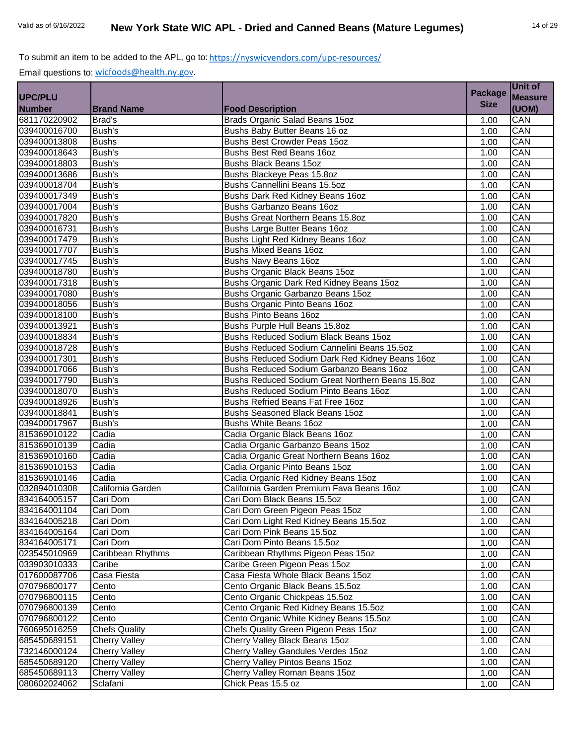|                |                      |                                                  | <b>Package</b> | Unit of        |
|----------------|----------------------|--------------------------------------------------|----------------|----------------|
| <b>UPC/PLU</b> |                      |                                                  | <b>Size</b>    | <b>Measure</b> |
| <b>Number</b>  | <b>Brand Name</b>    | <b>Food Description</b>                          |                | (UOM)          |
| 681170220902   | Brad's               | Brads Organic Salad Beans 15oz                   | 1.00           | CAN            |
| 039400016700   | Bush's               | Bushs Baby Butter Beans 16 oz                    | 1.00           | CAN            |
| 039400013808   | <b>Bushs</b>         | Bushs Best Crowder Peas 15oz                     | 1.00           | CAN            |
| 039400018643   | Bush's               | Bushs Best Red Beans 16oz                        | 1.00           | CAN            |
| 039400018803   | Bush's               | <b>Bushs Black Beans 15oz</b>                    | 1.00           | CAN            |
| 039400013686   | Bush's               | Bushs Blackeye Peas 15.8oz                       | 1.00           | CAN            |
| 039400018704   | Bush's               | Bushs Cannellini Beans 15.5oz                    | 1.00           | CAN            |
| 039400017349   | Bush's               | Bushs Dark Red Kidney Beans 16oz                 | 1.00           | CAN            |
| 039400017004   | Bush's               | Bushs Garbanzo Beans 16oz                        | 1.00           | CAN            |
| 039400017820   | Bush's               | Bushs Great Northern Beans 15.8oz                | 1.00           | CAN            |
| 039400016731   | Bush's               | Bushs Large Butter Beans 16oz                    | 1.00           | CAN            |
| 039400017479   | Bush's               | Bushs Light Red Kidney Beans 16oz                | 1.00           | CAN            |
| 039400017707   | Bush's               | <b>Bushs Mixed Beans 16oz</b>                    | 1.00           | CAN            |
| 039400017745   | <b>Bush's</b>        | Bushs Navy Beans 16oz                            | 1.00           | CAN            |
| 039400018780   | Bush's               | Bushs Organic Black Beans 15oz                   | 1.00           | CAN            |
| 039400017318   | Bush's               | Bushs Organic Dark Red Kidney Beans 15oz         | 1.00           | CAN            |
| 039400017080   | Bush's               | Bushs Organic Garbanzo Beans 15oz                | 1.00           | CAN            |
| 039400018056   | Bush's               | Bushs Organic Pinto Beans 16oz                   | 1.00           | CAN            |
| 039400018100   | Bush's               | <b>Bushs Pinto Beans 16oz</b>                    | 1.00           | CAN            |
| 039400013921   | Bush's               | Bushs Purple Hull Beans 15.8oz                   | 1.00           | CAN            |
| 039400018834   | Bush's               | Bushs Reduced Sodium Black Beans 15oz            | 1.00           | CAN            |
| 039400018728   | Bush's               | Bushs Reduced Sodium Cannelini Beans 15.5oz      | 1.00           | CAN            |
| 039400017301   | Bush's               | Bushs Reduced Sodium Dark Red Kidney Beans 16oz  | 1.00           | CAN            |
| 039400017066   | Bush's               | Bushs Reduced Sodium Garbanzo Beans 16oz         | 1.00           | CAN            |
| 039400017790   | Bush's               | Bushs Reduced Sodium Great Northern Beans 15.8oz | 1.00           | CAN            |
| 039400018070   | Bush's               | Bushs Reduced Sodium Pinto Beans 16oz            | 1.00           | CAN            |
| 039400018926   | Bush's               | Bushs Refried Beans Fat Free 160z                | 1.00           | CAN            |
| 039400018841   | Bush's               | Bushs Seasoned Black Beans 15oz                  | 1.00           | CAN            |
| 039400017967   | Bush's               | Bushs White Beans 16oz                           | 1.00           | CAN            |
| 815369010122   | Cadia                | Cadia Organic Black Beans 16oz                   | 1.00           | CAN            |
| 815369010139   | Cadia                | Cadia Organic Garbanzo Beans 15oz                | 1.00           | CAN            |
| 815369010160   | Cadia                | Cadia Organic Great Northern Beans 16oz          | 1.00           | CAN            |
| 815369010153   | Cadia                | Cadia Organic Pinto Beans 15oz                   | 1.00           | CAN            |
| 815369010146   | Cadia                | Cadia Organic Red Kidney Beans 15oz              | 1.00           | CAN            |
| 032894010308   | California Garden    | California Garden Premium Fava Beans 16oz        | 1.00           | CAN            |
| 834164005157   | Cari Dom             | Cari Dom Black Beans 15.5oz                      | 1.00           | CAN            |
| 834164001104   | Cari Dom             | Cari Dom Green Pigeon Peas 15oz                  | 1.00           | CAN            |
| 834164005218   | Cari Dom             | Cari Dom Light Red Kidney Beans 15.5oz           | 1.00           | CAN            |
| 834164005164   | Cari Dom             | Cari Dom Pink Beans 15.5oz                       | 1.00           | CAN            |
| 834164005171   | Cari Dom             | Cari Dom Pinto Beans 15.5oz                      | 1.00           | CAN            |
| 023545010969   | Caribbean Rhythms    | Caribbean Rhythms Pigeon Peas 15oz               | 1.00           | CAN            |
| 033903010333   | Caribe               | Caribe Green Pigeon Peas 15oz                    | 1.00           | CAN            |
| 017600087706   | Casa Fiesta          | Casa Fiesta Whole Black Beans 15oz               | 1.00           | CAN            |
| 070796800177   | Cento                | Cento Organic Black Beans 15.5oz                 | 1.00           | CAN            |
| 070796800115   | Cento                | Cento Organic Chickpeas 15.5oz                   | 1.00           | CAN            |
| 070796800139   | Cento                | Cento Organic Red Kidney Beans 15.5oz            | 1.00           | CAN            |
| 070796800122   | Cento                | Cento Organic White Kidney Beans 15.5oz          | 1.00           | CAN            |
| 760695016259   | <b>Chefs Quality</b> | Chefs Quality Green Pigeon Peas 15oz             | 1.00           | CAN            |
| 685450689151   | <b>Cherry Valley</b> | Cherry Valley Black Beans 15oz                   | 1.00           | CAN            |
| 732146000124   | <b>Cherry Valley</b> | Cherry Valley Gandules Verdes 15oz               | 1.00           | CAN            |
| 685450689120   | <b>Cherry Valley</b> | Cherry Valley Pintos Beans 15oz                  | 1.00           | CAN            |
| 685450689113   | <b>Cherry Valley</b> | Cherry Valley Roman Beans 15oz                   | 1.00           | CAN            |
| 080602024062   | Sclafani             | Chick Peas 15.5 oz                               | 1.00           | CAN            |
|                |                      |                                                  |                |                |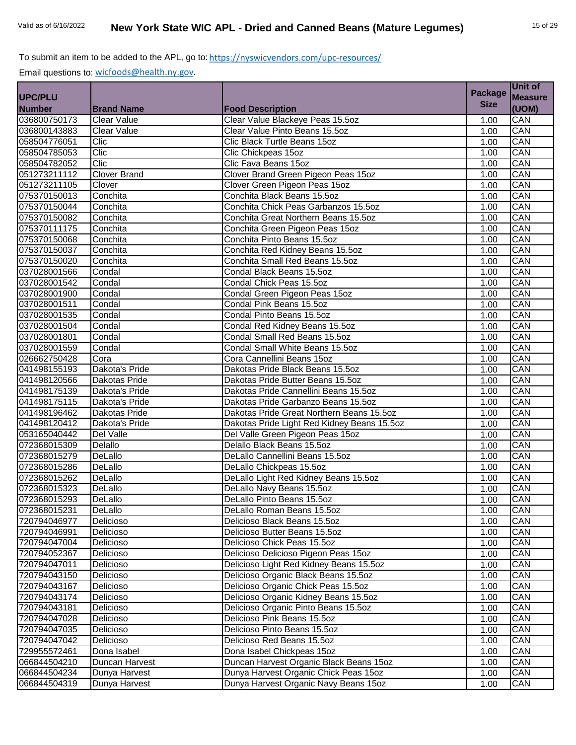|                |                     |                                             | <b>Package</b> | Unit of        |
|----------------|---------------------|---------------------------------------------|----------------|----------------|
| <b>UPC/PLU</b> |                     |                                             |                | <b>Measure</b> |
| <b>Number</b>  | <b>Brand Name</b>   | <b>Food Description</b>                     | <b>Size</b>    | (UOM)          |
| 036800750173   | <b>Clear Value</b>  | Clear Value Blackeye Peas 15.5oz            | 1.00           | CAN            |
| 036800143883   | <b>Clear Value</b>  | Clear Value Pinto Beans 15.5oz              | 1.00           | CAN            |
| 058504776051   | Clic                | Clic Black Turtle Beans 15oz                | 1.00           | CAN            |
| 058504785053   | Clic                | Clic Chickpeas 15oz                         | 1.00           | CAN            |
| 058504782052   | Clic                | Clic Fava Beans 15oz                        | 1.00           | CAN            |
| 051273211112   | <b>Clover Brand</b> | Clover Brand Green Pigeon Peas 15oz         | 1.00           | CAN            |
| 051273211105   | Clover              | Clover Green Pigeon Peas 15oz               | 1.00           | CAN            |
| 075370150013   | Conchita            | Conchita Black Beans 15.5oz                 | 1.00           | CAN            |
| 075370150044   | Conchita            | Conchita Chick Peas Garbanzos 15.5oz        | 1.00           | CAN            |
| 075370150082   | Conchita            | Conchita Great Northern Beans 15.5oz        | 1.00           | CAN            |
| 075370111175   | Conchita            | Conchita Green Pigeon Peas 15oz             | 1.00           | CAN            |
| 075370150068   | Conchita            | Conchita Pinto Beans 15.5oz                 | 1.00           | CAN            |
| 075370150037   | Conchita            | Conchita Red Kidney Beans 15.5oz            | 1.00           | CAN            |
| 075370150020   | Conchita            | Conchita Small Red Beans 15.5oz             | 1.00           | CAN            |
| 037028001566   | Condal              | Condal Black Beans 15.5oz                   | 1.00           | CAN            |
| 037028001542   | Condal              | Condal Chick Peas 15.5oz                    | 1.00           | CAN            |
| 037028001900   | Condal              | Condal Green Pigeon Peas 15oz               | 1.00           | CAN            |
| 037028001511   | Condal              | Condal Pink Beans 15.5oz                    | 1.00           | CAN            |
| 037028001535   | Condal              | Condal Pinto Beans 15.5oz                   | 1.00           | CAN            |
| 037028001504   | Condal              | Condal Red Kidney Beans 15.5oz              | 1.00           | CAN            |
| 037028001801   | Condal              | Condal Small Red Beans 15.5oz               | 1.00           | CAN            |
| 037028001559   | Condal              | Condal Small White Beans 15.5oz             | 1.00           | CAN            |
| 026662750428   | Cora                | Cora Cannellini Beans 15oz                  | 1.00           | CAN            |
| 041498155193   | Dakota's Pride      | Dakotas Pride Black Beans 15.5oz            | 1.00           | CAN            |
| 041498120566   | Dakotas Pride       | Dakotas Pride Butter Beans 15.5oz           | 1.00           | CAN            |
| 041498175139   | Dakota's Pride      | Dakotas Pride Cannellini Beans 15.5oz       | 1.00           | CAN            |
| 041498175115   | Dakota's Pride      | Dakotas Pride Garbanzo Beans 15.5oz         | 1.00           | CAN            |
| 041498196462   | Dakotas Pride       | Dakotas Pride Great Northern Beans 15.5oz   | 1.00           | CAN            |
| 041498120412   | Dakota's Pride      | Dakotas Pride Light Red Kidney Beans 15.5oz | 1.00           | CAN            |
| 053165040442   | Del Valle           | Del Valle Green Pigeon Peas 15oz            | 1.00           | CAN            |
| 072368015309   | Delallo             | Delallo Black Beans 15.5oz                  | 1.00           | CAN            |
| 072368015279   | DeLallo             | DeLallo Cannellini Beans 15.5oz             | 1.00           | CAN            |
| 072368015286   | DeLallo             | DeLallo Chickpeas 15.5oz                    | 1.00           | CAN            |
| 072368015262   | DeLallo             | DeLallo Light Red Kidney Beans 15.5oz       | 1.00           | CAN            |
| 072368015323   | DeLallo             | DeLallo Navy Beans 15.5oz                   | 1.00           | CAN            |
| 072368015293   | DeLallo             | DeLallo Pinto Beans 15.5oz                  | 1.00           | CAN            |
| 072368015231   | DeLallo             | DeLallo Roman Beans 15.5oz                  | 1.00           | CAN            |
| 720794046977   | Delicioso           | Delicioso Black Beans 15.5oz                | 1.00           | CAN            |
| 720794046991   | Delicioso           | Delicioso Butter Beans 15.5oz               | 1.00           | CAN            |
| 720794047004   | Delicioso           | Delicioso Chick Peas 15.5oz                 | 1.00           | CAN            |
| 720794052367   | Delicioso           | Delicioso Delicioso Pigeon Peas 15oz        | 1.00           | CAN            |
| 720794047011   | Delicioso           | Delicioso Light Red Kidney Beans 15.5oz     | 1.00           | CAN            |
| 720794043150   | Delicioso           | Delicioso Organic Black Beans 15.5oz        | 1.00           | CAN            |
| 720794043167   | Delicioso           | Delicioso Organic Chick Peas 15.5oz         | 1.00           | CAN            |
| 720794043174   | Delicioso           | Delicioso Organic Kidney Beans 15.5oz       | 1.00           | CAN            |
| 720794043181   | Delicioso           | Delicioso Organic Pinto Beans 15.5oz        | 1.00           | CAN            |
| 720794047028   | Delicioso           | Delicioso Pink Beans 15.5oz                 | 1.00           | CAN            |
| 720794047035   | Delicioso           | Delicioso Pinto Beans 15.5oz                | 1.00           | CAN            |
| 720794047042   | Delicioso           | Delicioso Red Beans 15.5oz                  | 1.00           | CAN            |
| 729955572461   | Dona Isabel         | Dona Isabel Chickpeas 15oz                  | 1.00           | CAN            |
| 066844504210   | Duncan Harvest      | Duncan Harvest Organic Black Beans 15oz     | 1.00           | CAN            |
| 066844504234   | Dunya Harvest       | Dunya Harvest Organic Chick Peas 15oz       | 1.00           | CAN            |
| 066844504319   | Dunya Harvest       | Dunya Harvest Organic Navy Beans 15oz       | 1.00           | CAN            |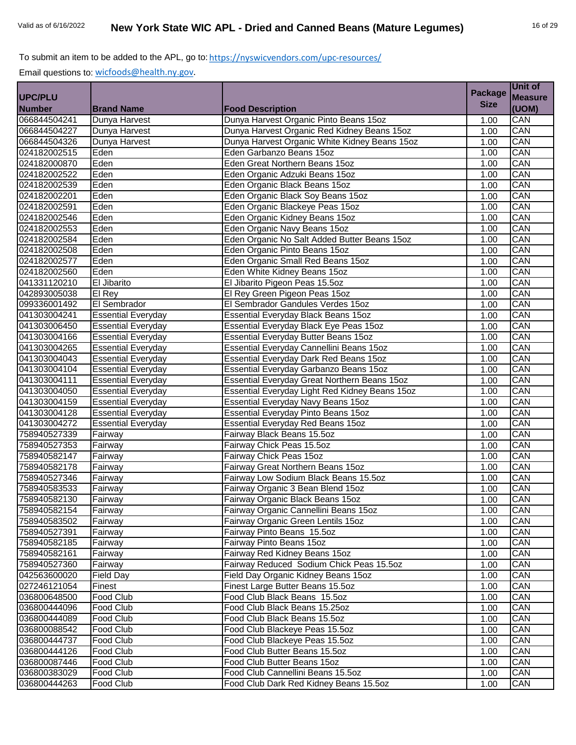|                |                           |                                                | <b>Package</b> | Unit of        |
|----------------|---------------------------|------------------------------------------------|----------------|----------------|
| <b>UPC/PLU</b> |                           |                                                |                | <b>Measure</b> |
| <b>Number</b>  | <b>Brand Name</b>         | <b>Food Description</b>                        | <b>Size</b>    | (UOM)          |
| 066844504241   | Dunya Harvest             | Dunya Harvest Organic Pinto Beans 15oz         | 1.00           | CAN            |
| 066844504227   | Dunya Harvest             | Dunya Harvest Organic Red Kidney Beans 15oz    | 1.00           | CAN            |
| 066844504326   | Dunya Harvest             | Dunya Harvest Organic White Kidney Beans 15oz  | 1.00           | CAN            |
| 024182002515   | Eden                      | Eden Garbanzo Beans 15oz                       | 1.00           | CAN            |
| 024182000870   | Eden                      | Eden Great Northern Beans 15oz                 | 1.00           | CAN            |
| 024182002522   | Eden                      | Eden Organic Adzuki Beans 15oz                 | 1.00           | CAN            |
| 024182002539   | Eden                      | Eden Organic Black Beans 15oz                  | 1.00           | CAN            |
| 024182002201   | Eden                      | Eden Organic Black Soy Beans 15oz              | 1.00           | CAN            |
| 024182002591   | Eden                      | Eden Organic Blackeye Peas 15oz                | 1.00           | CAN            |
| 024182002546   | Eden                      | Eden Organic Kidney Beans 15oz                 | 1.00           | CAN            |
| 024182002553   | Eden                      | Eden Organic Navy Beans 15oz                   | 1.00           | CAN            |
| 024182002584   | Eden                      | Eden Organic No Salt Added Butter Beans 15oz   | 1.00           | CAN            |
| 024182002508   | Eden                      | Eden Organic Pinto Beans 15oz                  | 1.00           | CAN            |
| 024182002577   | Eden                      | Eden Organic Small Red Beans 15oz              | 1.00           | CAN            |
| 024182002560   | Eden                      | Eden White Kidney Beans 15oz                   | 1.00           | CAN            |
| 041331120210   | El Jibarito               | El Jibarito Pigeon Peas 15.5oz                 | 1.00           | CAN            |
| 042893005038   | El Rey                    | El Rey Green Pigeon Peas 15oz                  | 1.00           | CAN            |
| 099336001492   | El Sembrador              | El Sembrador Gandules Verdes 15oz              | 1.00           | CAN            |
| 041303004241   | <b>Essential Everyday</b> | <b>Essential Everyday Black Beans 15oz</b>     | 1.00           | CAN            |
| 041303006450   | <b>Essential Everyday</b> | <b>Essential Everyday Black Eye Peas 15oz</b>  | 1.00           | CAN            |
| 041303004166   | <b>Essential Everyday</b> | <b>Essential Everyday Butter Beans 15oz</b>    | 1.00           | CAN            |
| 041303004265   | <b>Essential Everyday</b> | Essential Everyday Cannellini Beans 15oz       | 1.00           | CAN            |
| 041303004043   | <b>Essential Everyday</b> | Essential Everyday Dark Red Beans 15oz         | 1.00           | CAN            |
| 041303004104   | <b>Essential Everyday</b> | Essential Everyday Garbanzo Beans 15oz         | 1.00           | CAN            |
| 041303004111   | <b>Essential Everyday</b> | Essential Everyday Great Northern Beans 15oz   | 1.00           | CAN            |
| 041303004050   | <b>Essential Everyday</b> | Essential Everyday Light Red Kidney Beans 15oz | 1.00           | CAN            |
| 041303004159   | <b>Essential Everyday</b> | Essential Everyday Navy Beans 15oz             | 1.00           | CAN            |
| 041303004128   | <b>Essential Everyday</b> | <b>Essential Everyday Pinto Beans 15oz</b>     | 1.00           | CAN            |
| 041303004272   | <b>Essential Everyday</b> | <b>Essential Everyday Red Beans 15oz</b>       | 1.00           | CAN            |
| 758940527339   | Fairway                   | Fairway Black Beans 15.5oz                     | 1.00           | CAN            |
| 758940527353   | Fairway                   | Fairway Chick Peas 15.5oz                      | 1.00           | CAN            |
| 758940582147   | Fairway                   | Fairway Chick Peas 15oz                        | 1.00           | CAN            |
| 758940582178   | Fairway                   | Fairway Great Northern Beans 15oz              | 1.00           | CAN            |
| 758940527346   | Fairway                   | Fairway Low Sodium Black Beans 15.5oz          | 1.00           | CAN            |
| 758940583533   | Fairway                   | Fairway Organic 3 Bean Blend 15oz              | 1.00           | CAN            |
| 758940582130   | Fairway                   | Fairway Organic Black Beans 15oz               | 1.00           | CAN            |
| 758940582154   | Fairway                   | Fairway Organic Cannellini Beans 15oz          | 1.00           | CAN            |
| 758940583502   | Fairway                   | Fairway Organic Green Lentils 15oz             | 1.00           | CAN            |
| 758940527391   | Fairway                   | Fairway Pinto Beans 15.5oz                     | 1.00           | CAN            |
| 758940582185   | Fairway                   | Fairway Pinto Beans 15oz                       | 1.00           | CAN            |
| 758940582161   | Fairway                   | Fairway Red Kidney Beans 15oz                  | 1.00           | CAN            |
| 758940527360   | Fairway                   | Fairway Reduced Sodium Chick Peas 15.5oz       | 1.00           | CAN            |
| 042563600020   | Field Day                 | Field Day Organic Kidney Beans 15oz            | 1.00           | CAN            |
| 027246121054   | Finest                    | Finest Large Butter Beans 15.5oz               | 1.00           | CAN            |
| 036800648500   | Food Club                 | Food Club Black Beans 15.5oz                   | 1.00           | CAN            |
| 036800444096   | Food Club                 | Food Club Black Beans 15.25oz                  | 1.00           | CAN            |
| 036800444089   | Food Club                 | Food Club Black Beans 15.5oz                   | 1.00           | CAN            |
| 036800088542   | Food Club                 | Food Club Blackeye Peas 15.5oz                 | 1.00           | CAN            |
| 036800444737   | Food Club                 | Food Club Blackeye Peas 15.5oz                 | 1.00           | CAN            |
| 036800444126   | Food Club                 | Food Club Butter Beans 15.5oz                  | 1.00           | CAN            |
| 036800087446   | Food Club                 | Food Club Butter Beans 15oz                    | 1.00           | CAN            |
| 036800383029   | Food Club                 | Food Club Cannellini Beans 15.5oz              | 1.00           | CAN            |
| 036800444263   | Food Club                 | Food Club Dark Red Kidney Beans 15.5oz         | 1.00           | CAN            |
|                |                           |                                                |                |                |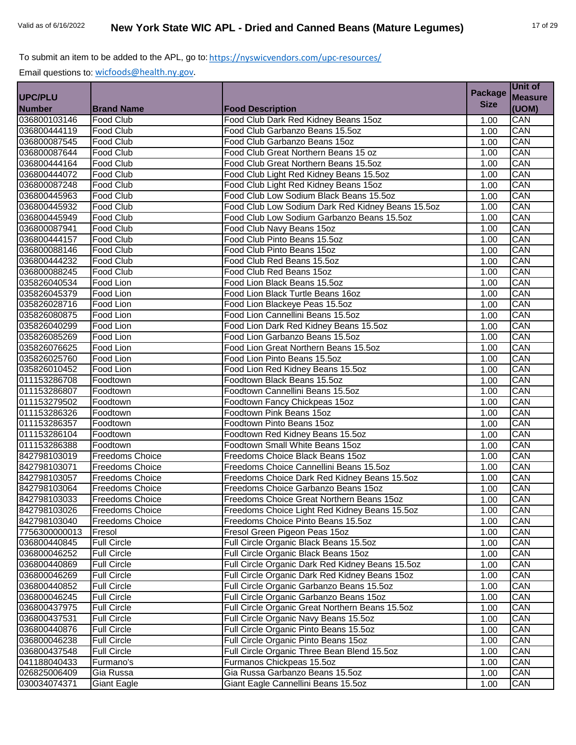|                |                        |                                                   | <b>Package</b> | Unit of        |
|----------------|------------------------|---------------------------------------------------|----------------|----------------|
| <b>UPC/PLU</b> |                        |                                                   |                | <b>Measure</b> |
| <b>Number</b>  | <b>Brand Name</b>      | <b>Food Description</b>                           | <b>Size</b>    | (UOM)          |
| 036800103146   | Food Club              | Food Club Dark Red Kidney Beans 15oz              | 1.00           | <b>CAN</b>     |
| 036800444119   | Food Club              | Food Club Garbanzo Beans 15.5oz                   | 1.00           | CAN            |
| 036800087545   | Food Club              | Food Club Garbanzo Beans 15oz                     | 1.00           | CAN            |
| 036800087644   | Food Club              | Food Club Great Northern Beans 15 oz              | 1.00           | CAN            |
| 036800444164   | Food Club              | Food Club Great Northern Beans 15.5oz             | 1.00           | CAN            |
| 036800444072   | <b>Food Club</b>       | Food Club Light Red Kidney Beans 15.5oz           | 1.00           | CAN            |
| 036800087248   | Food Club              | Food Club Light Red Kidney Beans 15oz             | 1.00           | CAN            |
| 036800445963   | Food Club              | Food Club Low Sodium Black Beans 15.5oz           | 1.00           | CAN            |
| 036800445932   | <b>Food Club</b>       | Food Club Low Sodium Dark Red Kidney Beans 15.5oz | 1.00           | CAN            |
| 036800445949   | Food Club              | Food Club Low Sodium Garbanzo Beans 15.5oz        | 1.00           | CAN            |
| 036800087941   | Food Club              | Food Club Navy Beans 15oz                         | 1.00           | CAN            |
| 036800444157   | Food Club              | Food Club Pinto Beans 15.5oz                      | 1.00           | CAN            |
| 036800088146   | Food Club              | Food Club Pinto Beans 15oz                        | 1.00           | CAN            |
| 036800444232   | Food Club              | Food Club Red Beans 15.5oz                        | 1.00           | CAN            |
| 036800088245   | Food Club              | Food Club Red Beans 15oz                          | 1.00           | CAN            |
| 035826040534   | Food Lion              | Food Lion Black Beans 15.5oz                      | 1.00           | CAN            |
| 035826045379   | Food Lion              | Food Lion Black Turtle Beans 16oz                 | 1.00           | CAN            |
| 035826028716   | Food Lion              | Food Lion Blackeye Peas 15.5oz                    | 1.00           | CAN            |
| 035826080875   | Food Lion              | Food Lion Cannellini Beans 15.5oz                 | 1.00           | CAN            |
| 035826040299   | Food Lion              | Food Lion Dark Red Kidney Beans 15.5oz            | 1.00           | CAN            |
| 035826085269   | Food Lion              | Food Lion Garbanzo Beans 15.5oz                   | 1.00           | CAN            |
| 035826076625   | Food Lion              | Food Lion Great Northern Beans 15.5oz             | 1.00           | CAN            |
| 035826025760   | Food Lion              | Food Lion Pinto Beans 15.5oz                      | 1.00           | CAN            |
| 035826010452   | Food Lion              | Food Lion Red Kidney Beans 15.5oz                 | 1.00           | CAN            |
| 011153286708   | Foodtown               | Foodtown Black Beans 15.5oz                       | 1.00           | CAN            |
| 011153286807   | Foodtown               | Foodtown Cannellini Beans 15.5oz                  | 1.00           | CAN            |
| 011153279502   | Foodtown               | Foodtown Fancy Chickpeas 15oz                     | 1.00           | CAN            |
| 011153286326   | Foodtown               | Foodtown Pink Beans 15oz                          | 1.00           | CAN            |
| 011153286357   | Foodtown               | Foodtown Pinto Beans 15oz                         | 1.00           | CAN            |
| 011153286104   | Foodtown               | Foodtown Red Kidney Beans 15.5oz                  | 1.00           | CAN            |
| 011153286388   | Foodtown               | Foodtown Small White Beans 15oz                   | 1.00           | CAN            |
| 842798103019   | <b>Freedoms Choice</b> | Freedoms Choice Black Beans 15oz                  | 1.00           | CAN            |
| 842798103071   | <b>Freedoms Choice</b> | Freedoms Choice Cannellini Beans 15.5oz           | 1.00           | CAN            |
| 842798103057   | <b>Freedoms Choice</b> | Freedoms Choice Dark Red Kidney Beans 15.5oz      | 1.00           | CAN            |
| 842798103064   | <b>Freedoms Choice</b> | Freedoms Choice Garbanzo Beans 15oz               | 1.00           | CAN            |
| 842798103033   | <b>Freedoms Choice</b> | Freedoms Choice Great Northern Beans 15oz         | 1.00           | CAN            |
| 842798103026   | <b>Freedoms Choice</b> | Freedoms Choice Light Red Kidney Beans 15.5oz     | 1.00           | CAN            |
| 842798103040   | <b>Freedoms Choice</b> | Freedoms Choice Pinto Beans 15.5oz                | 1.00           | CAN            |
| 7756300000013  | Fresol                 | Fresol Green Pigeon Peas 15oz                     | 1.00           | CAN            |
| 036800440845   | <b>Full Circle</b>     | Full Circle Organic Black Beans 15.5oz            | 1.00           | CAN            |
| 036800046252   | <b>Full Circle</b>     | Full Circle Organic Black Beans 15oz              | 1.00           | CAN            |
| 036800440869   | <b>Full Circle</b>     | Full Circle Organic Dark Red Kidney Beans 15.5oz  | 1.00           | CAN            |
| 036800046269   | <b>Full Circle</b>     | Full Circle Organic Dark Red Kidney Beans 15oz    | 1.00           | CAN            |
| 036800440852   | <b>Full Circle</b>     | Full Circle Organic Garbanzo Beans 15.5oz         | 1.00           | CAN            |
| 036800046245   | <b>Full Circle</b>     | Full Circle Organic Garbanzo Beans 15oz           | 1.00           | CAN            |
| 036800437975   | <b>Full Circle</b>     | Full Circle Organic Great Northern Beans 15.5oz   | 1.00           | CAN            |
| 036800437531   | <b>Full Circle</b>     | Full Circle Organic Navy Beans 15.5oz             | 1.00           | CAN            |
| 036800440876   | <b>Full Circle</b>     | Full Circle Organic Pinto Beans 15.5oz            | 1.00           | CAN            |
| 036800046238   | <b>Full Circle</b>     | Full Circle Organic Pinto Beans 15oz              | 1.00           | CAN            |
| 036800437548   | <b>Full Circle</b>     | Full Circle Organic Three Bean Blend 15.5oz       | 1.00           | CAN            |
| 041188040433   | Furmano's              | Furmanos Chickpeas 15.5oz                         | 1.00           | CAN            |
| 026825006409   | Gia Russa              | Gia Russa Garbanzo Beans 15.5oz                   | 1.00           | CAN            |
| 030034074371   | <b>Giant Eagle</b>     | Giant Eagle Cannellini Beans 15.5oz               | 1.00           | CAN            |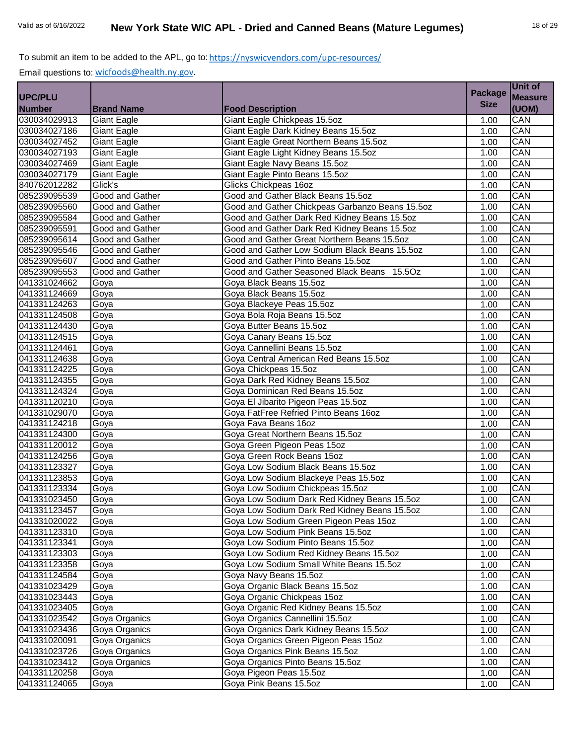|                |                        |                                                 | <b>Package</b> | Unit of        |
|----------------|------------------------|-------------------------------------------------|----------------|----------------|
| <b>UPC/PLU</b> |                        |                                                 |                | <b>Measure</b> |
| <b>Number</b>  | <b>Brand Name</b>      | <b>Food Description</b>                         | <b>Size</b>    | (UOM)          |
| 030034029913   | <b>Giant Eagle</b>     | Giant Eagle Chickpeas 15.5oz                    | 1.00           | CAN            |
| 030034027186   | <b>Giant Eagle</b>     | Giant Eagle Dark Kidney Beans 15.5oz            | 1.00           | CAN            |
| 030034027452   | Giant Eagle            | Giant Eagle Great Northern Beans 15.5oz         | 1.00           | CAN            |
| 030034027193   | <b>Giant Eagle</b>     | Giant Eagle Light Kidney Beans 15.5oz           | 1.00           | CAN            |
| 030034027469   | Giant Eagle            | Giant Eagle Navy Beans 15.5oz                   | 1.00           | CAN            |
| 030034027179   | <b>Giant Eagle</b>     | Giant Eagle Pinto Beans 15.5oz                  | 1.00           | CAN            |
| 840762012282   | Glick's                | Glicks Chickpeas 16oz                           | 1.00           | CAN            |
| 085239095539   | Good and Gather        | Good and Gather Black Beans 15.5oz              | 1.00           | CAN            |
| 085239095560   | <b>Good and Gather</b> | Good and Gather Chickpeas Garbanzo Beans 15.5oz | 1.00           | CAN            |
| 085239095584   | Good and Gather        | Good and Gather Dark Red Kidney Beans 15.5oz    | 1.00           | CAN            |
| 085239095591   | <b>Good and Gather</b> | Good and Gather Dark Red Kidney Beans 15.5oz    | 1.00           | CAN            |
| 085239095614   | Good and Gather        | Good and Gather Great Northern Beans 15.5oz     | 1.00           | CAN            |
| 085239095546   | Good and Gather        | Good and Gather Low Sodium Black Beans 15.5oz   | 1.00           | CAN            |
| 085239095607   | Good and Gather        | Good and Gather Pinto Beans 15.5oz              | 1.00           | CAN            |
| 085239095553   | Good and Gather        | Good and Gather Seasoned Black Beans 15.5Oz     | 1.00           | CAN            |
| 041331024662   | Goya                   | Goya Black Beans 15.5oz                         | 1.00           | CAN            |
| 041331124669   | Goya                   | Goya Black Beans 15.5oz                         | 1.00           | CAN            |
| 041331124263   | Goya                   | Goya Blackeye Peas 15.5oz                       | 1.00           | CAN            |
| 041331124508   | Goya                   | Goya Bola Roja Beans 15.5oz                     | 1.00           | CAN            |
| 041331124430   | Goya                   | Goya Butter Beans 15.5oz                        | 1.00           | CAN            |
| 041331124515   | Goya                   | Goya Canary Beans 15.5oz                        | 1.00           | CAN            |
| 041331124461   | Goya                   | Goya Cannellini Beans 15.5oz                    | 1.00           | CAN            |
| 041331124638   | Goya                   | Goya Central American Red Beans 15.5oz          | 1.00           | CAN            |
| 041331124225   | Goya                   | Goya Chickpeas 15.5oz                           | 1.00           | CAN            |
| 041331124355   | Goya                   | Goya Dark Red Kidney Beans 15.5oz               | 1.00           | CAN            |
| 041331124324   | Goya                   | Goya Dominican Red Beans 15.5oz                 | 1.00           | CAN            |
| 041331120210   | Goya                   | Goya El Jibarito Pigeon Peas 15.5oz             | 1.00           | CAN            |
| 041331029070   | Goya                   | Goya FatFree Refried Pinto Beans 16oz           | 1.00           | CAN            |
| 041331124218   | Goya                   | Goya Fava Beans 16oz                            | 1.00           | CAN            |
| 041331124300   | Goya                   | Goya Great Northern Beans 15.5oz                | 1.00           | CAN            |
| 041331120012   | Goya                   | Goya Green Pigeon Peas 15oz                     | 1.00           | CAN            |
| 041331124256   | Goya                   | Goya Green Rock Beans 15oz                      | 1.00           | CAN            |
| 041331123327   | Goya                   | Goya Low Sodium Black Beans 15.5oz              | 1.00           | CAN            |
| 041331123853   | Goya                   | Goya Low Sodium Blackeye Peas 15.5oz            | 1.00           | CAN            |
| 041331123334   | Goya                   | Goya Low Sodium Chickpeas 15.5oz                | 1.00           | CAN            |
| 041331023450   | Goya                   | Goya Low Sodium Dark Red Kidney Beans 15.5oz    | 1.00           | CAN            |
| 041331123457   | Goya                   | Goya Low Sodium Dark Red Kidney Beans 15.5oz    | 1.00           | CAN            |
| 041331020022   | Goya                   | Goya Low Sodium Green Pigeon Peas 15oz          | 1.00           | CAN            |
| 041331123310   | Goya                   | Goya Low Sodium Pink Beans 15.5oz               | 1.00           | CAN            |
| 041331123341   | Goya                   | Goya Low Sodium Pinto Beans 15.5oz              | 1.00           | CAN            |
| 041331123303   | Goya                   | Goya Low Sodium Red Kidney Beans 15.5oz         | 1.00           | CAN            |
| 041331123358   | Goya                   | Goya Low Sodium Small White Beans 15.5oz        | 1.00           | CAN            |
| 041331124584   | Goya                   | Goya Navy Beans 15.5oz                          | 1.00           | CAN            |
| 041331023429   | Goya                   | Goya Organic Black Beans 15.5oz                 | 1.00           | CAN            |
| 041331023443   | Goya                   | Goya Organic Chickpeas 15oz                     | 1.00           | CAN            |
| 041331023405   | Goya                   | Goya Organic Red Kidney Beans 15.5oz            | 1.00           | CAN            |
| 041331023542   | Goya Organics          | Goya Organics Cannellini 15.5oz                 | 1.00           | CAN            |
| 041331023436   | Goya Organics          | Goya Organics Dark Kidney Beans 15.5oz          | 1.00           | CAN            |
| 041331020091   | Goya Organics          | Goya Organics Green Pigeon Peas 15oz            | 1.00           | CAN            |
| 041331023726   | Goya Organics          | Goya Organics Pink Beans 15.5oz                 | 1.00           | CAN            |
| 041331023412   | Goya Organics          | Goya Organics Pinto Beans 15.5oz                | 1.00           | CAN            |
| 041331120258   | Goya                   | Goya Pigeon Peas 15.5oz                         | 1.00           | CAN            |
| 041331124065   | Goya                   | Goya Pink Beans 15.5oz                          | 1.00           | CAN            |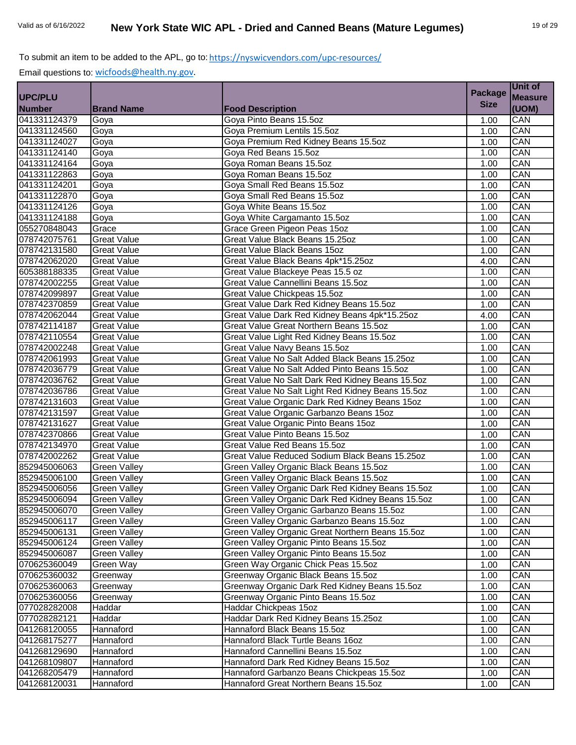| <b>Size</b><br>(UOM)<br><b>Brand Name</b><br><b>Food Description</b><br>Goya Pinto Beans 15.5oz<br>CAN<br>Goya<br>1.00<br>CAN<br>Goya Premium Lentils 15.5oz<br>Goya<br>1.00<br>Goya Premium Red Kidney Beans 15.5oz<br>CAN<br>Goya<br>1.00<br>Goya Red Beans 15.50z<br>CAN<br>Goya<br>1.00<br>Goya Roman Beans 15.5oz<br>CAN<br>Goya<br>1.00<br>CAN<br>Goya Roman Beans 15.5oz<br>1.00<br>Goya<br>CAN<br>Goya<br>Goya Small Red Beans 15.5oz<br>1.00<br>CAN<br>Goya Small Red Beans 15.5oz<br>Goya<br>1.00<br>CAN<br>Goya White Beans 15.5oz<br>Goya<br>1.00<br>CAN<br>Goya White Cargamanto 15.5oz<br>041331124188<br>Goya<br>1.00<br>CAN<br>Grace Green Pigeon Peas 15oz<br>Grace<br>1.00<br>CAN<br>078742075761<br><b>Great Value</b><br>Great Value Black Beans 15.25oz<br>1.00<br>CAN<br>078742131580<br><b>Great Value</b><br>Great Value Black Beans 15oz<br>1.00<br>CAN<br>078742062020<br><b>Great Value</b><br>Great Value Black Beans 4pk*15.25oz<br>4.00<br>CAN<br>605388188335<br><b>Great Value</b><br>Great Value Blackeye Peas 15.5 oz<br>1.00<br>CAN<br>078742002255<br><b>Great Value</b><br>Great Value Cannellini Beans 15.5oz<br>1.00<br>CAN<br><b>Great Value</b><br>Great Value Chickpeas 15.5oz<br>1.00<br>Great Value Dark Red Kidney Beans 15.5oz<br>CAN<br><b>Great Value</b><br>1.00<br>CAN<br>Great Value Dark Red Kidney Beans 4pk*15.25oz<br><b>Great Value</b><br>4.00<br>CAN<br><b>Great Value</b><br>Great Value Great Northern Beans 15.5oz<br>1.00<br>CAN<br>Great Value Light Red Kidney Beans 15.5oz<br><b>Great Value</b><br>1.00<br>CAN<br><b>Great Value</b><br>Great Value Navy Beans 15.5oz<br>1.00<br>Great Value No Salt Added Black Beans 15.25oz<br>CAN<br><b>Great Value</b><br>1.00<br>Great Value No Salt Added Pinto Beans 15.5oz<br>CAN<br>1.00<br><b>Great Value</b><br>CAN<br><b>Great Value</b><br>Great Value No Salt Dark Red Kidney Beans 15.5oz<br>1.00<br>CAN<br>Great Value No Salt Light Red Kidney Beans 15.5oz<br><b>Great Value</b><br>1.00<br>CAN<br><b>Great Value</b><br>Great Value Organic Dark Red Kidney Beans 15oz<br>1.00<br>CAN<br><b>Great Value</b><br>Great Value Organic Garbanzo Beans 15oz<br>1.00<br>Great Value Organic Pinto Beans 15oz<br>CAN<br><b>Great Value</b><br>1.00<br>Great Value Pinto Beans 15.5oz<br>CAN<br><b>Great Value</b><br>1.00<br>Great Value Red Beans 15.5oz<br>CAN<br><b>Great Value</b><br>1.00<br>CAN<br>Great Value Reduced Sodium Black Beans 15.25oz<br><b>Great Value</b><br>1.00<br>CAN<br>Green Valley Organic Black Beans 15.5oz<br><b>Green Valley</b><br>1.00<br>CAN<br><b>Green Valley</b><br>Green Valley Organic Black Beans 15.5oz<br>1.00<br>Green Valley Organic Dark Red Kidney Beans 15.5oz<br>CAN<br><b>Green Valley</b><br>1.00<br>CAN<br><b>Green Valley</b><br>Green Valley Organic Dark Red Kidney Beans 15.5oz<br>1.00<br>Green Valley Organic Garbanzo Beans 15.5oz<br>CAN<br><b>Green Valley</b><br>1.00<br>Green Valley Organic Garbanzo Beans 15.5oz<br>CAN<br><b>Green Valley</b><br>1.00<br>Green Valley Organic Great Northern Beans 15.5oz<br>CAN<br><b>Green Valley</b><br>1.00<br>Green Valley<br>Green Valley Organic Pinto Beans 15.5oz<br>CAN<br>1.00<br>CAN<br><b>Green Valley</b><br>Green Valley Organic Pinto Beans 15.5oz<br>1.00<br>Green Way Organic Chick Peas 15.5oz<br>Green Way<br>CAN<br>1.00<br>Greenway Organic Black Beans 15.5oz<br>CAN<br>Greenway<br>1.00<br>CAN<br>Greenway Organic Dark Red Kidney Beans 15.5oz<br>Greenway<br>1.00<br>Greenway Organic Pinto Beans 15.5oz<br>CAN<br>1.00<br>Greenway<br>Haddar Chickpeas 15oz<br>CAN<br>Haddar<br>1.00<br>Haddar Dark Red Kidney Beans 15.25oz<br>CAN<br>Haddar<br>1.00<br>CAN<br>Hannaford<br>Hannaford Black Beans 15.5oz<br>1.00<br>Hannaford Black Turtle Beans 16oz<br>CAN<br>Hannaford<br>1.00<br>Hannaford Cannellini Beans 15.5oz<br>CAN<br>Hannaford<br>1.00<br>Hannaford<br>Hannaford Dark Red Kidney Beans 15.5oz<br>CAN<br>1.00<br>Hannaford Garbanzo Beans Chickpeas 15.5oz<br>Hannaford<br>CAN<br>1.00<br>Hannaford<br>Hannaford Great Northern Beans 15.5oz<br>1.00<br>CAN |                |  | <b>Package</b> | Unit of        |
|-------------------------------------------------------------------------------------------------------------------------------------------------------------------------------------------------------------------------------------------------------------------------------------------------------------------------------------------------------------------------------------------------------------------------------------------------------------------------------------------------------------------------------------------------------------------------------------------------------------------------------------------------------------------------------------------------------------------------------------------------------------------------------------------------------------------------------------------------------------------------------------------------------------------------------------------------------------------------------------------------------------------------------------------------------------------------------------------------------------------------------------------------------------------------------------------------------------------------------------------------------------------------------------------------------------------------------------------------------------------------------------------------------------------------------------------------------------------------------------------------------------------------------------------------------------------------------------------------------------------------------------------------------------------------------------------------------------------------------------------------------------------------------------------------------------------------------------------------------------------------------------------------------------------------------------------------------------------------------------------------------------------------------------------------------------------------------------------------------------------------------------------------------------------------------------------------------------------------------------------------------------------------------------------------------------------------------------------------------------------------------------------------------------------------------------------------------------------------------------------------------------------------------------------------------------------------------------------------------------------------------------------------------------------------------------------------------------------------------------------------------------------------------------------------------------------------------------------------------------------------------------------------------------------------------------------------------------------------------------------------------------------------------------------------------------------------------------------------------------------------------------------------------------------------------------------------------------------------------------------------------------------------------------------------------------------------------------------------------------------------------------------------------------------------------------------------------------------------------------------------------------------------------------------------------------------------------------------------------------------------------------------------------------------------------------------------------------------------------------------------------------------------------------------------------------------------------------------------------------------------------------------------------------------------------------------------------------------------------------------------------------------------------------------------------------------------------------------------------------------|----------------|--|----------------|----------------|
|                                                                                                                                                                                                                                                                                                                                                                                                                                                                                                                                                                                                                                                                                                                                                                                                                                                                                                                                                                                                                                                                                                                                                                                                                                                                                                                                                                                                                                                                                                                                                                                                                                                                                                                                                                                                                                                                                                                                                                                                                                                                                                                                                                                                                                                                                                                                                                                                                                                                                                                                                                                                                                                                                                                                                                                                                                                                                                                                                                                                                                                                                                                                                                                                                                                                                                                                                                                                                                                                                                                                                                                                                                                                                                                                                                                                                                                                                                                                                                                                                                                                                                                   | <b>UPC/PLU</b> |  |                | <b>Measure</b> |
|                                                                                                                                                                                                                                                                                                                                                                                                                                                                                                                                                                                                                                                                                                                                                                                                                                                                                                                                                                                                                                                                                                                                                                                                                                                                                                                                                                                                                                                                                                                                                                                                                                                                                                                                                                                                                                                                                                                                                                                                                                                                                                                                                                                                                                                                                                                                                                                                                                                                                                                                                                                                                                                                                                                                                                                                                                                                                                                                                                                                                                                                                                                                                                                                                                                                                                                                                                                                                                                                                                                                                                                                                                                                                                                                                                                                                                                                                                                                                                                                                                                                                                                   | <b>Number</b>  |  |                |                |
|                                                                                                                                                                                                                                                                                                                                                                                                                                                                                                                                                                                                                                                                                                                                                                                                                                                                                                                                                                                                                                                                                                                                                                                                                                                                                                                                                                                                                                                                                                                                                                                                                                                                                                                                                                                                                                                                                                                                                                                                                                                                                                                                                                                                                                                                                                                                                                                                                                                                                                                                                                                                                                                                                                                                                                                                                                                                                                                                                                                                                                                                                                                                                                                                                                                                                                                                                                                                                                                                                                                                                                                                                                                                                                                                                                                                                                                                                                                                                                                                                                                                                                                   | 041331124379   |  |                |                |
|                                                                                                                                                                                                                                                                                                                                                                                                                                                                                                                                                                                                                                                                                                                                                                                                                                                                                                                                                                                                                                                                                                                                                                                                                                                                                                                                                                                                                                                                                                                                                                                                                                                                                                                                                                                                                                                                                                                                                                                                                                                                                                                                                                                                                                                                                                                                                                                                                                                                                                                                                                                                                                                                                                                                                                                                                                                                                                                                                                                                                                                                                                                                                                                                                                                                                                                                                                                                                                                                                                                                                                                                                                                                                                                                                                                                                                                                                                                                                                                                                                                                                                                   | 041331124560   |  |                |                |
|                                                                                                                                                                                                                                                                                                                                                                                                                                                                                                                                                                                                                                                                                                                                                                                                                                                                                                                                                                                                                                                                                                                                                                                                                                                                                                                                                                                                                                                                                                                                                                                                                                                                                                                                                                                                                                                                                                                                                                                                                                                                                                                                                                                                                                                                                                                                                                                                                                                                                                                                                                                                                                                                                                                                                                                                                                                                                                                                                                                                                                                                                                                                                                                                                                                                                                                                                                                                                                                                                                                                                                                                                                                                                                                                                                                                                                                                                                                                                                                                                                                                                                                   | 041331124027   |  |                |                |
|                                                                                                                                                                                                                                                                                                                                                                                                                                                                                                                                                                                                                                                                                                                                                                                                                                                                                                                                                                                                                                                                                                                                                                                                                                                                                                                                                                                                                                                                                                                                                                                                                                                                                                                                                                                                                                                                                                                                                                                                                                                                                                                                                                                                                                                                                                                                                                                                                                                                                                                                                                                                                                                                                                                                                                                                                                                                                                                                                                                                                                                                                                                                                                                                                                                                                                                                                                                                                                                                                                                                                                                                                                                                                                                                                                                                                                                                                                                                                                                                                                                                                                                   | 041331124140   |  |                |                |
|                                                                                                                                                                                                                                                                                                                                                                                                                                                                                                                                                                                                                                                                                                                                                                                                                                                                                                                                                                                                                                                                                                                                                                                                                                                                                                                                                                                                                                                                                                                                                                                                                                                                                                                                                                                                                                                                                                                                                                                                                                                                                                                                                                                                                                                                                                                                                                                                                                                                                                                                                                                                                                                                                                                                                                                                                                                                                                                                                                                                                                                                                                                                                                                                                                                                                                                                                                                                                                                                                                                                                                                                                                                                                                                                                                                                                                                                                                                                                                                                                                                                                                                   | 041331124164   |  |                |                |
|                                                                                                                                                                                                                                                                                                                                                                                                                                                                                                                                                                                                                                                                                                                                                                                                                                                                                                                                                                                                                                                                                                                                                                                                                                                                                                                                                                                                                                                                                                                                                                                                                                                                                                                                                                                                                                                                                                                                                                                                                                                                                                                                                                                                                                                                                                                                                                                                                                                                                                                                                                                                                                                                                                                                                                                                                                                                                                                                                                                                                                                                                                                                                                                                                                                                                                                                                                                                                                                                                                                                                                                                                                                                                                                                                                                                                                                                                                                                                                                                                                                                                                                   | 041331122863   |  |                |                |
|                                                                                                                                                                                                                                                                                                                                                                                                                                                                                                                                                                                                                                                                                                                                                                                                                                                                                                                                                                                                                                                                                                                                                                                                                                                                                                                                                                                                                                                                                                                                                                                                                                                                                                                                                                                                                                                                                                                                                                                                                                                                                                                                                                                                                                                                                                                                                                                                                                                                                                                                                                                                                                                                                                                                                                                                                                                                                                                                                                                                                                                                                                                                                                                                                                                                                                                                                                                                                                                                                                                                                                                                                                                                                                                                                                                                                                                                                                                                                                                                                                                                                                                   | 041331124201   |  |                |                |
|                                                                                                                                                                                                                                                                                                                                                                                                                                                                                                                                                                                                                                                                                                                                                                                                                                                                                                                                                                                                                                                                                                                                                                                                                                                                                                                                                                                                                                                                                                                                                                                                                                                                                                                                                                                                                                                                                                                                                                                                                                                                                                                                                                                                                                                                                                                                                                                                                                                                                                                                                                                                                                                                                                                                                                                                                                                                                                                                                                                                                                                                                                                                                                                                                                                                                                                                                                                                                                                                                                                                                                                                                                                                                                                                                                                                                                                                                                                                                                                                                                                                                                                   | 041331122870   |  |                |                |
|                                                                                                                                                                                                                                                                                                                                                                                                                                                                                                                                                                                                                                                                                                                                                                                                                                                                                                                                                                                                                                                                                                                                                                                                                                                                                                                                                                                                                                                                                                                                                                                                                                                                                                                                                                                                                                                                                                                                                                                                                                                                                                                                                                                                                                                                                                                                                                                                                                                                                                                                                                                                                                                                                                                                                                                                                                                                                                                                                                                                                                                                                                                                                                                                                                                                                                                                                                                                                                                                                                                                                                                                                                                                                                                                                                                                                                                                                                                                                                                                                                                                                                                   | 041331124126   |  |                |                |
|                                                                                                                                                                                                                                                                                                                                                                                                                                                                                                                                                                                                                                                                                                                                                                                                                                                                                                                                                                                                                                                                                                                                                                                                                                                                                                                                                                                                                                                                                                                                                                                                                                                                                                                                                                                                                                                                                                                                                                                                                                                                                                                                                                                                                                                                                                                                                                                                                                                                                                                                                                                                                                                                                                                                                                                                                                                                                                                                                                                                                                                                                                                                                                                                                                                                                                                                                                                                                                                                                                                                                                                                                                                                                                                                                                                                                                                                                                                                                                                                                                                                                                                   |                |  |                |                |
|                                                                                                                                                                                                                                                                                                                                                                                                                                                                                                                                                                                                                                                                                                                                                                                                                                                                                                                                                                                                                                                                                                                                                                                                                                                                                                                                                                                                                                                                                                                                                                                                                                                                                                                                                                                                                                                                                                                                                                                                                                                                                                                                                                                                                                                                                                                                                                                                                                                                                                                                                                                                                                                                                                                                                                                                                                                                                                                                                                                                                                                                                                                                                                                                                                                                                                                                                                                                                                                                                                                                                                                                                                                                                                                                                                                                                                                                                                                                                                                                                                                                                                                   | 055270848043   |  |                |                |
|                                                                                                                                                                                                                                                                                                                                                                                                                                                                                                                                                                                                                                                                                                                                                                                                                                                                                                                                                                                                                                                                                                                                                                                                                                                                                                                                                                                                                                                                                                                                                                                                                                                                                                                                                                                                                                                                                                                                                                                                                                                                                                                                                                                                                                                                                                                                                                                                                                                                                                                                                                                                                                                                                                                                                                                                                                                                                                                                                                                                                                                                                                                                                                                                                                                                                                                                                                                                                                                                                                                                                                                                                                                                                                                                                                                                                                                                                                                                                                                                                                                                                                                   |                |  |                |                |
|                                                                                                                                                                                                                                                                                                                                                                                                                                                                                                                                                                                                                                                                                                                                                                                                                                                                                                                                                                                                                                                                                                                                                                                                                                                                                                                                                                                                                                                                                                                                                                                                                                                                                                                                                                                                                                                                                                                                                                                                                                                                                                                                                                                                                                                                                                                                                                                                                                                                                                                                                                                                                                                                                                                                                                                                                                                                                                                                                                                                                                                                                                                                                                                                                                                                                                                                                                                                                                                                                                                                                                                                                                                                                                                                                                                                                                                                                                                                                                                                                                                                                                                   |                |  |                |                |
|                                                                                                                                                                                                                                                                                                                                                                                                                                                                                                                                                                                                                                                                                                                                                                                                                                                                                                                                                                                                                                                                                                                                                                                                                                                                                                                                                                                                                                                                                                                                                                                                                                                                                                                                                                                                                                                                                                                                                                                                                                                                                                                                                                                                                                                                                                                                                                                                                                                                                                                                                                                                                                                                                                                                                                                                                                                                                                                                                                                                                                                                                                                                                                                                                                                                                                                                                                                                                                                                                                                                                                                                                                                                                                                                                                                                                                                                                                                                                                                                                                                                                                                   |                |  |                |                |
|                                                                                                                                                                                                                                                                                                                                                                                                                                                                                                                                                                                                                                                                                                                                                                                                                                                                                                                                                                                                                                                                                                                                                                                                                                                                                                                                                                                                                                                                                                                                                                                                                                                                                                                                                                                                                                                                                                                                                                                                                                                                                                                                                                                                                                                                                                                                                                                                                                                                                                                                                                                                                                                                                                                                                                                                                                                                                                                                                                                                                                                                                                                                                                                                                                                                                                                                                                                                                                                                                                                                                                                                                                                                                                                                                                                                                                                                                                                                                                                                                                                                                                                   |                |  |                |                |
|                                                                                                                                                                                                                                                                                                                                                                                                                                                                                                                                                                                                                                                                                                                                                                                                                                                                                                                                                                                                                                                                                                                                                                                                                                                                                                                                                                                                                                                                                                                                                                                                                                                                                                                                                                                                                                                                                                                                                                                                                                                                                                                                                                                                                                                                                                                                                                                                                                                                                                                                                                                                                                                                                                                                                                                                                                                                                                                                                                                                                                                                                                                                                                                                                                                                                                                                                                                                                                                                                                                                                                                                                                                                                                                                                                                                                                                                                                                                                                                                                                                                                                                   |                |  |                |                |
|                                                                                                                                                                                                                                                                                                                                                                                                                                                                                                                                                                                                                                                                                                                                                                                                                                                                                                                                                                                                                                                                                                                                                                                                                                                                                                                                                                                                                                                                                                                                                                                                                                                                                                                                                                                                                                                                                                                                                                                                                                                                                                                                                                                                                                                                                                                                                                                                                                                                                                                                                                                                                                                                                                                                                                                                                                                                                                                                                                                                                                                                                                                                                                                                                                                                                                                                                                                                                                                                                                                                                                                                                                                                                                                                                                                                                                                                                                                                                                                                                                                                                                                   | 078742099897   |  |                |                |
|                                                                                                                                                                                                                                                                                                                                                                                                                                                                                                                                                                                                                                                                                                                                                                                                                                                                                                                                                                                                                                                                                                                                                                                                                                                                                                                                                                                                                                                                                                                                                                                                                                                                                                                                                                                                                                                                                                                                                                                                                                                                                                                                                                                                                                                                                                                                                                                                                                                                                                                                                                                                                                                                                                                                                                                                                                                                                                                                                                                                                                                                                                                                                                                                                                                                                                                                                                                                                                                                                                                                                                                                                                                                                                                                                                                                                                                                                                                                                                                                                                                                                                                   | 078742370859   |  |                |                |
|                                                                                                                                                                                                                                                                                                                                                                                                                                                                                                                                                                                                                                                                                                                                                                                                                                                                                                                                                                                                                                                                                                                                                                                                                                                                                                                                                                                                                                                                                                                                                                                                                                                                                                                                                                                                                                                                                                                                                                                                                                                                                                                                                                                                                                                                                                                                                                                                                                                                                                                                                                                                                                                                                                                                                                                                                                                                                                                                                                                                                                                                                                                                                                                                                                                                                                                                                                                                                                                                                                                                                                                                                                                                                                                                                                                                                                                                                                                                                                                                                                                                                                                   | 078742062044   |  |                |                |
|                                                                                                                                                                                                                                                                                                                                                                                                                                                                                                                                                                                                                                                                                                                                                                                                                                                                                                                                                                                                                                                                                                                                                                                                                                                                                                                                                                                                                                                                                                                                                                                                                                                                                                                                                                                                                                                                                                                                                                                                                                                                                                                                                                                                                                                                                                                                                                                                                                                                                                                                                                                                                                                                                                                                                                                                                                                                                                                                                                                                                                                                                                                                                                                                                                                                                                                                                                                                                                                                                                                                                                                                                                                                                                                                                                                                                                                                                                                                                                                                                                                                                                                   | 078742114187   |  |                |                |
|                                                                                                                                                                                                                                                                                                                                                                                                                                                                                                                                                                                                                                                                                                                                                                                                                                                                                                                                                                                                                                                                                                                                                                                                                                                                                                                                                                                                                                                                                                                                                                                                                                                                                                                                                                                                                                                                                                                                                                                                                                                                                                                                                                                                                                                                                                                                                                                                                                                                                                                                                                                                                                                                                                                                                                                                                                                                                                                                                                                                                                                                                                                                                                                                                                                                                                                                                                                                                                                                                                                                                                                                                                                                                                                                                                                                                                                                                                                                                                                                                                                                                                                   | 078742110554   |  |                |                |
|                                                                                                                                                                                                                                                                                                                                                                                                                                                                                                                                                                                                                                                                                                                                                                                                                                                                                                                                                                                                                                                                                                                                                                                                                                                                                                                                                                                                                                                                                                                                                                                                                                                                                                                                                                                                                                                                                                                                                                                                                                                                                                                                                                                                                                                                                                                                                                                                                                                                                                                                                                                                                                                                                                                                                                                                                                                                                                                                                                                                                                                                                                                                                                                                                                                                                                                                                                                                                                                                                                                                                                                                                                                                                                                                                                                                                                                                                                                                                                                                                                                                                                                   | 078742002248   |  |                |                |
|                                                                                                                                                                                                                                                                                                                                                                                                                                                                                                                                                                                                                                                                                                                                                                                                                                                                                                                                                                                                                                                                                                                                                                                                                                                                                                                                                                                                                                                                                                                                                                                                                                                                                                                                                                                                                                                                                                                                                                                                                                                                                                                                                                                                                                                                                                                                                                                                                                                                                                                                                                                                                                                                                                                                                                                                                                                                                                                                                                                                                                                                                                                                                                                                                                                                                                                                                                                                                                                                                                                                                                                                                                                                                                                                                                                                                                                                                                                                                                                                                                                                                                                   | 078742061993   |  |                |                |
|                                                                                                                                                                                                                                                                                                                                                                                                                                                                                                                                                                                                                                                                                                                                                                                                                                                                                                                                                                                                                                                                                                                                                                                                                                                                                                                                                                                                                                                                                                                                                                                                                                                                                                                                                                                                                                                                                                                                                                                                                                                                                                                                                                                                                                                                                                                                                                                                                                                                                                                                                                                                                                                                                                                                                                                                                                                                                                                                                                                                                                                                                                                                                                                                                                                                                                                                                                                                                                                                                                                                                                                                                                                                                                                                                                                                                                                                                                                                                                                                                                                                                                                   | 078742036779   |  |                |                |
|                                                                                                                                                                                                                                                                                                                                                                                                                                                                                                                                                                                                                                                                                                                                                                                                                                                                                                                                                                                                                                                                                                                                                                                                                                                                                                                                                                                                                                                                                                                                                                                                                                                                                                                                                                                                                                                                                                                                                                                                                                                                                                                                                                                                                                                                                                                                                                                                                                                                                                                                                                                                                                                                                                                                                                                                                                                                                                                                                                                                                                                                                                                                                                                                                                                                                                                                                                                                                                                                                                                                                                                                                                                                                                                                                                                                                                                                                                                                                                                                                                                                                                                   | 078742036762   |  |                |                |
|                                                                                                                                                                                                                                                                                                                                                                                                                                                                                                                                                                                                                                                                                                                                                                                                                                                                                                                                                                                                                                                                                                                                                                                                                                                                                                                                                                                                                                                                                                                                                                                                                                                                                                                                                                                                                                                                                                                                                                                                                                                                                                                                                                                                                                                                                                                                                                                                                                                                                                                                                                                                                                                                                                                                                                                                                                                                                                                                                                                                                                                                                                                                                                                                                                                                                                                                                                                                                                                                                                                                                                                                                                                                                                                                                                                                                                                                                                                                                                                                                                                                                                                   | 078742036786   |  |                |                |
|                                                                                                                                                                                                                                                                                                                                                                                                                                                                                                                                                                                                                                                                                                                                                                                                                                                                                                                                                                                                                                                                                                                                                                                                                                                                                                                                                                                                                                                                                                                                                                                                                                                                                                                                                                                                                                                                                                                                                                                                                                                                                                                                                                                                                                                                                                                                                                                                                                                                                                                                                                                                                                                                                                                                                                                                                                                                                                                                                                                                                                                                                                                                                                                                                                                                                                                                                                                                                                                                                                                                                                                                                                                                                                                                                                                                                                                                                                                                                                                                                                                                                                                   | 078742131603   |  |                |                |
|                                                                                                                                                                                                                                                                                                                                                                                                                                                                                                                                                                                                                                                                                                                                                                                                                                                                                                                                                                                                                                                                                                                                                                                                                                                                                                                                                                                                                                                                                                                                                                                                                                                                                                                                                                                                                                                                                                                                                                                                                                                                                                                                                                                                                                                                                                                                                                                                                                                                                                                                                                                                                                                                                                                                                                                                                                                                                                                                                                                                                                                                                                                                                                                                                                                                                                                                                                                                                                                                                                                                                                                                                                                                                                                                                                                                                                                                                                                                                                                                                                                                                                                   | 078742131597   |  |                |                |
|                                                                                                                                                                                                                                                                                                                                                                                                                                                                                                                                                                                                                                                                                                                                                                                                                                                                                                                                                                                                                                                                                                                                                                                                                                                                                                                                                                                                                                                                                                                                                                                                                                                                                                                                                                                                                                                                                                                                                                                                                                                                                                                                                                                                                                                                                                                                                                                                                                                                                                                                                                                                                                                                                                                                                                                                                                                                                                                                                                                                                                                                                                                                                                                                                                                                                                                                                                                                                                                                                                                                                                                                                                                                                                                                                                                                                                                                                                                                                                                                                                                                                                                   | 078742131627   |  |                |                |
|                                                                                                                                                                                                                                                                                                                                                                                                                                                                                                                                                                                                                                                                                                                                                                                                                                                                                                                                                                                                                                                                                                                                                                                                                                                                                                                                                                                                                                                                                                                                                                                                                                                                                                                                                                                                                                                                                                                                                                                                                                                                                                                                                                                                                                                                                                                                                                                                                                                                                                                                                                                                                                                                                                                                                                                                                                                                                                                                                                                                                                                                                                                                                                                                                                                                                                                                                                                                                                                                                                                                                                                                                                                                                                                                                                                                                                                                                                                                                                                                                                                                                                                   | 078742370866   |  |                |                |
|                                                                                                                                                                                                                                                                                                                                                                                                                                                                                                                                                                                                                                                                                                                                                                                                                                                                                                                                                                                                                                                                                                                                                                                                                                                                                                                                                                                                                                                                                                                                                                                                                                                                                                                                                                                                                                                                                                                                                                                                                                                                                                                                                                                                                                                                                                                                                                                                                                                                                                                                                                                                                                                                                                                                                                                                                                                                                                                                                                                                                                                                                                                                                                                                                                                                                                                                                                                                                                                                                                                                                                                                                                                                                                                                                                                                                                                                                                                                                                                                                                                                                                                   | 078742134970   |  |                |                |
|                                                                                                                                                                                                                                                                                                                                                                                                                                                                                                                                                                                                                                                                                                                                                                                                                                                                                                                                                                                                                                                                                                                                                                                                                                                                                                                                                                                                                                                                                                                                                                                                                                                                                                                                                                                                                                                                                                                                                                                                                                                                                                                                                                                                                                                                                                                                                                                                                                                                                                                                                                                                                                                                                                                                                                                                                                                                                                                                                                                                                                                                                                                                                                                                                                                                                                                                                                                                                                                                                                                                                                                                                                                                                                                                                                                                                                                                                                                                                                                                                                                                                                                   | 078742002262   |  |                |                |
|                                                                                                                                                                                                                                                                                                                                                                                                                                                                                                                                                                                                                                                                                                                                                                                                                                                                                                                                                                                                                                                                                                                                                                                                                                                                                                                                                                                                                                                                                                                                                                                                                                                                                                                                                                                                                                                                                                                                                                                                                                                                                                                                                                                                                                                                                                                                                                                                                                                                                                                                                                                                                                                                                                                                                                                                                                                                                                                                                                                                                                                                                                                                                                                                                                                                                                                                                                                                                                                                                                                                                                                                                                                                                                                                                                                                                                                                                                                                                                                                                                                                                                                   | 852945006063   |  |                |                |
|                                                                                                                                                                                                                                                                                                                                                                                                                                                                                                                                                                                                                                                                                                                                                                                                                                                                                                                                                                                                                                                                                                                                                                                                                                                                                                                                                                                                                                                                                                                                                                                                                                                                                                                                                                                                                                                                                                                                                                                                                                                                                                                                                                                                                                                                                                                                                                                                                                                                                                                                                                                                                                                                                                                                                                                                                                                                                                                                                                                                                                                                                                                                                                                                                                                                                                                                                                                                                                                                                                                                                                                                                                                                                                                                                                                                                                                                                                                                                                                                                                                                                                                   | 852945006100   |  |                |                |
|                                                                                                                                                                                                                                                                                                                                                                                                                                                                                                                                                                                                                                                                                                                                                                                                                                                                                                                                                                                                                                                                                                                                                                                                                                                                                                                                                                                                                                                                                                                                                                                                                                                                                                                                                                                                                                                                                                                                                                                                                                                                                                                                                                                                                                                                                                                                                                                                                                                                                                                                                                                                                                                                                                                                                                                                                                                                                                                                                                                                                                                                                                                                                                                                                                                                                                                                                                                                                                                                                                                                                                                                                                                                                                                                                                                                                                                                                                                                                                                                                                                                                                                   | 852945006056   |  |                |                |
|                                                                                                                                                                                                                                                                                                                                                                                                                                                                                                                                                                                                                                                                                                                                                                                                                                                                                                                                                                                                                                                                                                                                                                                                                                                                                                                                                                                                                                                                                                                                                                                                                                                                                                                                                                                                                                                                                                                                                                                                                                                                                                                                                                                                                                                                                                                                                                                                                                                                                                                                                                                                                                                                                                                                                                                                                                                                                                                                                                                                                                                                                                                                                                                                                                                                                                                                                                                                                                                                                                                                                                                                                                                                                                                                                                                                                                                                                                                                                                                                                                                                                                                   | 852945006094   |  |                |                |
|                                                                                                                                                                                                                                                                                                                                                                                                                                                                                                                                                                                                                                                                                                                                                                                                                                                                                                                                                                                                                                                                                                                                                                                                                                                                                                                                                                                                                                                                                                                                                                                                                                                                                                                                                                                                                                                                                                                                                                                                                                                                                                                                                                                                                                                                                                                                                                                                                                                                                                                                                                                                                                                                                                                                                                                                                                                                                                                                                                                                                                                                                                                                                                                                                                                                                                                                                                                                                                                                                                                                                                                                                                                                                                                                                                                                                                                                                                                                                                                                                                                                                                                   | 852945006070   |  |                |                |
|                                                                                                                                                                                                                                                                                                                                                                                                                                                                                                                                                                                                                                                                                                                                                                                                                                                                                                                                                                                                                                                                                                                                                                                                                                                                                                                                                                                                                                                                                                                                                                                                                                                                                                                                                                                                                                                                                                                                                                                                                                                                                                                                                                                                                                                                                                                                                                                                                                                                                                                                                                                                                                                                                                                                                                                                                                                                                                                                                                                                                                                                                                                                                                                                                                                                                                                                                                                                                                                                                                                                                                                                                                                                                                                                                                                                                                                                                                                                                                                                                                                                                                                   | 852945006117   |  |                |                |
|                                                                                                                                                                                                                                                                                                                                                                                                                                                                                                                                                                                                                                                                                                                                                                                                                                                                                                                                                                                                                                                                                                                                                                                                                                                                                                                                                                                                                                                                                                                                                                                                                                                                                                                                                                                                                                                                                                                                                                                                                                                                                                                                                                                                                                                                                                                                                                                                                                                                                                                                                                                                                                                                                                                                                                                                                                                                                                                                                                                                                                                                                                                                                                                                                                                                                                                                                                                                                                                                                                                                                                                                                                                                                                                                                                                                                                                                                                                                                                                                                                                                                                                   | 852945006131   |  |                |                |
|                                                                                                                                                                                                                                                                                                                                                                                                                                                                                                                                                                                                                                                                                                                                                                                                                                                                                                                                                                                                                                                                                                                                                                                                                                                                                                                                                                                                                                                                                                                                                                                                                                                                                                                                                                                                                                                                                                                                                                                                                                                                                                                                                                                                                                                                                                                                                                                                                                                                                                                                                                                                                                                                                                                                                                                                                                                                                                                                                                                                                                                                                                                                                                                                                                                                                                                                                                                                                                                                                                                                                                                                                                                                                                                                                                                                                                                                                                                                                                                                                                                                                                                   | 852945006124   |  |                |                |
|                                                                                                                                                                                                                                                                                                                                                                                                                                                                                                                                                                                                                                                                                                                                                                                                                                                                                                                                                                                                                                                                                                                                                                                                                                                                                                                                                                                                                                                                                                                                                                                                                                                                                                                                                                                                                                                                                                                                                                                                                                                                                                                                                                                                                                                                                                                                                                                                                                                                                                                                                                                                                                                                                                                                                                                                                                                                                                                                                                                                                                                                                                                                                                                                                                                                                                                                                                                                                                                                                                                                                                                                                                                                                                                                                                                                                                                                                                                                                                                                                                                                                                                   | 852945006087   |  |                |                |
|                                                                                                                                                                                                                                                                                                                                                                                                                                                                                                                                                                                                                                                                                                                                                                                                                                                                                                                                                                                                                                                                                                                                                                                                                                                                                                                                                                                                                                                                                                                                                                                                                                                                                                                                                                                                                                                                                                                                                                                                                                                                                                                                                                                                                                                                                                                                                                                                                                                                                                                                                                                                                                                                                                                                                                                                                                                                                                                                                                                                                                                                                                                                                                                                                                                                                                                                                                                                                                                                                                                                                                                                                                                                                                                                                                                                                                                                                                                                                                                                                                                                                                                   | 070625360049   |  |                |                |
|                                                                                                                                                                                                                                                                                                                                                                                                                                                                                                                                                                                                                                                                                                                                                                                                                                                                                                                                                                                                                                                                                                                                                                                                                                                                                                                                                                                                                                                                                                                                                                                                                                                                                                                                                                                                                                                                                                                                                                                                                                                                                                                                                                                                                                                                                                                                                                                                                                                                                                                                                                                                                                                                                                                                                                                                                                                                                                                                                                                                                                                                                                                                                                                                                                                                                                                                                                                                                                                                                                                                                                                                                                                                                                                                                                                                                                                                                                                                                                                                                                                                                                                   | 070625360032   |  |                |                |
|                                                                                                                                                                                                                                                                                                                                                                                                                                                                                                                                                                                                                                                                                                                                                                                                                                                                                                                                                                                                                                                                                                                                                                                                                                                                                                                                                                                                                                                                                                                                                                                                                                                                                                                                                                                                                                                                                                                                                                                                                                                                                                                                                                                                                                                                                                                                                                                                                                                                                                                                                                                                                                                                                                                                                                                                                                                                                                                                                                                                                                                                                                                                                                                                                                                                                                                                                                                                                                                                                                                                                                                                                                                                                                                                                                                                                                                                                                                                                                                                                                                                                                                   | 070625360063   |  |                |                |
|                                                                                                                                                                                                                                                                                                                                                                                                                                                                                                                                                                                                                                                                                                                                                                                                                                                                                                                                                                                                                                                                                                                                                                                                                                                                                                                                                                                                                                                                                                                                                                                                                                                                                                                                                                                                                                                                                                                                                                                                                                                                                                                                                                                                                                                                                                                                                                                                                                                                                                                                                                                                                                                                                                                                                                                                                                                                                                                                                                                                                                                                                                                                                                                                                                                                                                                                                                                                                                                                                                                                                                                                                                                                                                                                                                                                                                                                                                                                                                                                                                                                                                                   | 070625360056   |  |                |                |
|                                                                                                                                                                                                                                                                                                                                                                                                                                                                                                                                                                                                                                                                                                                                                                                                                                                                                                                                                                                                                                                                                                                                                                                                                                                                                                                                                                                                                                                                                                                                                                                                                                                                                                                                                                                                                                                                                                                                                                                                                                                                                                                                                                                                                                                                                                                                                                                                                                                                                                                                                                                                                                                                                                                                                                                                                                                                                                                                                                                                                                                                                                                                                                                                                                                                                                                                                                                                                                                                                                                                                                                                                                                                                                                                                                                                                                                                                                                                                                                                                                                                                                                   | 077028282008   |  |                |                |
|                                                                                                                                                                                                                                                                                                                                                                                                                                                                                                                                                                                                                                                                                                                                                                                                                                                                                                                                                                                                                                                                                                                                                                                                                                                                                                                                                                                                                                                                                                                                                                                                                                                                                                                                                                                                                                                                                                                                                                                                                                                                                                                                                                                                                                                                                                                                                                                                                                                                                                                                                                                                                                                                                                                                                                                                                                                                                                                                                                                                                                                                                                                                                                                                                                                                                                                                                                                                                                                                                                                                                                                                                                                                                                                                                                                                                                                                                                                                                                                                                                                                                                                   | 077028282121   |  |                |                |
|                                                                                                                                                                                                                                                                                                                                                                                                                                                                                                                                                                                                                                                                                                                                                                                                                                                                                                                                                                                                                                                                                                                                                                                                                                                                                                                                                                                                                                                                                                                                                                                                                                                                                                                                                                                                                                                                                                                                                                                                                                                                                                                                                                                                                                                                                                                                                                                                                                                                                                                                                                                                                                                                                                                                                                                                                                                                                                                                                                                                                                                                                                                                                                                                                                                                                                                                                                                                                                                                                                                                                                                                                                                                                                                                                                                                                                                                                                                                                                                                                                                                                                                   | 041268120055   |  |                |                |
|                                                                                                                                                                                                                                                                                                                                                                                                                                                                                                                                                                                                                                                                                                                                                                                                                                                                                                                                                                                                                                                                                                                                                                                                                                                                                                                                                                                                                                                                                                                                                                                                                                                                                                                                                                                                                                                                                                                                                                                                                                                                                                                                                                                                                                                                                                                                                                                                                                                                                                                                                                                                                                                                                                                                                                                                                                                                                                                                                                                                                                                                                                                                                                                                                                                                                                                                                                                                                                                                                                                                                                                                                                                                                                                                                                                                                                                                                                                                                                                                                                                                                                                   | 041268175277   |  |                |                |
|                                                                                                                                                                                                                                                                                                                                                                                                                                                                                                                                                                                                                                                                                                                                                                                                                                                                                                                                                                                                                                                                                                                                                                                                                                                                                                                                                                                                                                                                                                                                                                                                                                                                                                                                                                                                                                                                                                                                                                                                                                                                                                                                                                                                                                                                                                                                                                                                                                                                                                                                                                                                                                                                                                                                                                                                                                                                                                                                                                                                                                                                                                                                                                                                                                                                                                                                                                                                                                                                                                                                                                                                                                                                                                                                                                                                                                                                                                                                                                                                                                                                                                                   | 041268129690   |  |                |                |
|                                                                                                                                                                                                                                                                                                                                                                                                                                                                                                                                                                                                                                                                                                                                                                                                                                                                                                                                                                                                                                                                                                                                                                                                                                                                                                                                                                                                                                                                                                                                                                                                                                                                                                                                                                                                                                                                                                                                                                                                                                                                                                                                                                                                                                                                                                                                                                                                                                                                                                                                                                                                                                                                                                                                                                                                                                                                                                                                                                                                                                                                                                                                                                                                                                                                                                                                                                                                                                                                                                                                                                                                                                                                                                                                                                                                                                                                                                                                                                                                                                                                                                                   | 041268109807   |  |                |                |
|                                                                                                                                                                                                                                                                                                                                                                                                                                                                                                                                                                                                                                                                                                                                                                                                                                                                                                                                                                                                                                                                                                                                                                                                                                                                                                                                                                                                                                                                                                                                                                                                                                                                                                                                                                                                                                                                                                                                                                                                                                                                                                                                                                                                                                                                                                                                                                                                                                                                                                                                                                                                                                                                                                                                                                                                                                                                                                                                                                                                                                                                                                                                                                                                                                                                                                                                                                                                                                                                                                                                                                                                                                                                                                                                                                                                                                                                                                                                                                                                                                                                                                                   | 041268205479   |  |                |                |
|                                                                                                                                                                                                                                                                                                                                                                                                                                                                                                                                                                                                                                                                                                                                                                                                                                                                                                                                                                                                                                                                                                                                                                                                                                                                                                                                                                                                                                                                                                                                                                                                                                                                                                                                                                                                                                                                                                                                                                                                                                                                                                                                                                                                                                                                                                                                                                                                                                                                                                                                                                                                                                                                                                                                                                                                                                                                                                                                                                                                                                                                                                                                                                                                                                                                                                                                                                                                                                                                                                                                                                                                                                                                                                                                                                                                                                                                                                                                                                                                                                                                                                                   | 041268120031   |  |                |                |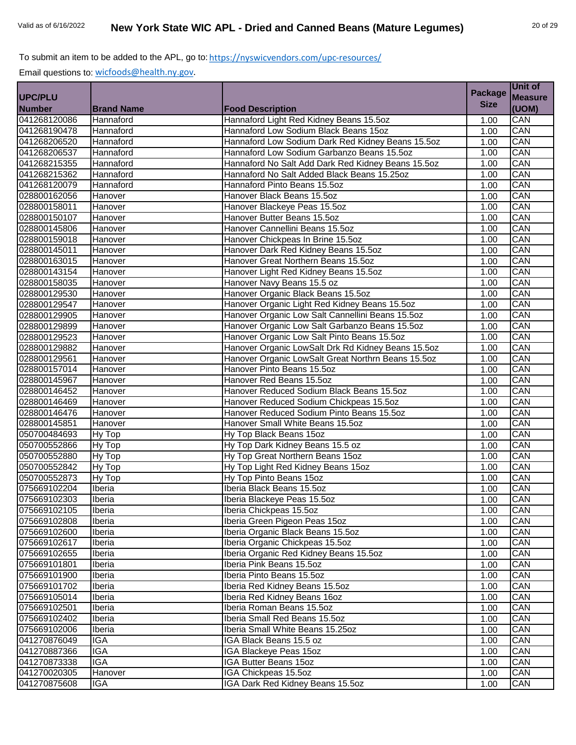|                |                   |                                                    |                | Unit of        |
|----------------|-------------------|----------------------------------------------------|----------------|----------------|
| <b>UPC/PLU</b> |                   |                                                    | <b>Package</b> | <b>Measure</b> |
| <b>Number</b>  | <b>Brand Name</b> | <b>Food Description</b>                            | <b>Size</b>    | (UOM)          |
| 041268120086   | Hannaford         | Hannaford Light Red Kidney Beans 15.5oz            | 1.00           | CAN            |
| 041268190478   | Hannaford         | Hannaford Low Sodium Black Beans 15oz              | 1.00           | CAN            |
| 041268206520   | Hannaford         | Hannaford Low Sodium Dark Red Kidney Beans 15.5oz  | 1.00           | CAN            |
| 041268206537   | Hannaford         | Hannaford Low Sodium Garbanzo Beans 15.5oz         | 1.00           | CAN            |
| 041268215355   | Hannaford         | Hannaford No Salt Add Dark Red Kidney Beans 15.5oz | 1.00           | CAN            |
| 041268215362   | Hannaford         | Hannaford No Salt Added Black Beans 15.25oz        | 1.00           | CAN            |
| 041268120079   | Hannaford         | Hannaford Pinto Beans 15.5oz                       | 1.00           | CAN            |
| 028800162056   | Hanover           | Hanover Black Beans 15.5oz                         | 1.00           | CAN            |
| 028800158011   | Hanover           | Hanover Blackeye Peas 15.5oz                       | 1.00           | CAN            |
| 028800150107   | Hanover           | Hanover Butter Beans 15.5oz                        | 1.00           | CAN            |
| 028800145806   | Hanover           | Hanover Cannellini Beans 15.5oz                    | 1.00           | CAN            |
| 028800159018   | Hanover           | Hanover Chickpeas In Brine 15.5oz                  | 1.00           | CAN            |
| 028800145011   | Hanover           | Hanover Dark Red Kidney Beans 15.5oz               | 1.00           | CAN            |
| 028800163015   | Hanover           | Hanover Great Northern Beans 15.5oz                | 1.00           | CAN            |
| 028800143154   | Hanover           | Hanover Light Red Kidney Beans 15.5oz              | 1.00           | CAN            |
| 028800158035   | Hanover           | Hanover Navy Beans 15.5 oz                         | 1.00           | CAN            |
| 028800129530   | Hanover           | Hanover Organic Black Beans 15.5oz                 | 1.00           | CAN            |
| 028800129547   | Hanover           | Hanover Organic Light Red Kidney Beans 15.5oz      | 1.00           | CAN            |
| 028800129905   | Hanover           | Hanover Organic Low Salt Cannellini Beans 15.5oz   | 1.00           | CAN            |
| 028800129899   | Hanover           | Hanover Organic Low Salt Garbanzo Beans 15.5oz     | 1.00           | CAN            |
| 028800129523   | Hanover           | Hanover Organic Low Salt Pinto Beans 15.5oz        | 1.00           | CAN            |
| 028800129882   | Hanover           | Hanover Organic LowSalt Drk Rd Kidney Beans 15.5oz | 1.00           | CAN            |
| 028800129561   | Hanover           | Hanover Organic LowSalt Great Northrn Beans 15.5oz | 1.00           | CAN            |
| 028800157014   | Hanover           | Hanover Pinto Beans 15.5oz                         | 1.00           | CAN            |
| 028800145967   | Hanover           | Hanover Red Beans 15.5oz                           | 1.00           | CAN            |
| 028800146452   | Hanover           | Hanover Reduced Sodium Black Beans 15.5oz          | 1.00           | CAN            |
| 028800146469   | Hanover           | Hanover Reduced Sodium Chickpeas 15.5oz            | 1.00           | CAN            |
| 028800146476   | Hanover           | Hanover Reduced Sodium Pinto Beans 15.5oz          | 1.00           | CAN            |
| 028800145851   | Hanover           | Hanover Small White Beans 15.5oz                   | 1.00           | CAN            |
| 050700484693   | Hy Top            | Hy Top Black Beans 15oz                            | 1.00           | CAN            |
| 050700552866   | Hy Top            | Hy Top Dark Kidney Beans 15.5 oz                   | 1.00           | CAN            |
| 050700552880   | Hy Top            | Hy Top Great Northern Beans 15oz                   | 1.00           | CAN            |
| 050700552842   | Hy Top            | Hy Top Light Red Kidney Beans 15oz                 | 1.00           | CAN            |
| 050700552873   | Hy Top            | Hy Top Pinto Beans 15oz                            | 1.00           | CAN            |
| 075669102204   | Iberia            | Iberia Black Beans 15.5oz                          | 1.00           | CAN            |
| 075669102303   | Iberia            | Iberia Blackeye Peas 15.5oz                        | 1.00           | CAN            |
| 075669102105   | Iberia            | Iberia Chickpeas 15.5oz                            | 1.00           | CAN            |
| 075669102808   | Iberia            | Iberia Green Pigeon Peas 15oz                      | 1.00           | CAN            |
| 075669102600   | Iberia            | Iberia Organic Black Beans 15.5oz                  | 1.00           | CAN            |
| 075669102617   | Iberia            | Iberia Organic Chickpeas 15.5oz                    | 1.00           | CAN            |
| 075669102655   | Iberia            | Iberia Organic Red Kidney Beans 15.5oz             | 1.00           | CAN            |
| 075669101801   | Iberia            | Iberia Pink Beans 15.5oz                           | 1.00           | CAN            |
| 075669101900   | Iberia            | Iberia Pinto Beans 15.5oz                          | 1.00           | CAN            |
| 075669101702   | Iberia            | Iberia Red Kidney Beans 15.5oz                     | 1.00           | CAN            |
| 075669105014   | Iberia            | Iberia Red Kidney Beans 16oz                       | 1.00           | CAN            |
| 075669102501   | Iberia            | Iberia Roman Beans 15.5oz                          | 1.00           | CAN            |
| 075669102402   | Iberia            | Iberia Small Red Beans 15.5oz                      | 1.00           | CAN            |
| 075669102006   | Iberia            | Iberia Small White Beans 15.25oz                   | 1.00           | CAN            |
| 041270876049   | <b>IGA</b>        | IGA Black Beans 15.5 oz                            | 1.00           | CAN            |
| 041270887366   | <b>IGA</b>        | IGA Blackeye Peas 15oz                             | 1.00           | CAN            |
| 041270873338   | <b>IGA</b>        | IGA Butter Beans 15oz                              | 1.00           | CAN            |
| 041270020305   | Hanover           | IGA Chickpeas 15.5oz                               | 1.00           | CAN            |
| 041270875608   | IGA               | IGA Dark Red Kidney Beans 15.5oz                   | 1.00           | CAN            |
|                |                   |                                                    |                |                |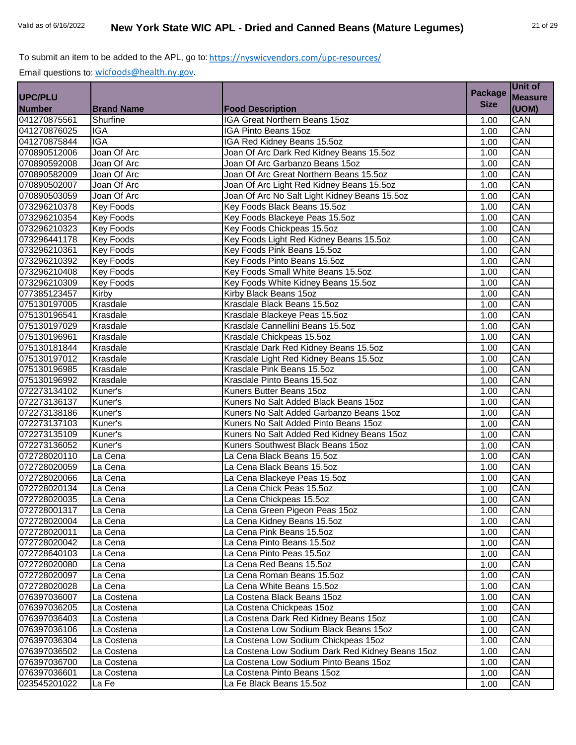|                |                         |                                                  | <b>Package</b> | Unit of        |
|----------------|-------------------------|--------------------------------------------------|----------------|----------------|
| <b>UPC/PLU</b> |                         |                                                  |                | <b>Measure</b> |
| <b>Number</b>  | <b>Brand Name</b>       | <b>Food Description</b>                          | <b>Size</b>    | (UOM)          |
| 041270875561   | Shurfine                | IGA Great Northern Beans 15oz                    | 1.00           | CAN            |
| 041270876025   | <b>IGA</b>              | <b>IGA Pinto Beans 15oz</b>                      | 1.00           | CAN            |
| 041270875844   | $\overline{\text{IGA}}$ | IGA Red Kidney Beans 15.5oz                      | 1.00           | CAN            |
| 070890512006   | Joan Of Arc             | Joan Of Arc Dark Red Kidney Beans 15.5oz         | 1.00           | CAN            |
| 070890592008   | Joan Of Arc             | Joan Of Arc Garbanzo Beans 15oz                  | 1.00           | CAN            |
| 070890582009   | Joan Of Arc             | Joan Of Arc Great Northern Beans 15.5oz          | 1.00           | CAN            |
| 070890502007   | Joan Of Arc             | Joan Of Arc Light Red Kidney Beans 15.5oz        | 1.00           | CAN            |
| 070890503059   | Joan Of Arc             | Joan Of Arc No Salt Light Kidney Beans 15.5oz    | 1.00           | CAN            |
| 073296210378   | <b>Key Foods</b>        | Key Foods Black Beans 15.5oz                     | 1.00           | CAN            |
| 073296210354   | <b>Key Foods</b>        | Key Foods Blackeye Peas 15.5oz                   | 1.00           | CAN            |
| 073296210323   | <b>Key Foods</b>        | Key Foods Chickpeas 15.5oz                       | 1.00           | CAN            |
| 073296441178   | <b>Key Foods</b>        | Key Foods Light Red Kidney Beans 15.5oz          | 1.00           | CAN            |
| 073296210361   | <b>Key Foods</b>        | Key Foods Pink Beans 15.5oz                      | 1.00           | CAN            |
| 073296210392   | <b>Key Foods</b>        | Key Foods Pinto Beans 15.5oz                     | 1.00           | CAN            |
| 073296210408   | <b>Key Foods</b>        | Key Foods Small White Beans 15.5oz               | 1.00           | CAN            |
| 073296210309   | <b>Key Foods</b>        | Key Foods White Kidney Beans 15.5oz              | 1.00           | CAN            |
| 077385123457   | Kirby                   | Kirby Black Beans 15oz                           | 1.00           | CAN            |
| 075130197005   | Krasdale                | Krasdale Black Beans 15.50z                      | 1.00           | CAN            |
| 075130196541   | Krasdale                | Krasdale Blackeye Peas 15.5oz                    | 1.00           | CAN            |
| 075130197029   | Krasdale                | Krasdale Cannellini Beans 15.5oz                 | 1.00           | CAN            |
| 075130196961   | Krasdale                | Krasdale Chickpeas 15.5oz                        | 1.00           | CAN            |
| 075130181844   | Krasdale                | Krasdale Dark Red Kidney Beans 15.5oz            | 1.00           | CAN            |
| 075130197012   | Krasdale                | Krasdale Light Red Kidney Beans 15.5oz           | 1.00           | CAN            |
| 075130196985   | Krasdale                | Krasdale Pink Beans 15.5oz                       | 1.00           | CAN            |
| 075130196992   | Krasdale                | Krasdale Pinto Beans 15.5oz                      | 1.00           | CAN            |
| 072273134102   | Kuner's                 | Kuners Butter Beans 15oz                         | 1.00           | CAN            |
| 072273136137   | Kuner's                 | Kuners No Salt Added Black Beans 15oz            | 1.00           | CAN            |
| 072273138186   | Kuner's                 | Kuners No Salt Added Garbanzo Beans 15oz         | 1.00           | CAN            |
| 072273137103   | Kuner's                 | Kuners No Salt Added Pinto Beans 15oz            | 1.00           | CAN            |
| 072273135109   | Kuner's                 | Kuners No Salt Added Red Kidney Beans 15oz       | 1.00           | CAN            |
| 072273136052   | Kuner's                 | Kuners Southwest Black Beans 15oz                | 1.00           | CAN            |
| 072728020110   | La Cena                 | La Cena Black Beans 15.5oz                       | 1.00           | CAN            |
| 072728020059   | La Cena                 | La Cena Black Beans 15.5oz                       | 1.00           | CAN            |
| 072728020066   | La Cena                 | La Cena Blackeye Peas 15.5oz                     | 1.00           | CAN            |
| 072728020134   | La Cena                 | La Cena Chick Peas 15.5oz                        | 1.00           | CAN            |
| 072728020035   | La Cena                 | La Cena Chickpeas 15.5oz                         | 1.00           | CAN            |
| 072728001317   | La Cena                 | La Cena Green Pigeon Peas 15oz                   | 1.00           | CAN            |
| 072728020004   | La Cena                 | La Cena Kidney Beans 15.5oz                      | 1.00           | CAN            |
| 072728020011   | La Cena                 | La Cena Pink Beans 15.5oz                        | 1.00           | CAN            |
| 072728020042   | La Cena                 | La Cena Pinto Beans 15.5oz                       | 1.00           | CAN            |
| 072728640103   | La Cena                 | La Cena Pinto Peas 15.5oz                        | 1.00           | CAN            |
| 072728020080   | La Cena                 | La Cena Red Beans 15.5oz                         | 1.00           | CAN            |
| 072728020097   | La Cena                 | La Cena Roman Beans 15.5oz                       | 1.00           | CAN            |
| 072728020028   | La Cena                 | La Cena White Beans 15.5oz                       | 1.00           | CAN            |
| 076397036007   | La Costena              | La Costena Black Beans 15oz                      | 1.00           | CAN            |
| 076397036205   | La Costena              | La Costena Chickpeas 15oz                        | 1.00           | CAN            |
| 076397036403   | La Costena              | La Costena Dark Red Kidney Beans 15oz            | 1.00           | CAN            |
| 076397036106   | La Costena              | La Costena Low Sodium Black Beans 15oz           | 1.00           | CAN            |
| 076397036304   | La Costena              | La Costena Low Sodium Chickpeas 15oz             | 1.00           | CAN            |
| 076397036502   | La Costena              | La Costena Low Sodium Dark Red Kidney Beans 15oz | 1.00           | CAN            |
| 076397036700   | La Costena              | La Costena Low Sodium Pinto Beans 15oz           | 1.00           | CAN            |
| 076397036601   | La Costena              | La Costena Pinto Beans 15oz                      | 1.00           | CAN            |
| 023545201022   | La Fe                   | La Fe Black Beans 15.5oz                         | 1.00           | CAN            |
|                |                         |                                                  |                |                |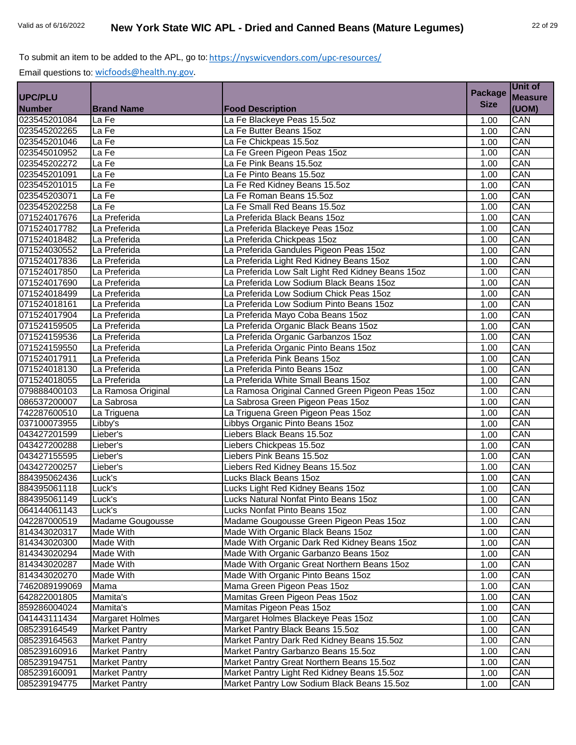|                |                        |                                                   | <b>Package</b> | Unit of        |
|----------------|------------------------|---------------------------------------------------|----------------|----------------|
| <b>UPC/PLU</b> |                        |                                                   | <b>Size</b>    | <b>Measure</b> |
| <b>Number</b>  | <b>Brand Name</b>      | <b>Food Description</b>                           |                | (UOM)          |
| 023545201084   | La Fe                  | La Fe Blackeye Peas 15.5oz                        | 1.00           | CAN            |
| 023545202265   | La Fe                  | La Fe Butter Beans 15oz                           | 1.00           | CAN            |
| 023545201046   | La Fe                  | La Fe Chickpeas 15.5oz                            | 1.00           | CAN            |
| 023545010952   | La Fe                  | La Fe Green Pigeon Peas 15oz                      | 1.00           | CAN            |
| 023545202272   | La Fe                  | La Fe Pink Beans 15.5oz                           | 1.00           | CAN            |
| 023545201091   | La Fe                  | La Fe Pinto Beans 15.5oz                          | 1.00           | CAN            |
| 023545201015   | La Fe                  | La Fe Red Kidney Beans 15.5oz                     | 1.00           | CAN            |
| 023545203071   | La Fe                  | La Fe Roman Beans 15.5oz                          | 1.00           | CAN            |
| 023545202258   | La Fe                  | La Fe Small Red Beans 15.5oz                      | 1.00           | CAN            |
| 071524017676   | La Preferida           | La Preferida Black Beans 15oz                     | 1.00           | CAN            |
| 071524017782   | La Preferida           | La Preferida Blackeye Peas 15oz                   | 1.00           | CAN            |
| 071524018482   | La Preferida           | La Preferida Chickpeas 15oz                       | 1.00           | CAN            |
| 071524030552   | La Preferida           | La Preferida Gandules Pigeon Peas 15oz            | 1.00           | CAN            |
| 071524017836   | La Preferida           | La Preferida Light Red Kidney Beans 15oz          | 1.00           | CAN            |
| 071524017850   | La Preferida           | La Preferida Low Salt Light Red Kidney Beans 15oz | 1.00           | CAN            |
| 071524017690   | La Preferida           | La Preferida Low Sodium Black Beans 15oz          | 1.00           | CAN            |
| 071524018499   | La Preferida           | La Preferida Low Sodium Chick Peas 15oz           | 1.00           | CAN            |
| 071524018161   | La Preferida           | La Preferida Low Sodium Pinto Beans 15oz          | 1.00           | CAN            |
| 071524017904   | La Preferida           | La Preferida Mayo Coba Beans 15oz                 | 1.00           | CAN            |
| 071524159505   | La Preferida           | La Preferida Organic Black Beans 15oz             | 1.00           | CAN            |
| 071524159536   | La Preferida           | La Preferida Organic Garbanzos 15oz               | 1.00           | CAN            |
| 071524159550   | La Preferida           | La Preferida Organic Pinto Beans 15oz             | 1.00           | CAN            |
| 071524017911   | La Preferida           | La Preferida Pink Beans 15oz                      | 1.00           | CAN            |
| 071524018130   | La Preferida           | La Preferida Pinto Beans 15oz                     | 1.00           | CAN            |
| 071524018055   | La Preferida           | La Preferida White Small Beans 15oz               | 1.00           | CAN            |
| 079888400103   | La Ramosa Original     | La Ramosa Original Canned Green Pigeon Peas 15oz  | 1.00           | CAN            |
| 086537200007   | La Sabrosa             | La Sabrosa Green Pigeon Peas 15oz                 | 1.00           | CAN            |
| 742287600510   | La Triguena            | La Triguena Green Pigeon Peas 15oz                | 1.00           | CAN            |
| 037100073955   | Libby's                | Libbys Organic Pinto Beans 15oz                   | 1.00           | CAN            |
| 043427201599   | Lieber's               | Liebers Black Beans 15.5oz                        | 1.00           | CAN            |
| 043427200288   | Lieber's               | Liebers Chickpeas 15.5oz                          | 1.00           | CAN            |
| 043427155595   | Lieber's               | Liebers Pink Beans 15.5oz                         | 1.00           | CAN            |
| 043427200257   | Lieber's               | Liebers Red Kidney Beans 15.5oz                   | 1.00           | CAN            |
| 884395062436   | Luck's                 | Lucks Black Beans 15oz                            | 1.00           | CAN            |
| 884395061118   | Luck's                 | Lucks Light Red Kidney Beans 15oz                 | 1.00           | CAN            |
| 884395061149   | Luck's                 | Lucks Natural Nonfat Pinto Beans 15oz             | 1.00           | CAN            |
| 064144061143   | Luck's                 | Lucks Nonfat Pinto Beans 15oz                     | 1.00           | CAN            |
| 042287000519   | Madame Gougousse       | Madame Gougousse Green Pigeon Peas 15oz           | 1.00           | CAN            |
| 814343020317   | Made With              | Made With Organic Black Beans 15oz                | 1.00           | CAN            |
| 814343020300   | Made With              | Made With Organic Dark Red Kidney Beans 15oz      | 1.00           | CAN            |
| 814343020294   | Made With              | Made With Organic Garbanzo Beans 15oz             | 1.00           | CAN            |
| 814343020287   | Made With              | Made With Organic Great Northern Beans 15oz       | 1.00           | CAN            |
| 814343020270   | Made With              | Made With Organic Pinto Beans 15oz                | 1.00           | CAN            |
| 7462089199069  | Mama                   | Mama Green Pigeon Peas 15oz                       | 1.00           | CAN            |
| 642822001805   | Mamita's               | Mamitas Green Pigeon Peas 15oz                    | 1.00           | CAN            |
| 859286004024   | Mamita's               | Mamitas Pigeon Peas 15oz                          | 1.00           | CAN            |
| 041443111434   | <b>Margaret Holmes</b> | Margaret Holmes Blackeye Peas 15oz                | 1.00           | CAN            |
| 085239164549   | <b>Market Pantry</b>   | Market Pantry Black Beans 15.5oz                  | 1.00           | CAN            |
| 085239164563   | <b>Market Pantry</b>   | Market Pantry Dark Red Kidney Beans 15.5oz        | 1.00           | CAN            |
| 085239160916   | <b>Market Pantry</b>   | Market Pantry Garbanzo Beans 15.5oz               | 1.00           | CAN            |
| 085239194751   | <b>Market Pantry</b>   | Market Pantry Great Northern Beans 15.5oz         | 1.00           | CAN            |
| 085239160091   | Market Pantry          | Market Pantry Light Red Kidney Beans 15.5oz       | 1.00           | CAN            |
| 085239194775   | <b>Market Pantry</b>   | Market Pantry Low Sodium Black Beans 15.5oz       | 1.00           | CAN            |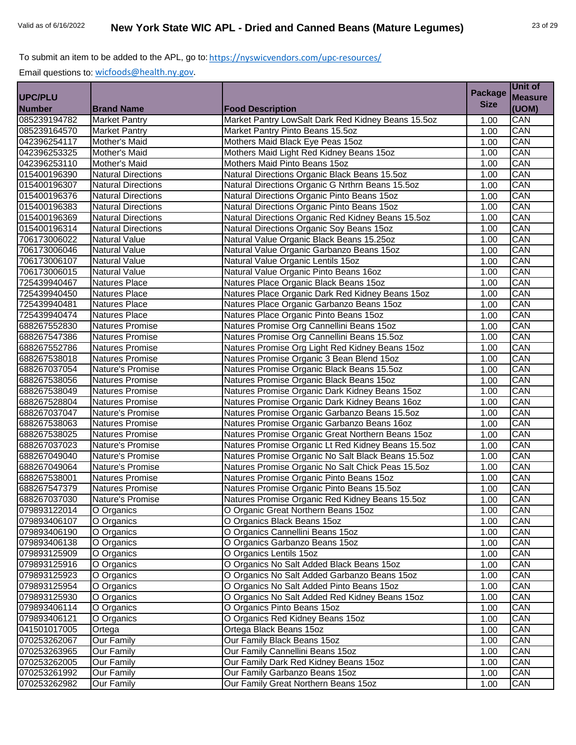|                |                           |                                                    |                | Unit of        |
|----------------|---------------------------|----------------------------------------------------|----------------|----------------|
| <b>UPC/PLU</b> |                           |                                                    | <b>Package</b> | <b>Measure</b> |
| <b>Number</b>  | <b>Brand Name</b>         | <b>Food Description</b>                            | <b>Size</b>    | (UOM)          |
| 085239194782   | <b>Market Pantry</b>      | Market Pantry LowSalt Dark Red Kidney Beans 15.5oz | 1.00           | CAN            |
| 085239164570   | <b>Market Pantry</b>      | Market Pantry Pinto Beans 15.5oz                   | 1.00           | CAN            |
| 042396254117   | Mother's Maid             | Mothers Maid Black Eye Peas 15oz                   | 1.00           | CAN            |
| 042396253325   | Mother's Maid             | Mothers Maid Light Red Kidney Beans 15oz           | 1.00           | CAN            |
| 042396253110   | Mother's Maid             | Mothers Maid Pinto Beans 15oz                      | 1.00           | CAN            |
| 015400196390   | <b>Natural Directions</b> | Natural Directions Organic Black Beans 15.5oz      | 1.00           | CAN            |
| 015400196307   | <b>Natural Directions</b> | Natural Directions Organic G Nrthrn Beans 15.5oz   | 1.00           | CAN            |
| 015400196376   | <b>Natural Directions</b> | Natural Directions Organic Pinto Beans 15oz        | 1.00           | CAN            |
| 015400196383   | <b>Natural Directions</b> | Natural Directions Organic Pinto Beans 15oz        | 1.00           | CAN            |
| 015400196369   | <b>Natural Directions</b> | Natural Directions Organic Red Kidney Beans 15.5oz | 1.00           | CAN            |
| 015400196314   | <b>Natural Directions</b> | Natural Directions Organic Soy Beans 15oz          | 1.00           | CAN            |
| 706173006022   | <b>Natural Value</b>      | Natural Value Organic Black Beans 15.25oz          | 1.00           | CAN            |
| 706173006046   | <b>Natural Value</b>      | Natural Value Organic Garbanzo Beans 15oz          | 1.00           | CAN            |
| 706173006107   | Natural Value             | Natural Value Organic Lentils 15oz                 | 1.00           | CAN            |
| 706173006015   | <b>Natural Value</b>      | Natural Value Organic Pinto Beans 16oz             | 1.00           | CAN            |
| 725439940467   | <b>Natures Place</b>      | Natures Place Organic Black Beans 15oz             | 1.00           | CAN            |
| 725439940450   | <b>Natures Place</b>      | Natures Place Organic Dark Red Kidney Beans 15oz   | 1.00           | CAN            |
| 725439940481   | <b>Natures Place</b>      | Natures Place Organic Garbanzo Beans 15oz          | 1.00           | CAN            |
| 725439940474   | Natures Place             | Natures Place Organic Pinto Beans 15oz             | 1.00           | CAN            |
| 688267552830   | <b>Natures Promise</b>    | Natures Promise Org Cannellini Beans 15oz          | 1.00           | CAN            |
| 688267547386   | <b>Natures Promise</b>    | Natures Promise Org Cannellini Beans 15.5oz        | 1.00           | CAN            |
| 688267552786   | Natures Promise           | Natures Promise Org Light Red Kidney Beans 15oz    | 1.00           | CAN            |
| 688267538018   | <b>Natures Promise</b>    | Natures Promise Organic 3 Bean Blend 15oz          | 1.00           | CAN            |
| 688267037054   | Nature's Promise          | Natures Promise Organic Black Beans 15.5oz         | 1.00           | CAN            |
| 688267538056   | Natures Promise           | Natures Promise Organic Black Beans 15oz           | 1.00           | CAN            |
| 688267538049   | Natures Promise           | Natures Promise Organic Dark Kidney Beans 15oz     | 1.00           | CAN            |
| 688267528804   | <b>Natures Promise</b>    | Natures Promise Organic Dark Kidney Beans 16oz     | 1.00           | CAN            |
| 688267037047   | Nature's Promise          | Natures Promise Organic Garbanzo Beans 15.5oz      | 1.00           | CAN            |
| 688267538063   | <b>Natures Promise</b>    | Natures Promise Organic Garbanzo Beans 16oz        | 1.00           | CAN            |
| 688267538025   | <b>Natures Promise</b>    | Natures Promise Organic Great Northern Beans 15oz  | 1.00           | CAN            |
| 688267037023   | Nature's Promise          | Natures Promise Organic Lt Red Kidney Beans 15.5oz | 1.00           | CAN            |
| 688267049040   | Nature's Promise          | Natures Promise Organic No Salt Black Beans 15.5oz | 1.00           | CAN            |
| 688267049064   | Nature's Promise          | Natures Promise Organic No Salt Chick Peas 15.5oz  | 1.00           | CAN            |
| 688267538001   | <b>Natures Promise</b>    | Natures Promise Organic Pinto Beans 15oz           | 1.00           | CAN            |
| 688267547379   | <b>Natures Promise</b>    | Natures Promise Organic Pinto Beans 15.5oz         | 1.00           | CAN            |
| 688267037030   | Nature's Promise          | Natures Promise Organic Red Kidney Beans 15.5oz    | 1.00           | CAN            |
| 079893122014   | O Organics                | O Organic Great Northern Beans 15oz                | 1.00           | CAN            |
| 079893406107   | O Organics                | O Organics Black Beans 15oz                        | 1.00           | CAN            |
| 079893406190   | O Organics                | O Organics Cannellini Beans 15oz                   | 1.00           | CAN            |
| 079893406138   | O Organics                | O Organics Garbanzo Beans 15oz                     | 1.00           | CAN            |
| 079893125909   | O Organics                | O Organics Lentils 15oz                            | 1.00           | CAN            |
| 079893125916   | O Organics                | O Organics No Salt Added Black Beans 15oz          | 1.00           | CAN            |
| 079893125923   | O Organics                | O Organics No Salt Added Garbanzo Beans 15oz       | 1.00           | CAN            |
| 079893125954   | O Organics                | O Organics No Salt Added Pinto Beans 15oz          | 1.00           | CAN            |
| 079893125930   | O Organics                | O Organics No Salt Added Red Kidney Beans 15oz     | 1.00           | CAN            |
| 079893406114   | O Organics                | O Organics Pinto Beans 15oz                        | 1.00           | CAN            |
| 079893406121   | O Organics                | O Organics Red Kidney Beans 15oz                   | 1.00           | CAN            |
| 041501017005   | Ortega                    | Ortega Black Beans 15oz                            | 1.00           | CAN            |
| 070253262067   | <b>Our Family</b>         | Our Family Black Beans 15oz                        | 1.00           | CAN            |
| 070253263965   | <b>Our Family</b>         | Our Family Cannellini Beans 15oz                   | 1.00           | CAN            |
| 070253262005   | Our Family                | Our Family Dark Red Kidney Beans 15oz              | 1.00           | CAN            |
| 070253261992   | Our Family                | Our Family Garbanzo Beans 15oz                     | 1.00           | CAN            |
| 070253262982   | <b>Our Family</b>         | Our Family Great Northern Beans 15oz               | 1.00           | CAN            |
|                |                           |                                                    |                |                |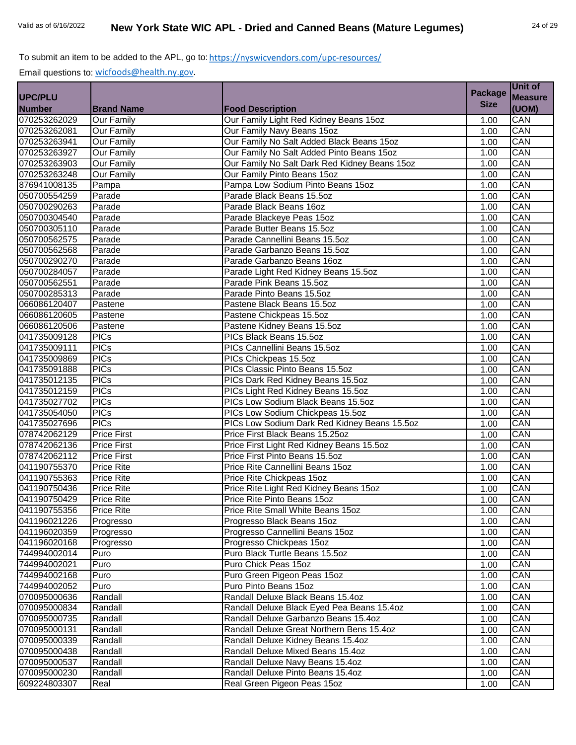|                |                    |                                               | <b>Package</b> | <b>Unit of</b> |
|----------------|--------------------|-----------------------------------------------|----------------|----------------|
| <b>UPC/PLU</b> |                    |                                               | <b>Size</b>    | <b>Measure</b> |
| <b>Number</b>  | <b>Brand Name</b>  | <b>Food Description</b>                       |                | (UOM)          |
| 070253262029   | <b>Our Family</b>  | Our Family Light Red Kidney Beans 15oz        | 1.00           | <b>CAN</b>     |
| 070253262081   | <b>Our Family</b>  | Our Family Navy Beans 15oz                    | 1.00           | CAN            |
| 070253263941   | <b>Our Family</b>  | Our Family No Salt Added Black Beans 15oz     | 1.00           | CAN            |
| 070253263927   | <b>Our Family</b>  | Our Family No Salt Added Pinto Beans 15oz     | 1.00           | CAN            |
| 070253263903   | <b>Our Family</b>  | Our Family No Salt Dark Red Kidney Beans 15oz | 1.00           | CAN            |
| 070253263248   | <b>Our Family</b>  | Our Family Pinto Beans 15oz                   | 1.00           | CAN            |
| 876941008135   | Pampa              | Pampa Low Sodium Pinto Beans 15oz             | 1.00           | CAN            |
| 050700554259   | Parade             | Parade Black Beans 15.5oz                     | 1.00           | CAN            |
| 050700290263   | Parade             | Parade Black Beans 16oz                       | 1.00           | CAN            |
| 050700304540   | Parade             | Parade Blackeye Peas 15oz                     | 1.00           | CAN            |
| 050700305110   | Parade             | Parade Butter Beans 15.5oz                    | 1.00           | CAN            |
| 050700562575   | Parade             | Parade Cannellini Beans 15.5oz                | 1.00           | CAN            |
| 050700562568   | Parade             | Parade Garbanzo Beans 15.5oz                  | 1.00           | CAN            |
| 050700290270   | Parade             | Parade Garbanzo Beans 16oz                    | 1.00           | CAN            |
| 050700284057   | Parade             | Parade Light Red Kidney Beans 15.5oz          | 1.00           | CAN            |
| 050700562551   | Parade             | Parade Pink Beans 15.5oz                      | 1.00           | CAN            |
| 050700285313   | Parade             | Parade Pinto Beans 15.5oz                     | 1.00           | CAN            |
| 066086120407   | Pastene            | Pastene Black Beans 15.5oz                    | 1.00           | CAN            |
| 066086120605   | Pastene            | Pastene Chickpeas 15.5oz                      | 1.00           | CAN            |
| 066086120506   | Pastene            | Pastene Kidney Beans 15.5oz                   | 1.00           | CAN            |
| 041735009128   | <b>PICs</b>        | PICs Black Beans 15.5oz                       | 1.00           | CAN            |
| 041735009111   | <b>PICs</b>        | PICs Cannellini Beans 15.5oz                  | 1.00           | CAN            |
| 041735009869   | <b>PICs</b>        | PICs Chickpeas 15.5oz                         | 1.00           | CAN            |
| 041735091888   | <b>PICs</b>        | PICs Classic Pinto Beans 15.5oz               | 1.00           | CAN            |
| 041735012135   | <b>PICs</b>        | PICs Dark Red Kidney Beans 15.5oz             | 1.00           | CAN            |
| 041735012159   | <b>PICs</b>        | PICs Light Red Kidney Beans 15.5oz            | 1.00           | CAN            |
| 041735027702   | <b>PICs</b>        | PICs Low Sodium Black Beans 15.5oz            | 1.00           | CAN            |
| 041735054050   | $\overline{PICs}$  | PICs Low Sodium Chickpeas 15.5oz              | 1.00           | CAN            |
| 041735027696   | <b>PICs</b>        | PICs Low Sodium Dark Red Kidney Beans 15.5oz  | 1.00           | CAN            |
| 078742062129   | <b>Price First</b> | Price First Black Beans 15.25oz               | 1.00           | CAN            |
| 078742062136   | <b>Price First</b> | Price First Light Red Kidney Beans 15.5oz     | 1.00           | CAN            |
| 078742062112   | <b>Price First</b> | Price First Pinto Beans 15.5oz                | 1.00           | CAN            |
| 041190755370   | <b>Price Rite</b>  | Price Rite Cannellini Beans 15oz              | 1.00           | CAN            |
| 041190755363   | <b>Price Rite</b>  | Price Rite Chickpeas 15oz                     | 1.00           | CAN            |
| 041190750436   | <b>Price Rite</b>  | Price Rite Light Red Kidney Beans 15oz        | 1.00           | CAN            |
| 041190750429   | <b>Price Rite</b>  | Price Rite Pinto Beans 15oz                   | 1.00           | CAN            |
| 041190755356   | <b>Price Rite</b>  | Price Rite Small White Beans 15oz             | 1.00           | CAN            |
| 041196021226   | Progresso          | Progresso Black Beans 15oz                    | 1.00           | CAN            |
| 041196020359   | Progresso          | Progresso Cannellini Beans 15oz               | 1.00           | CAN            |
| 041196020168   | Progresso          | Progresso Chickpeas 15oz                      | 1.00           | <b>CAN</b>     |
| 744994002014   | Puro               | Puro Black Turtle Beans 15.5oz                | 1.00           | CAN            |
| 744994002021   | Puro               | Puro Chick Peas 15oz                          | 1.00           | CAN            |
| 744994002168   | Puro               | Puro Green Pigeon Peas 15oz                   | 1.00           | CAN            |
| 744994002052   | Puro               | Puro Pinto Beans 15oz                         | 1.00           | CAN            |
| 070095000636   | Randall            | Randall Deluxe Black Beans 15.4oz             | 1.00           | CAN            |
| 070095000834   | Randall            | Randall Deluxe Black Eyed Pea Beans 15.4oz    | 1.00           | CAN            |
| 070095000735   | Randall            | Randall Deluxe Garbanzo Beans 15.4oz          | 1.00           | CAN            |
| 070095000131   | Randall            | Randall Deluxe Great Northern Bens 15.4oz     | 1.00           | CAN            |
| 070095000339   | Randall            | Randall Deluxe Kidney Beans 15.4oz            | 1.00           | CAN            |
| 070095000438   | Randall            | Randall Deluxe Mixed Beans 15.4oz             | 1.00           | CAN            |
| 070095000537   | Randall            | Randall Deluxe Navy Beans 15.4oz              | 1.00           | CAN            |
| 070095000230   | Randall            | Randall Deluxe Pinto Beans 15.4oz             | 1.00           | CAN            |
| 609224803307   | Real               | Real Green Pigeon Peas 15oz                   | 1.00           | CAN            |
|                |                    |                                               |                |                |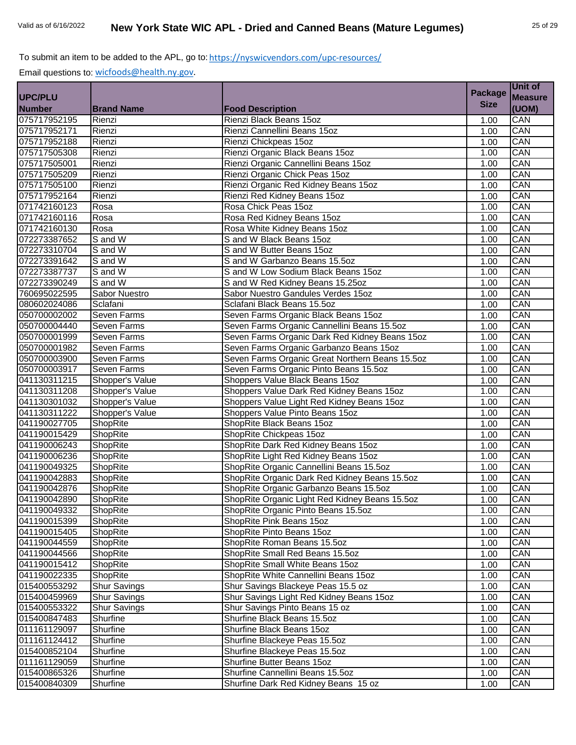|                |                      |                                                 | <b>Package</b> | Unit of        |
|----------------|----------------------|-------------------------------------------------|----------------|----------------|
| <b>UPC/PLU</b> |                      |                                                 |                | <b>Measure</b> |
| <b>Number</b>  | <b>Brand Name</b>    | <b>Food Description</b>                         | <b>Size</b>    | (UOM)          |
| 075717952195   | Rienzi               | Rienzi Black Beans 15oz                         | 1.00           | CAN            |
| 075717952171   | Rienzi               | Rienzi Cannellini Beans 15oz                    | 1.00           | CAN            |
| 075717952188   | Rienzi               | Rienzi Chickpeas 15oz                           | 1.00           | CAN            |
| 075717505308   | Rienzi               | Rienzi Organic Black Beans 15oz                 | 1.00           | CAN            |
| 075717505001   | Rienzi               | Rienzi Organic Cannellini Beans 15oz            | 1.00           | CAN            |
| 075717505209   | Rienzi               | Rienzi Organic Chick Peas 15oz                  | 1.00           | CAN            |
| 075717505100   | Rienzi               | Rienzi Organic Red Kidney Beans 15oz            | 1.00           | CAN            |
| 075717952164   | Rienzi               | Rienzi Red Kidney Beans 15oz                    | 1.00           | CAN            |
| 071742160123   | Rosa                 | Rosa Chick Peas 15oz                            | 1.00           | CAN            |
| 071742160116   | Rosa                 | Rosa Red Kidney Beans 15oz                      | 1.00           | CAN            |
| 071742160130   | Rosa                 | Rosa White Kidney Beans 15oz                    | 1.00           | CAN            |
| 072273387652   | S and W              | S and W Black Beans 15oz                        | 1.00           | CAN            |
| 072273310704   | S and W              | S and W Butter Beans 15oz                       | 1.00           | CAN            |
| 072273391642   | $\overline{S}$ and W | S and W Garbanzo Beans 15.5oz                   | 1.00           | CAN            |
| 072273387737   | S and W              | S and W Low Sodium Black Beans 15oz             | 1.00           | CAN            |
| 072273390249   | S and W              | S and W Red Kidney Beans 15.25oz                | 1.00           | CAN            |
| 760695022595   | Sabor Nuestro        | Sabor Nuestro Gandules Verdes 15oz              | 1.00           | CAN            |
| 080602024086   | Sclafani             | Sclafani Black Beans 15.5oz                     | 1.00           | CAN            |
| 050700002002   | Seven Farms          | Seven Farms Organic Black Beans 15oz            | 1.00           | CAN            |
| 050700004440   | Seven Farms          | Seven Farms Organic Cannellini Beans 15.5oz     | 1.00           | CAN            |
| 050700001999   | <b>Seven Farms</b>   | Seven Farms Organic Dark Red Kidney Beans 15oz  | 1.00           | CAN            |
| 050700001982   | Seven Farms          | Seven Farms Organic Garbanzo Beans 15oz         | 1.00           | CAN            |
| 050700003900   | Seven Farms          | Seven Farms Organic Great Northern Beans 15.5oz | 1.00           | CAN            |
| 050700003917   | Seven Farms          | Seven Farms Organic Pinto Beans 15.5oz          | 1.00           | CAN            |
| 041130311215   | Shopper's Value      | Shoppers Value Black Beans 15oz                 | 1.00           | CAN            |
| 041130311208   | Shopper's Value      | Shoppers Value Dark Red Kidney Beans 15oz       | 1.00           | CAN            |
| 041130301032   | Shopper's Value      | Shoppers Value Light Red Kidney Beans 15oz      | 1.00           | CAN            |
| 041130311222   | Shopper's Value      | Shoppers Value Pinto Beans 15oz                 | 1.00           | CAN            |
| 041190027705   | ShopRite             | ShopRite Black Beans 15oz                       | 1.00           | CAN            |
| 041190015429   | ShopRite             | ShopRite Chickpeas 15oz                         | 1.00           | CAN            |
| 041190006243   | ShopRite             | ShopRite Dark Red Kidney Beans 15oz             | 1.00           | CAN            |
| 041190006236   | ShopRite             | ShopRite Light Red Kidney Beans 15oz            | 1.00           | CAN            |
| 041190049325   | ShopRite             | ShopRite Organic Cannellini Beans 15.5oz        | 1.00           | CAN            |
| 041190042883   | ShopRite             | ShopRite Organic Dark Red Kidney Beans 15.5oz   | 1.00           | CAN            |
| 041190042876   | ShopRite             | ShopRite Organic Garbanzo Beans 15.5oz          | 1.00           | CAN            |
| 041190042890   | ShopRite             | ShopRite Organic Light Red Kidney Beans 15.5oz  | 1.00           | CAN            |
| 041190049332   | ShopRite             | ShopRite Organic Pinto Beans 15.5oz             | 1.00           | CAN            |
| 041190015399   | ShopRite             | ShopRite Pink Beans 15oz                        | 1.00           | CAN            |
| 041190015405   | ShopRite             | ShopRite Pinto Beans 15oz                       | 1.00           | CAN            |
| 041190044559   | ShopRite             | ShopRite Roman Beans 15.5oz                     | 1.00           | CAN            |
| 041190044566   | ShopRite             | ShopRite Small Red Beans 15.5oz                 | 1.00           | CAN            |
| 041190015412   | ShopRite             | ShopRite Small White Beans 15oz                 | 1.00           | CAN            |
| 041190022335   | ShopRite             | ShopRite White Cannellini Beans 15oz            | 1.00           | CAN            |
| 015400553292   | <b>Shur Savings</b>  | Shur Savings Blackeye Peas 15.5 oz              | 1.00           | CAN            |
| 015400459969   | <b>Shur Savings</b>  | Shur Savings Light Red Kidney Beans 15oz        | 1.00           | CAN            |
| 015400553322   | <b>Shur Savings</b>  | Shur Savings Pinto Beans 15 oz                  | 1.00           | CAN            |
| 015400847483   | Shurfine             | Shurfine Black Beans 15.5oz                     | 1.00           | CAN            |
| 011161129097   | Shurfine             | Shurfine Black Beans 15oz                       | 1.00           | CAN            |
| 011161124412   | Shurfine             | Shurfine Blackeye Peas 15.5oz                   | 1.00           | CAN            |
| 015400852104   | Shurfine             | Shurfine Blackeye Peas 15.5oz                   | 1.00           | CAN            |
| 011161129059   | Shurfine             | Shurfine Butter Beans 15oz                      | 1.00           | CAN            |
| 015400865326   | Shurfine             | Shurfine Cannellini Beans 15.5oz                | 1.00           | CAN            |
| 015400840309   | Shurfine             | Shurfine Dark Red Kidney Beans 15 oz            | 1.00           | CAN            |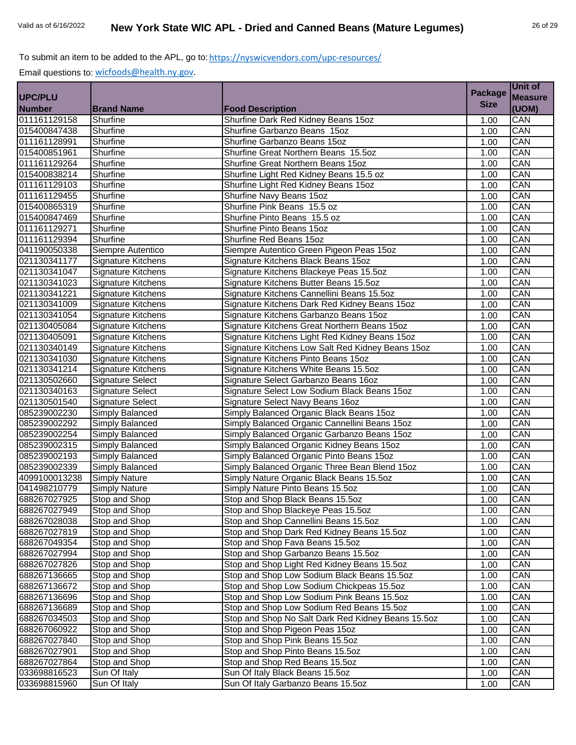|                |                           |                                                    | <b>Package</b> | Unit of        |
|----------------|---------------------------|----------------------------------------------------|----------------|----------------|
| <b>UPC/PLU</b> |                           |                                                    |                | <b>Measure</b> |
| <b>Number</b>  | <b>Brand Name</b>         | <b>Food Description</b>                            | <b>Size</b>    | (UOM)          |
| 011161129158   | Shurfine                  | Shurfine Dark Red Kidney Beans 15oz                | 1.00           | CAN            |
| 015400847438   | Shurfine                  | Shurfine Garbanzo Beans 15oz                       | 1.00           | CAN            |
| 011161128991   | Shurfine                  | Shurfine Garbanzo Beans 15oz                       | 1.00           | CAN            |
| 015400851961   | Shurfine                  | Shurfine Great Northern Beans 15.5oz               | 1.00           | CAN            |
| 011161129264   | Shurfine                  | Shurfine Great Northern Beans 15oz                 | 1.00           | CAN            |
| 015400838214   | Shurfine                  | Shurfine Light Red Kidney Beans 15.5 oz            | 1.00           | CAN            |
| 011161129103   | Shurfine                  | Shurfine Light Red Kidney Beans 15oz               | 1.00           | CAN            |
| 011161129455   | Shurfine                  | Shurfine Navy Beans 15oz                           | 1.00           | CAN            |
| 015400865319   | Shurfine                  | Shurfine Pink Beans 15.5 oz                        | 1.00           | CAN            |
| 015400847469   | Shurfine                  | Shurfine Pinto Beans 15.5 oz                       | 1.00           | CAN            |
| 011161129271   | Shurfine                  | Shurfine Pinto Beans 15oz                          | 1.00           | CAN            |
| 011161129394   | Shurfine                  | Shurfine Red Beans 15oz                            | 1.00           | CAN            |
| 041190050338   | Siempre Autentico         | Siempre Autentico Green Pigeon Peas 15oz           | 1.00           | CAN            |
| 021130341177   | Signature Kitchens        | Signature Kitchens Black Beans 15oz                | 1.00           | CAN            |
| 021130341047   | Signature Kitchens        | Signature Kitchens Blackeye Peas 15.5oz            | 1.00           | CAN            |
| 021130341023   | Signature Kitchens        | Signature Kitchens Butter Beans 15.5oz             | 1.00           | CAN            |
| 021130341221   | <b>Signature Kitchens</b> | Signature Kitchens Cannellini Beans 15.5oz         | 1.00           | CAN            |
| 021130341009   | Signature Kitchens        | Signature Kitchens Dark Red Kidney Beans 15oz      | 1.00           | CAN            |
| 021130341054   | Signature Kitchens        | Signature Kitchens Garbanzo Beans 15oz             | 1.00           | CAN            |
| 021130405084   | <b>Signature Kitchens</b> | Signature Kitchens Great Northern Beans 15oz       | 1.00           | CAN            |
| 021130405091   | <b>Signature Kitchens</b> | Signature Kitchens Light Red Kidney Beans 15oz     | 1.00           | CAN            |
| 021130340149   | <b>Signature Kitchens</b> | Signature Kitchens Low Salt Red Kidney Beans 15oz  | 1.00           | CAN            |
| 021130341030   | Signature Kitchens        | Signature Kitchens Pinto Beans 15oz                | 1.00           | CAN            |
| 021130341214   | Signature Kitchens        | Signature Kitchens White Beans 15.5oz              | 1.00           | CAN            |
| 021130502660   | <b>Signature Select</b>   | Signature Select Garbanzo Beans 16oz               | 1.00           | CAN            |
| 021130340163   | <b>Signature Select</b>   | Signature Select Low Sodium Black Beans 15oz       | 1.00           | CAN            |
| 021130501540   | <b>Signature Select</b>   | Signature Select Navy Beans 16oz                   | 1.00           | CAN            |
| 085239002230   | Simply Balanced           | Simply Balanced Organic Black Beans 15oz           | 1.00           | CAN            |
| 085239002292   | Simply Balanced           | Simply Balanced Organic Cannellini Beans 15oz      | 1.00           | CAN            |
| 085239002254   | Simply Balanced           | Simply Balanced Organic Garbanzo Beans 15oz        | 1.00           | CAN            |
| 085239002315   | Simply Balanced           | Simply Balanced Organic Kidney Beans 15oz          | 1.00           | CAN            |
| 085239002193   | Simply Balanced           | Simply Balanced Organic Pinto Beans 15oz           | 1.00           | CAN            |
| 085239002339   | Simply Balanced           | Simply Balanced Organic Three Bean Blend 15oz      | 1.00           | CAN            |
| 4099100013238  | Simply Nature             | Simply Nature Organic Black Beans 15.5oz           | 1.00           | CAN            |
| 041498210779   | <b>Simply Nature</b>      | Simply Nature Pinto Beans 15.5oz                   | 1.00           | CAN            |
| 688267027925   | Stop and Shop             | Stop and Shop Black Beans 15.5oz                   | 1.00           | CAN            |
| 688267027949   | Stop and Shop             | Stop and Shop Blackeye Peas 15.5oz                 | 1.00           | CAN            |
| 688267028038   | Stop and Shop             | Stop and Shop Cannellini Beans 15.5oz              | 1.00           | CAN            |
| 688267027819   | Stop and Shop             | Stop and Shop Dark Red Kidney Beans 15.5oz         | 1.00           | CAN            |
| 688267049354   | Stop and Shop             | Stop and Shop Fava Beans 15.5oz                    | 1.00           | CAN            |
| 688267027994   | Stop and Shop             | Stop and Shop Garbanzo Beans 15.5oz                | 1.00           | CAN            |
| 688267027826   | Stop and Shop             | Stop and Shop Light Red Kidney Beans 15.5oz        | 1.00           | CAN            |
| 688267136665   | Stop and Shop             | Stop and Shop Low Sodium Black Beans 15.5oz        | 1.00           | CAN            |
| 688267136672   | Stop and Shop             | Stop and Shop Low Sodium Chickpeas 15.5oz          | 1.00           | CAN            |
| 688267136696   | Stop and Shop             | Stop and Shop Low Sodium Pink Beans 15.5oz         | 1.00           | CAN            |
| 688267136689   | Stop and Shop             | Stop and Shop Low Sodium Red Beans 15.5oz          | 1.00           | CAN            |
| 688267034503   | Stop and Shop             | Stop and Shop No Salt Dark Red Kidney Beans 15.5oz | 1.00           | CAN            |
| 688267060922   | Stop and Shop             | Stop and Shop Pigeon Peas 15oz                     | 1.00           | CAN            |
| 688267027840   | Stop and Shop             | Stop and Shop Pink Beans 15.5oz                    | 1.00           | CAN            |
| 688267027901   | Stop and Shop             | Stop and Shop Pinto Beans 15.5oz                   | 1.00           | CAN            |
| 688267027864   | Stop and Shop             | Stop and Shop Red Beans 15.5oz                     | 1.00           | CAN            |
| 033698816523   | Sun Of Italy              | Sun Of Italy Black Beans 15.5oz                    | 1.00           | CAN            |
| 033698815960   | Sun Of Italy              | Sun Of Italy Garbanzo Beans 15.5oz                 | 1.00           | CAN            |
|                |                           |                                                    |                |                |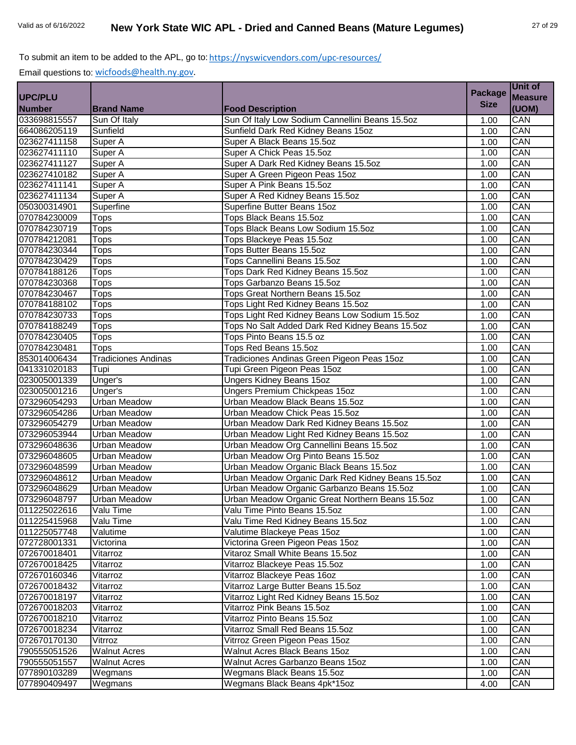|                |                            |                                                   | <b>Package</b> | Unit of        |
|----------------|----------------------------|---------------------------------------------------|----------------|----------------|
| <b>UPC/PLU</b> |                            |                                                   |                | <b>Measure</b> |
| <b>Number</b>  | <b>Brand Name</b>          | <b>Food Description</b>                           | <b>Size</b>    | (UOM)          |
| 033698815557   | Sun Of Italy               | Sun Of Italy Low Sodium Cannellini Beans 15.5oz   | 1.00           | CAN            |
| 664086205119   | Sunfield                   | Sunfield Dark Red Kidney Beans 15oz               | 1.00           | CAN            |
| 023627411158   | Super A                    | Super A Black Beans 15.5oz                        | 1.00           | CAN            |
| 023627411110   | Super A                    | Super A Chick Peas 15.5oz                         | 1.00           | CAN            |
| 023627411127   | Super A                    | Super A Dark Red Kidney Beans 15.5oz              | 1.00           | CAN            |
| 023627410182   | Super A                    | Super A Green Pigeon Peas 15oz                    | 1.00           | CAN            |
| 023627411141   | Super A                    | Super A Pink Beans 15.5oz                         | 1.00           | CAN            |
| 023627411134   | Super A                    | Super A Red Kidney Beans 15.5oz                   | 1.00           | CAN            |
| 050300314901   | Superfine                  | Superfine Butter Beans 15oz                       | 1.00           | CAN            |
| 070784230009   | <b>Tops</b>                | Tops Black Beans 15.5oz                           | 1.00           | CAN            |
| 070784230719   | Tops                       | Tops Black Beans Low Sodium 15.5oz                | 1.00           | CAN            |
| 070784212081   | Tops                       | Tops Blackeye Peas 15.5oz                         | 1.00           | CAN            |
| 070784230344   | Tops                       | <b>Tops Butter Beans 15.5oz</b>                   | 1.00           | CAN            |
| 070784230429   | Tops                       | Tops Cannellini Beans 15.5oz                      | 1.00           | CAN            |
| 070784188126   | <b>Tops</b>                | Tops Dark Red Kidney Beans 15.5oz                 | 1.00           | CAN            |
| 070784230368   | Tops                       | Tops Garbanzo Beans 15.5oz                        | 1.00           | CAN            |
| 070784230467   | Tops                       | Tops Great Northern Beans 15.5oz                  | 1.00           | CAN            |
| 070784188102   | Tops                       | Tops Light Red Kidney Beans 15.5oz                | 1.00           | CAN            |
| 070784230733   | Tops                       | Tops Light Red Kidney Beans Low Sodium 15.5oz     | 1.00           | CAN            |
| 070784188249   | Tops                       | Tops No Salt Added Dark Red Kidney Beans 15.5oz   | 1.00           | CAN            |
| 070784230405   | Tops                       | Tops Pinto Beans 15.5 oz                          | 1.00           | CAN            |
| 070784230481   | Tops                       | Tops Red Beans 15.5oz                             | 1.00           | CAN            |
| 853014006434   | <b>Tradiciones Andinas</b> | Tradiciones Andinas Green Pigeon Peas 15oz        | 1.00           | CAN            |
| 041331020183   | Tupi                       | Tupi Green Pigeon Peas 15oz                       | 1.00           | CAN            |
| 023005001339   | Unger's                    | <b>Ungers Kidney Beans 15oz</b>                   | 1.00           | CAN            |
| 023005001216   | Unger's                    | Ungers Premium Chickpeas 15oz                     | 1.00           | CAN            |
| 073296054293   | <b>Urban Meadow</b>        | Urban Meadow Black Beans 15.5oz                   | 1.00           | CAN            |
| 073296054286   | <b>Urban Meadow</b>        | Urban Meadow Chick Peas 15.5oz                    | 1.00           | CAN            |
| 073296054279   | <b>Urban Meadow</b>        | Urban Meadow Dark Red Kidney Beans 15.5oz         | 1.00           | CAN            |
| 073296053944   | <b>Urban Meadow</b>        | Urban Meadow Light Red Kidney Beans 15.5oz        | 1.00           | CAN            |
| 073296048636   | Urban Meadow               | Urban Meadow Org Cannellini Beans 15.5oz          | 1.00           | CAN            |
| 073296048605   | <b>Urban Meadow</b>        | Urban Meadow Org Pinto Beans 15.5oz               | 1.00           | CAN            |
| 073296048599   | <b>Urban Meadow</b>        | Urban Meadow Organic Black Beans 15.5oz           | 1.00           | CAN            |
| 073296048612   | <b>Urban Meadow</b>        | Urban Meadow Organic Dark Red Kidney Beans 15.5oz | 1.00           | CAN            |
| 073296048629   | <b>Urban Meadow</b>        | Urban Meadow Organic Garbanzo Beans 15.5oz        | 1.00           | CAN            |
| 073296048797   | <b>Urban Meadow</b>        | Urban Meadow Organic Great Northern Beans 15.5oz  | 1.00           | CAN            |
| 011225022616   | Valu Time                  | Valu Time Pinto Beans 15.5oz                      | 1.00           | CAN            |
| 011225415968   | Valu Time                  | Valu Time Red Kidney Beans 15.5oz                 | 1.00           | CAN            |
| 011225057748   | Valutime                   | Valutime Blackeye Peas 15oz                       | 1.00           | CAN            |
| 072728001331   | Victorina                  | Victorina Green Pigeon Peas 15oz                  | 1.00           | CAN            |
| 072670018401   | Vitarroz                   | Vitaroz Small White Beans 15.5oz                  | 1.00           | CAN            |
| 072670018425   | Vitarroz                   | Vitarroz Blackeye Peas 15.5oz                     | 1.00           | CAN            |
| 072670160346   | Vitarroz                   | Vitarroz Blackeye Peas 16oz                       | 1.00           | CAN            |
| 072670018432   | Vitarroz                   | Vitarroz Large Butter Beans 15.5oz                | 1.00           | CAN            |
| 072670018197   | Vitarroz                   | Vitarroz Light Red Kidney Beans 15.5oz            | 1.00           | CAN            |
| 072670018203   | Vitarroz                   | Vitarroz Pink Beans 15.5oz                        | 1.00           | CAN            |
| 072670018210   | Vitarroz                   | Vitarroz Pinto Beans 15.5oz                       | 1.00           | CAN            |
| 072670018234   | Vitarroz                   | Vitarroz Small Red Beans 15.5oz                   | 1.00           | CAN            |
| 072670170130   | Vitrroz                    | Vitrroz Green Pigeon Peas 15oz                    | 1.00           | CAN            |
| 790555051526   | <b>Walnut Acres</b>        | Walnut Acres Black Beans 15oz                     | 1.00           | CAN            |
| 790555051557   | <b>Walnut Acres</b>        | Walnut Acres Garbanzo Beans 15oz                  | 1.00           | CAN            |
| 077890103289   | Wegmans                    | Wegmans Black Beans 15.5oz                        | 1.00           | CAN            |
| 077890409497   | Wegmans                    | Wegmans Black Beans 4pk*15oz                      | 4.00           | CAN            |
|                |                            |                                                   |                |                |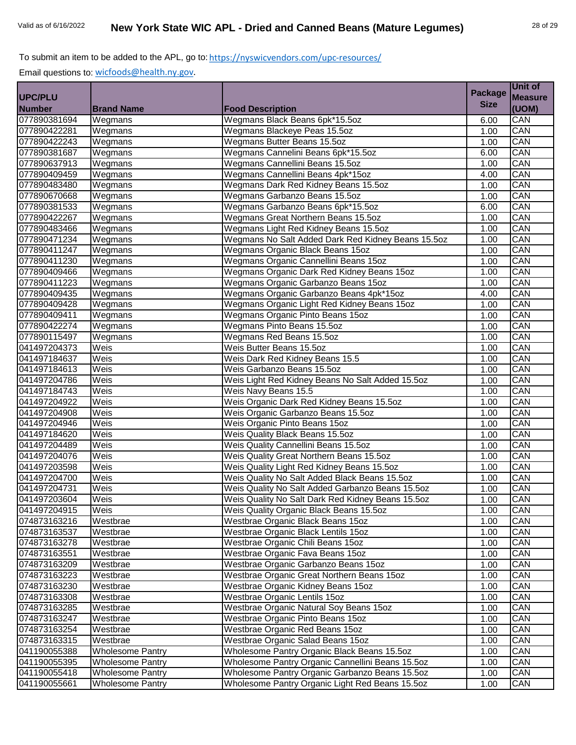|                |                             |                                                    | <b>Package</b> | Unit of        |
|----------------|-----------------------------|----------------------------------------------------|----------------|----------------|
| <b>UPC/PLU</b> |                             |                                                    | <b>Size</b>    | <b>Measure</b> |
| <b>Number</b>  | <b>Brand Name</b>           | <b>Food Description</b>                            |                | (UOM)          |
| 077890381694   | Wegmans                     | Wegmans Black Beans 6pk*15.5oz                     | 6.00           | CAN            |
| 077890422281   | Wegmans                     | Wegmans Blackeye Peas 15.5oz                       | 1.00           | CAN            |
| 077890422243   | Wegmans                     | Wegmans Butter Beans 15.5oz                        | 1.00           | CAN            |
| 077890381687   | Wegmans                     | Wegmans Cannelini Beans 6pk*15.5oz                 | 6.00           | CAN            |
| 077890637913   | Wegmans                     | Wegmans Cannellini Beans 15.5oz                    | 1.00           | CAN            |
| 077890409459   | Wegmans                     | Wegmans Cannellini Beans 4pk*15oz                  | 4.00           | CAN            |
| 077890483480   | Wegmans                     | Wegmans Dark Red Kidney Beans 15.5oz               | 1.00           | CAN            |
| 077890670668   | Wegmans                     | Wegmans Garbanzo Beans 15.5oz                      | 1.00           | CAN            |
| 077890381533   | $\overline{W}$ egmans       | Wegmans Garbanzo Beans 6pk*15.5oz                  | 6.00           | CAN            |
| 077890422267   | Wegmans                     | Wegmans Great Northern Beans 15.5oz                | 1.00           | CAN            |
| 077890483466   | Wegmans                     | Wegmans Light Red Kidney Beans 15.5oz              | 1.00           | CAN            |
| 077890471234   | Wegmans                     | Wegmans No Salt Added Dark Red Kidney Beans 15.5oz | 1.00           | CAN            |
| 077890411247   | Wegmans                     | Wegmans Organic Black Beans 15oz                   | 1.00           | CAN            |
| 077890411230   | Wegmans                     | Wegmans Organic Cannellini Beans 15oz              | 1.00           | CAN            |
| 077890409466   | Wegmans                     | Wegmans Organic Dark Red Kidney Beans 15oz         | 1.00           | CAN            |
| 077890411223   | Wegmans                     | Wegmans Organic Garbanzo Beans 15oz                | 1.00           | CAN            |
| 077890409435   | Wegmans                     | Wegmans Organic Garbanzo Beans 4pk*15oz            | 4.00           | CAN            |
| 077890409428   | Wegmans                     | Wegmans Organic Light Red Kidney Beans 15oz        | 1.00           | CAN            |
| 077890409411   | Wegmans                     | Wegmans Organic Pinto Beans 15oz                   | 1.00           | CAN            |
| 077890422274   | Wegmans                     | Wegmans Pinto Beans 15.5oz                         | 1.00           | CAN            |
| 077890115497   | $\overline{W}$ egmans       | Wegmans Red Beans 15.5oz                           | 1.00           | CAN            |
| 041497204373   | Weis                        | Weis Butter Beans 15.5oz                           | 1.00           | CAN            |
| 041497184637   | Weis                        | Weis Dark Red Kidney Beans 15.5                    | 1.00           | CAN            |
| 041497184613   | Weis                        | Weis Garbanzo Beans 15.5oz                         | 1.00           | CAN            |
| 041497204786   | Weis                        | Weis Light Red Kidney Beans No Salt Added 15.5oz   | 1.00           | CAN            |
| 041497184743   | $\overline{\mathsf{We}}$ is | Weis Navy Beans 15.5                               | 1.00           | CAN            |
| 041497204922   | Weis                        | Weis Organic Dark Red Kidney Beans 15.5oz          | 1.00           | CAN            |
| 041497204908   | Weis                        | Weis Organic Garbanzo Beans 15.5oz                 | 1.00           | CAN            |
| 041497204946   | Weis                        | Weis Organic Pinto Beans 15oz                      | 1.00           | CAN            |
| 041497184620   | Weis                        | Weis Quality Black Beans 15.5oz                    | 1.00           | CAN            |
| 041497204489   | Weis                        | Weis Quality Cannellini Beans 15.5oz               | 1.00           | CAN            |
| 041497204076   | Weis                        | Weis Quality Great Northern Beans 15.5oz           | 1.00           | CAN            |
| 041497203598   | Weis                        | Weis Quality Light Red Kidney Beans 15.5oz         | 1.00           | CAN            |
| 041497204700   | Weis                        | Weis Quality No Salt Added Black Beans 15.5oz      | 1.00           | CAN            |
| 041497204731   | Weis                        | Weis Quality No Salt Added Garbanzo Beans 15.5oz   | 1.00           | CAN            |
| 041497203604   | Weis                        | Weis Quality No Salt Dark Red Kidney Beans 15.5oz  | 1.00           | CAN            |
| 041497204915   | Weis                        | Weis Quality Organic Black Beans 15.5oz            | 1.00           | CAN            |
| 074873163216   | Westbrae                    | Westbrae Organic Black Beans 15oz                  | 1.00           | CAN            |
| 074873163537   | Westbrae                    | Westbrae Organic Black Lentils 15oz                | 1.00           | CAN            |
| 074873163278   | Westbrae                    | Westbrae Organic Chili Beans 15oz                  | 1.00           | CAN            |
| 074873163551   | Westbrae                    | Westbrae Organic Fava Beans 15oz                   | 1.00           | CAN            |
| 074873163209   | Westbrae                    | Westbrae Organic Garbanzo Beans 15oz               | 1.00           | CAN            |
| 074873163223   | Westbrae                    | Westbrae Organic Great Northern Beans 15oz         | 1.00           | CAN            |
| 074873163230   | Westbrae                    | Westbrae Organic Kidney Beans 15oz                 | 1.00           | CAN            |
| 074873163308   | Westbrae                    | Westbrae Organic Lentils 15oz                      | 1.00           | CAN            |
| 074873163285   | Westbrae                    | Westbrae Organic Natural Soy Beans 15oz            | 1.00           | CAN            |
| 074873163247   | Westbrae                    | Westbrae Organic Pinto Beans 15oz                  | 1.00           | CAN            |
| 074873163254   | Westbrae                    | Westbrae Organic Red Beans 15oz                    | 1.00           | CAN            |
| 074873163315   | Westbrae                    | Westbrae Organic Salad Beans 15oz                  | 1.00           | CAN            |
| 041190055388   | <b>Wholesome Pantry</b>     | Wholesome Pantry Organic Black Beans 15.5oz        | 1.00           | CAN            |
| 041190055395   | Wholesome Pantry            | Wholesome Pantry Organic Cannellini Beans 15.5oz   | 1.00           | CAN            |
| 041190055418   | <b>Wholesome Pantry</b>     | Wholesome Pantry Organic Garbanzo Beans 15.5oz     | 1.00           | CAN            |
| 041190055661   | <b>Wholesome Pantry</b>     | Wholesome Pantry Organic Light Red Beans 15.5oz    | 1.00           | CAN            |